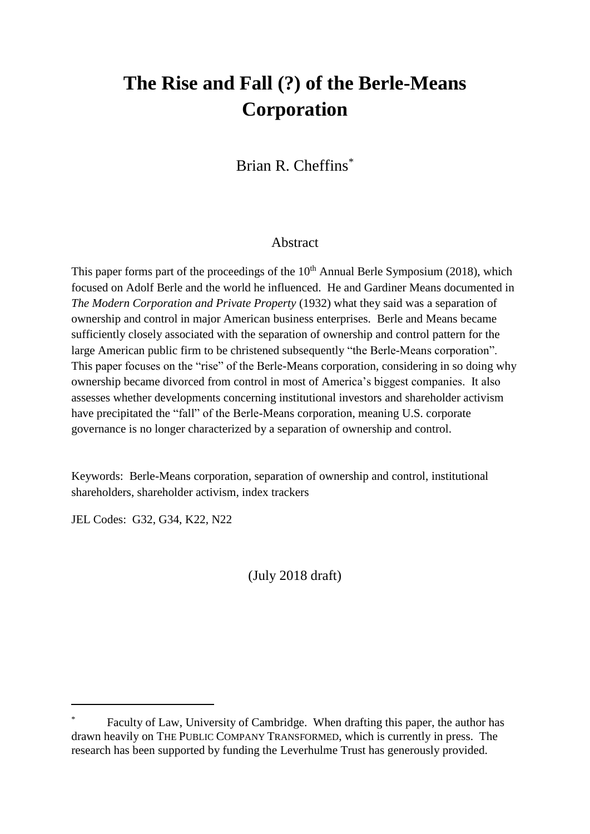# **The Rise and Fall (?) of the Berle-Means Corporation**

Brian R. Cheffins\*

## Abstract

This paper forms part of the proceedings of the  $10<sup>th</sup>$  Annual Berle Symposium (2018), which focused on Adolf Berle and the world he influenced. He and Gardiner Means documented in *The Modern Corporation and Private Property* (1932) what they said was a separation of ownership and control in major American business enterprises. Berle and Means became sufficiently closely associated with the separation of ownership and control pattern for the large American public firm to be christened subsequently "the Berle-Means corporation". This paper focuses on the "rise" of the Berle-Means corporation, considering in so doing why ownership became divorced from control in most of America's biggest companies. It also assesses whether developments concerning institutional investors and shareholder activism have precipitated the "fall" of the Berle-Means corporation, meaning U.S. corporate governance is no longer characterized by a separation of ownership and control.

Keywords: Berle-Means corporation, separation of ownership and control, institutional shareholders, shareholder activism, index trackers

JEL Codes: G32, G34, K22, N22

1

(July 2018 draft)

Faculty of Law, University of Cambridge. When drafting this paper, the author has drawn heavily on THE PUBLIC COMPANY TRANSFORMED, which is currently in press. The research has been supported by funding the Leverhulme Trust has generously provided.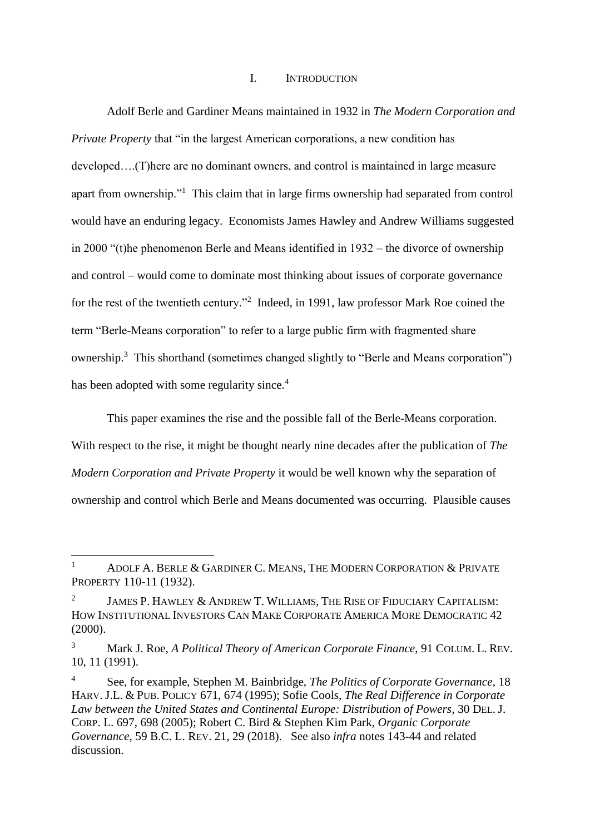## I. INTRODUCTION

Adolf Berle and Gardiner Means maintained in 1932 in *The Modern Corporation and Private Property* that "in the largest American corporations, a new condition has developed….(T)here are no dominant owners, and control is maintained in large measure apart from ownership."<sup>1</sup> This claim that in large firms ownership had separated from control would have an enduring legacy. Economists James Hawley and Andrew Williams suggested in 2000 "(t)he phenomenon Berle and Means identified in 1932 – the divorce of ownership and control – would come to dominate most thinking about issues of corporate governance for the rest of the twentieth century."<sup>2</sup> Indeed, in 1991, law professor Mark Roe coined the term "Berle-Means corporation" to refer to a large public firm with fragmented share ownership.<sup>3</sup> This shorthand (sometimes changed slightly to "Berle and Means corporation") has been adopted with some regularity since.<sup>4</sup>

This paper examines the rise and the possible fall of the Berle-Means corporation. With respect to the rise, it might be thought nearly nine decades after the publication of *The Modern Corporation and Private Property* it would be well known why the separation of ownership and control which Berle and Means documented was occurring. Plausible causes

**.** 

<sup>&</sup>lt;sup>1</sup> ADOLF A. BERLE & GARDINER C. MEANS, THE MODERN CORPORATION & PRIVATE PROPERTY 110-11 (1932).

<sup>2</sup> JAMES P. HAWLEY & ANDREW T. WILLIAMS, THE RISE OF FIDUCIARY CAPITALISM: HOW INSTITUTIONAL INVESTORS CAN MAKE CORPORATE AMERICA MORE DEMOCRATIC 42 (2000).

<sup>3</sup> Mark J. Roe, *A Political Theory of American Corporate Finance*, 91 COLUM. L. REV. 10, 11 (1991).

<sup>4</sup> See, for example, Stephen M. Bainbridge, *The Politics of Corporate Governance*, 18 HARV. J.L. & PUB. POLICY 671, 674 (1995); Sofie Cools, *The Real Difference in Corporate Law between the United States and Continental Europe: Distribution of Powers*, 30 DEL. J. CORP. L. 697, 698 (2005); Robert C. Bird & Stephen Kim Park, *Organic Corporate Governance*, 59 B.C. L. REV. 21, 29 (2018). See also *infra* notes 143-44 and related discussion.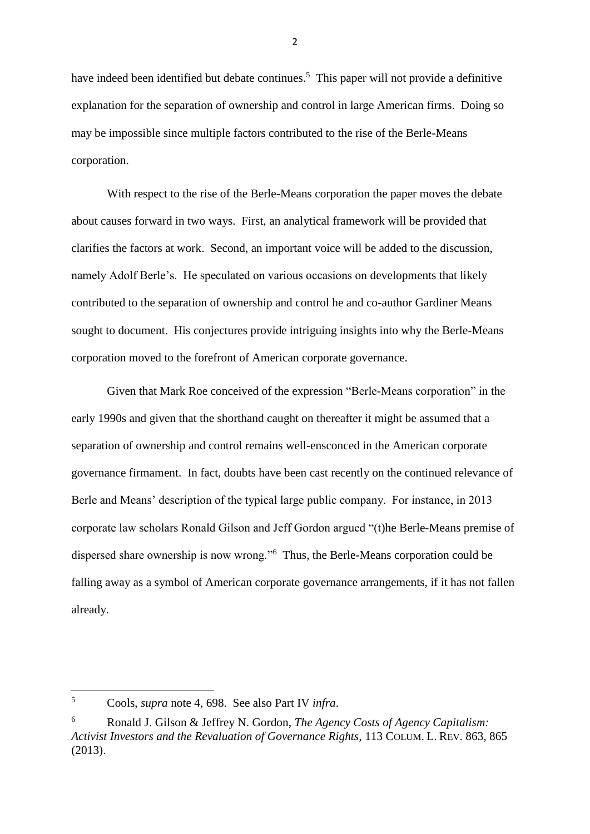have indeed been identified but debate continues.<sup>5</sup> This paper will not provide a definitive explanation for the separation of ownership and control in large American firms. Doing so may be impossible since multiple factors contributed to the rise of the Berle-Means corporation.

With respect to the rise of the Berle-Means corporation the paper moves the debate about causes forward in two ways. First, an analytical framework will be provided that clarifies the factors at work. Second, an important voice will be added to the discussion, namely Adolf Berle's. He speculated on various occasions on developments that likely contributed to the separation of ownership and control he and co-author Gardiner Means sought to document. His conjectures provide intriguing insights into why the Berle-Means corporation moved to the forefront of American corporate governance.

Given that Mark Roe conceived of the expression "Berle-Means corporation" in the early 1990s and given that the shorthand caught on thereafter it might be assumed that a separation of ownership and control remains well-ensconced in the American corporate governance firmament. In fact, doubts have been cast recently on the continued relevance of Berle and Means' description of the typical large public company. For instance, in 2013 corporate law scholars Ronald Gilson and Jeff Gordon argued "(t)he Berle-Means premise of dispersed share ownership is now wrong."<sup>6</sup> Thus, the Berle-Means corporation could be falling away as a symbol of American corporate governance arrangements, if it has not fallen already.

 $\overline{5}$ <sup>5</sup> Cools, *supra* note 4, 698. See also Part IV *infra*.

<sup>6</sup> Ronald J. Gilson & Jeffrey N. Gordon, *The Agency Costs of Agency Capitalism: Activist Investors and the Revaluation of Governance Rights*, 113 COLUM. L. REV. 863, 865 (2013).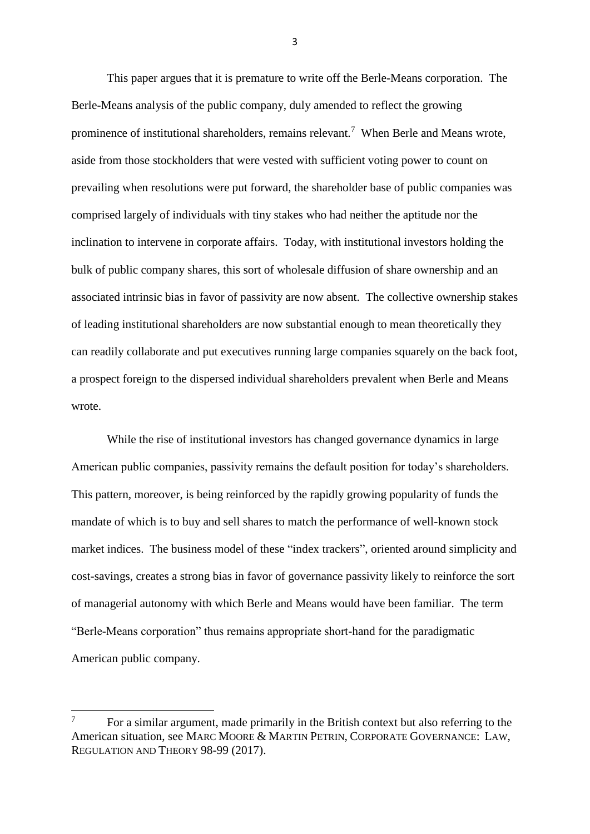This paper argues that it is premature to write off the Berle-Means corporation. The Berle-Means analysis of the public company, duly amended to reflect the growing prominence of institutional shareholders, remains relevant.<sup>7</sup> When Berle and Means wrote, aside from those stockholders that were vested with sufficient voting power to count on prevailing when resolutions were put forward, the shareholder base of public companies was comprised largely of individuals with tiny stakes who had neither the aptitude nor the inclination to intervene in corporate affairs. Today, with institutional investors holding the bulk of public company shares, this sort of wholesale diffusion of share ownership and an associated intrinsic bias in favor of passivity are now absent. The collective ownership stakes of leading institutional shareholders are now substantial enough to mean theoretically they can readily collaborate and put executives running large companies squarely on the back foot, a prospect foreign to the dispersed individual shareholders prevalent when Berle and Means wrote.

While the rise of institutional investors has changed governance dynamics in large American public companies, passivity remains the default position for today's shareholders. This pattern, moreover, is being reinforced by the rapidly growing popularity of funds the mandate of which is to buy and sell shares to match the performance of well-known stock market indices. The business model of these "index trackers", oriented around simplicity and cost-savings, creates a strong bias in favor of governance passivity likely to reinforce the sort of managerial autonomy with which Berle and Means would have been familiar. The term "Berle-Means corporation" thus remains appropriate short-hand for the paradigmatic American public company.

 $\overline{7}$ <sup>7</sup> For a similar argument, made primarily in the British context but also referring to the American situation, see MARC MOORE & MARTIN PETRIN, CORPORATE GOVERNANCE: LAW, REGULATION AND THEORY 98-99 (2017).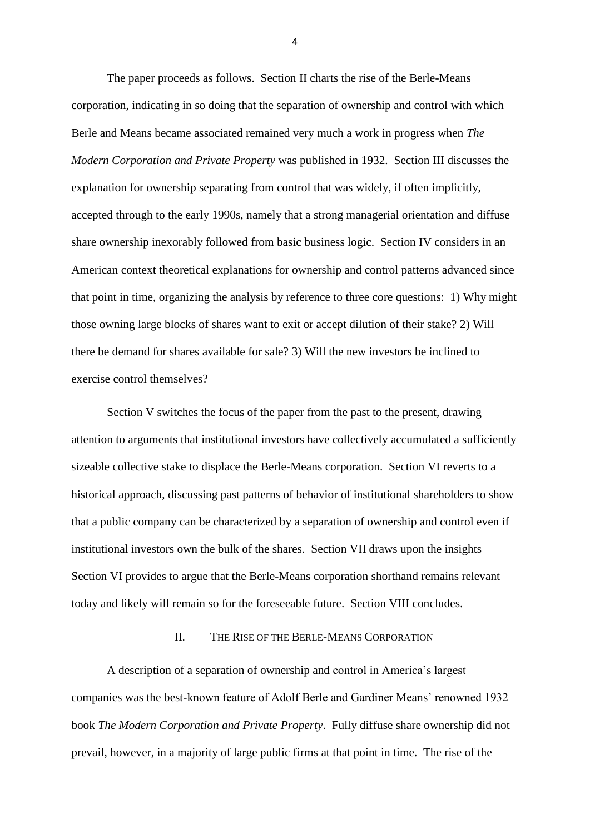The paper proceeds as follows. Section II charts the rise of the Berle-Means corporation, indicating in so doing that the separation of ownership and control with which Berle and Means became associated remained very much a work in progress when *The Modern Corporation and Private Property* was published in 1932. Section III discusses the explanation for ownership separating from control that was widely, if often implicitly, accepted through to the early 1990s, namely that a strong managerial orientation and diffuse share ownership inexorably followed from basic business logic. Section IV considers in an American context theoretical explanations for ownership and control patterns advanced since that point in time, organizing the analysis by reference to three core questions: 1) Why might those owning large blocks of shares want to exit or accept dilution of their stake? 2) Will there be demand for shares available for sale? 3) Will the new investors be inclined to exercise control themselves?

Section V switches the focus of the paper from the past to the present, drawing attention to arguments that institutional investors have collectively accumulated a sufficiently sizeable collective stake to displace the Berle-Means corporation. Section VI reverts to a historical approach, discussing past patterns of behavior of institutional shareholders to show that a public company can be characterized by a separation of ownership and control even if institutional investors own the bulk of the shares. Section VII draws upon the insights Section VI provides to argue that the Berle-Means corporation shorthand remains relevant today and likely will remain so for the foreseeable future. Section VIII concludes.

#### II. THE RISE OF THE BERLE-MEANS CORPORATION

A description of a separation of ownership and control in America's largest companies was the best-known feature of Adolf Berle and Gardiner Means' renowned 1932 book *The Modern Corporation and Private Property*. Fully diffuse share ownership did not prevail, however, in a majority of large public firms at that point in time. The rise of the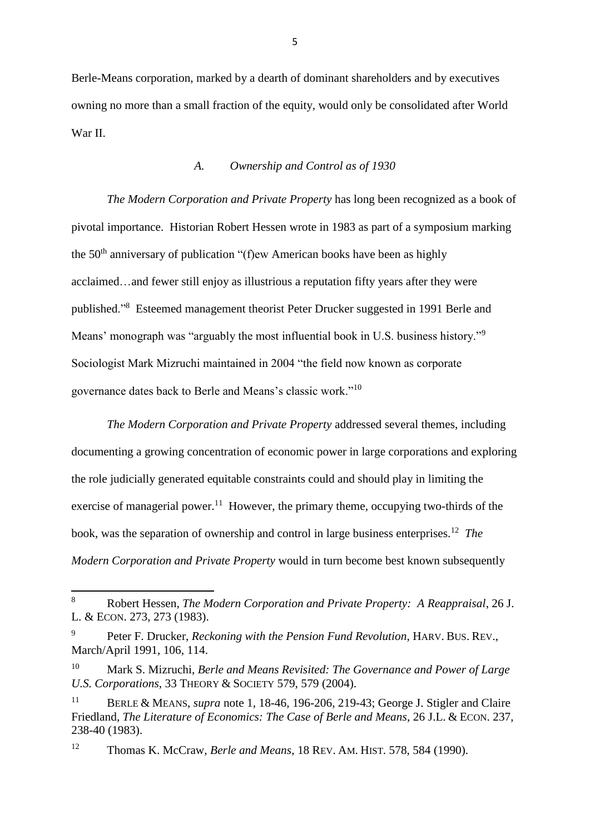Berle-Means corporation, marked by a dearth of dominant shareholders and by executives owning no more than a small fraction of the equity, would only be consolidated after World War II.

### *A. Ownership and Control as of 1930*

*The Modern Corporation and Private Property* has long been recognized as a book of pivotal importance. Historian Robert Hessen wrote in 1983 as part of a symposium marking the  $50<sup>th</sup>$  anniversary of publication "(f)ew American books have been as highly acclaimed…and fewer still enjoy as illustrious a reputation fifty years after they were published."<sup>8</sup> Esteemed management theorist Peter Drucker suggested in 1991 Berle and Means' monograph was "arguably the most influential book in U.S. business history."<sup>9</sup> Sociologist Mark Mizruchi maintained in 2004 "the field now known as corporate governance dates back to Berle and Means's classic work."<sup>10</sup>

*The Modern Corporation and Private Property* addressed several themes, including documenting a growing concentration of economic power in large corporations and exploring the role judicially generated equitable constraints could and should play in limiting the exercise of managerial power.<sup>11</sup> However, the primary theme, occupying two-thirds of the book, was the separation of ownership and control in large business enterprises.<sup>12</sup> *The Modern Corporation and Private Property* would in turn become best known subsequently

 $\,8\,$ <sup>8</sup> Robert Hessen, *The Modern Corporation and Private Property: A Reappraisal*, 26 J. L. & ECON. 273, 273 (1983).

<sup>9</sup> Peter F. Drucker, *Reckoning with the Pension Fund Revolution*, HARV. BUS. REV., March/April 1991, 106, 114.

<sup>10</sup> Mark S. Mizruchi, *Berle and Means Revisited: The Governance and Power of Large U.S. Corporations*, 33 THEORY & SOCIETY 579, 579 (2004).

<sup>11</sup> BERLE & MEANS, *supra* note 1, 18-46, 196-206, 219-43; George J. Stigler and Claire Friedland, *The Literature of Economics: The Case of Berle and Means*, 26 J.L. & ECON. 237, 238-40 (1983).

<sup>12</sup> Thomas K. McCraw, *Berle and Means*, 18 REV. AM. HIST. 578, 584 (1990).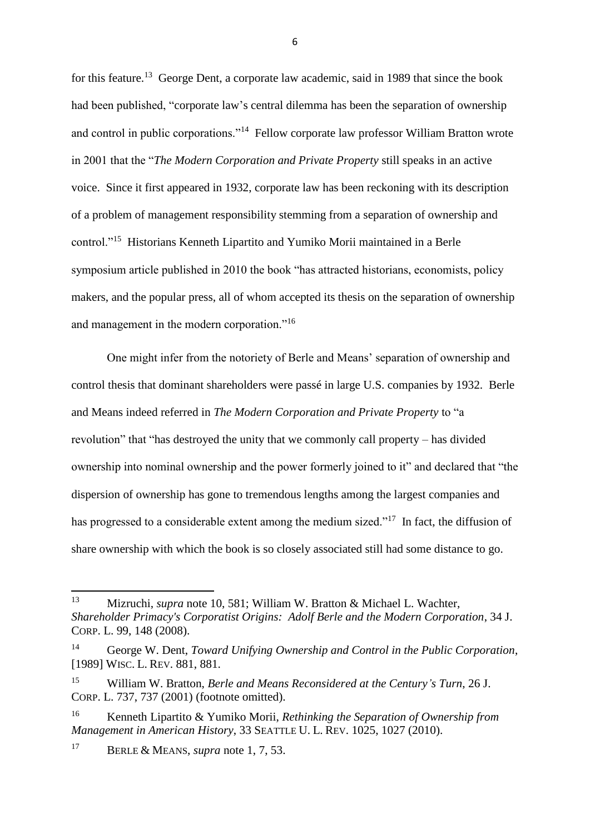for this feature.<sup>13</sup> George Dent, a corporate law academic, said in 1989 that since the book had been published, "corporate law's central dilemma has been the separation of ownership and control in public corporations."<sup>14</sup> Fellow corporate law professor William Bratton wrote in 2001 that the "*The Modern Corporation and Private Property* still speaks in an active voice. Since it first appeared in 1932, corporate law has been reckoning with its description of a problem of management responsibility stemming from a separation of ownership and control."<sup>15</sup> Historians Kenneth Lipartito and Yumiko Morii maintained in a Berle symposium article published in 2010 the book "has attracted historians, economists, policy makers, and the popular press, all of whom accepted its thesis on the separation of ownership and management in the modern corporation."<sup>16</sup>

One might infer from the notoriety of Berle and Means' separation of ownership and control thesis that dominant shareholders were passé in large U.S. companies by 1932. Berle and Means indeed referred in *The Modern Corporation and Private Property* to "a revolution" that "has destroyed the unity that we commonly call property – has divided ownership into nominal ownership and the power formerly joined to it" and declared that "the dispersion of ownership has gone to tremendous lengths among the largest companies and has progressed to a considerable extent among the medium sized."<sup>17</sup> In fact, the diffusion of share ownership with which the book is so closely associated still had some distance to go.

<sup>17</sup> BERLE & MEANS, *supra* note 1, 7, 53.

<sup>13</sup> <sup>13</sup> Mizruchi, *supra* note 10, 581; William W. Bratton & Michael L. Wachter, *Shareholder Primacy's Corporatist Origins: Adolf Berle and the Modern Corporation*, 34 J. CORP. L. 99, 148 (2008).

<sup>14</sup> George W. Dent, *Toward Unifying Ownership and Control in the Public Corporation*, [1989] WISC. L. REV. 881, 881.

<sup>15</sup> William W. Bratton, *Berle and Means Reconsidered at the Century's Turn*, 26 J. CORP. L. 737, 737 (2001) (footnote omitted).

<sup>16</sup> Kenneth Lipartito & Yumiko Morii, *Rethinking the Separation of Ownership from Management in American History*, 33 SEATTLE U. L. REV. 1025, 1027 (2010).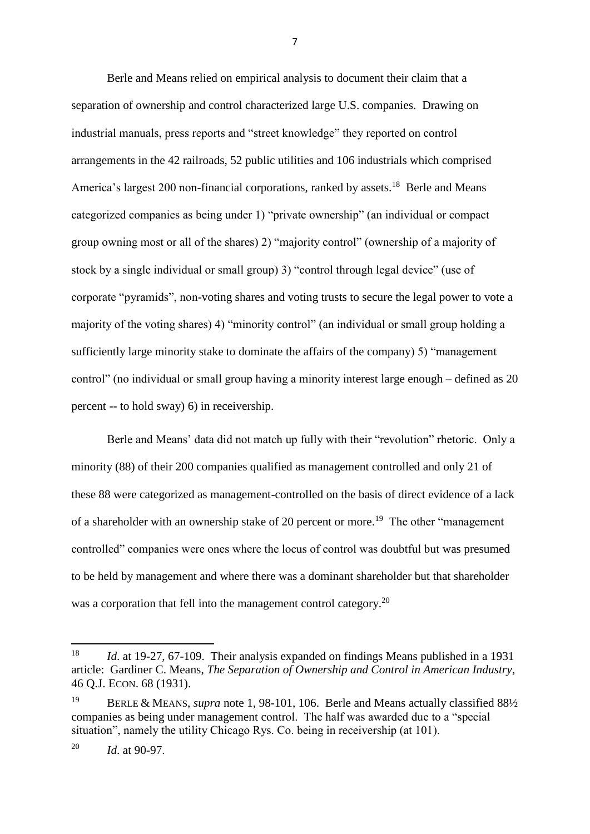Berle and Means relied on empirical analysis to document their claim that a separation of ownership and control characterized large U.S. companies. Drawing on industrial manuals, press reports and "street knowledge" they reported on control arrangements in the 42 railroads, 52 public utilities and 106 industrials which comprised America's largest 200 non-financial corporations, ranked by assets.<sup>18</sup> Berle and Means categorized companies as being under 1) "private ownership" (an individual or compact group owning most or all of the shares) 2) "majority control" (ownership of a majority of stock by a single individual or small group) 3) "control through legal device" (use of corporate "pyramids", non-voting shares and voting trusts to secure the legal power to vote a majority of the voting shares) 4) "minority control" (an individual or small group holding a sufficiently large minority stake to dominate the affairs of the company) 5) "management control" (no individual or small group having a minority interest large enough – defined as 20 percent -- to hold sway) 6) in receivership.

Berle and Means' data did not match up fully with their "revolution" rhetoric. Only a minority (88) of their 200 companies qualified as management controlled and only 21 of these 88 were categorized as management-controlled on the basis of direct evidence of a lack of a shareholder with an ownership stake of 20 percent or more.<sup>19</sup> The other "management" controlled" companies were ones where the locus of control was doubtful but was presumed to be held by management and where there was a dominant shareholder but that shareholder was a corporation that fell into the management control category.<sup>20</sup>

**.** 

<sup>18</sup> *Id*. at 19-27, 67-109. Their analysis expanded on findings Means published in a 1931 article: Gardiner C. Means, *The Separation of Ownership and Control in American Industry*, 46 Q.J. ECON. 68 (1931).

<sup>19</sup> BERLE & MEANS, *supra* note 1, 98-101, 106. Berle and Means actually classified 88½ companies as being under management control. The half was awarded due to a "special situation", namely the utility Chicago Rys. Co. being in receivership (at 101).

<sup>20</sup> *Id*. at 90-97.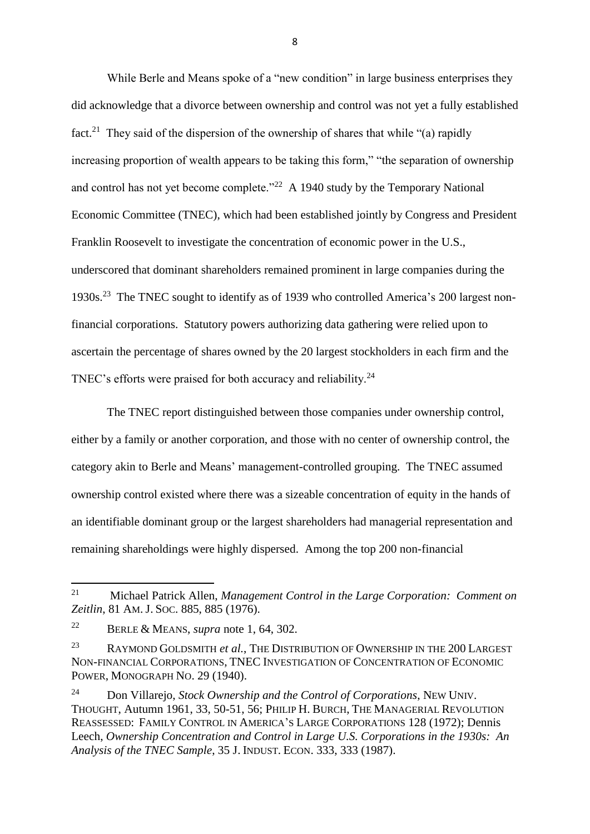While Berle and Means spoke of a "new condition" in large business enterprises they did acknowledge that a divorce between ownership and control was not yet a fully established fact.<sup>21</sup> They said of the dispersion of the ownership of shares that while "(a) rapidly increasing proportion of wealth appears to be taking this form," "the separation of ownership and control has not yet become complete." $^{22}$  A 1940 study by the Temporary National Economic Committee (TNEC), which had been established jointly by Congress and President Franklin Roosevelt to investigate the concentration of economic power in the U.S., underscored that dominant shareholders remained prominent in large companies during the 1930s.<sup>23</sup> The TNEC sought to identify as of 1939 who controlled America's 200 largest nonfinancial corporations. Statutory powers authorizing data gathering were relied upon to ascertain the percentage of shares owned by the 20 largest stockholders in each firm and the TNEC's efforts were praised for both accuracy and reliability.<sup>24</sup>

The TNEC report distinguished between those companies under ownership control, either by a family or another corporation, and those with no center of ownership control, the category akin to Berle and Means' management-controlled grouping. The TNEC assumed ownership control existed where there was a sizeable concentration of equity in the hands of an identifiable dominant group or the largest shareholders had managerial representation and remaining shareholdings were highly dispersed. Among the top 200 non-financial

<sup>21</sup> <sup>21</sup> Michael Patrick Allen, *Management Control in the Large Corporation: Comment on Zeitlin*, 81 AM. J. SOC. 885, 885 (1976).

<sup>22</sup> BERLE & MEANS, *supra* note 1, 64, 302.

<sup>23</sup> RAYMOND GOLDSMITH *et al.*, THE DISTRIBUTION OF OWNERSHIP IN THE 200 LARGEST NON-FINANCIAL CORPORATIONS, TNEC INVESTIGATION OF CONCENTRATION OF ECONOMIC POWER, MONOGRAPH NO. 29 (1940).

<sup>24</sup> Don Villarejo, *Stock Ownership and the Control of Corporations*, NEW UNIV. THOUGHT, Autumn 1961, 33, 50-51, 56; PHILIP H. BURCH, THE MANAGERIAL REVOLUTION REASSESSED: FAMILY CONTROL IN AMERICA'S LARGE CORPORATIONS 128 (1972); Dennis Leech, *Ownership Concentration and Control in Large U.S. Corporations in the 1930s: An Analysis of the TNEC Sample*, 35 J. INDUST. ECON. 333, 333 (1987).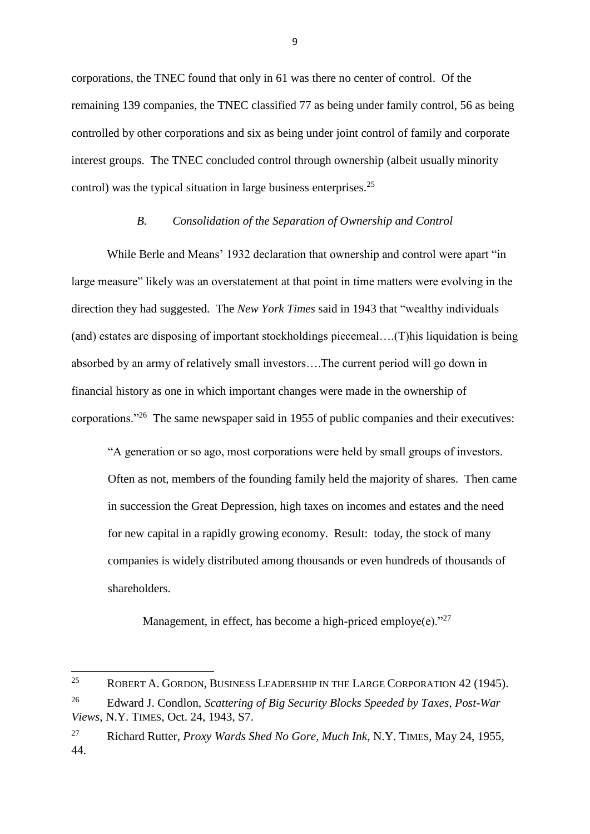corporations, the TNEC found that only in 61 was there no center of control. Of the remaining 139 companies, the TNEC classified 77 as being under family control, 56 as being controlled by other corporations and six as being under joint control of family and corporate interest groups. The TNEC concluded control through ownership (albeit usually minority control) was the typical situation in large business enterprises.<sup>25</sup>

## *B. Consolidation of the Separation of Ownership and Control*

While Berle and Means' 1932 declaration that ownership and control were apart "in large measure" likely was an overstatement at that point in time matters were evolving in the direction they had suggested. The *New York Times* said in 1943 that "wealthy individuals (and) estates are disposing of important stockholdings piecemeal….(T)his liquidation is being absorbed by an army of relatively small investors….The current period will go down in financial history as one in which important changes were made in the ownership of corporations."<sup>26</sup> The same newspaper said in 1955 of public companies and their executives:

"A generation or so ago, most corporations were held by small groups of investors. Often as not, members of the founding family held the majority of shares. Then came in succession the Great Depression, high taxes on incomes and estates and the need for new capital in a rapidly growing economy. Result: today, the stock of many companies is widely distributed among thousands or even hundreds of thousands of shareholders.

Management, in effect, has become a high-priced employe(e). $27$ 

<sup>25</sup> <sup>25</sup> ROBERT A. GORDON, BUSINESS LEADERSHIP IN THE LARGE CORPORATION 42 (1945).

<sup>26</sup> Edward J. Condlon, *Scattering of Big Security Blocks Speeded by Taxes, Post-War Views*, N.Y. TIMES, Oct. 24, 1943, S7.

<sup>27</sup> Richard Rutter, *Proxy Wards Shed No Gore, Much Ink*, N.Y. TIMES, May 24, 1955, 44.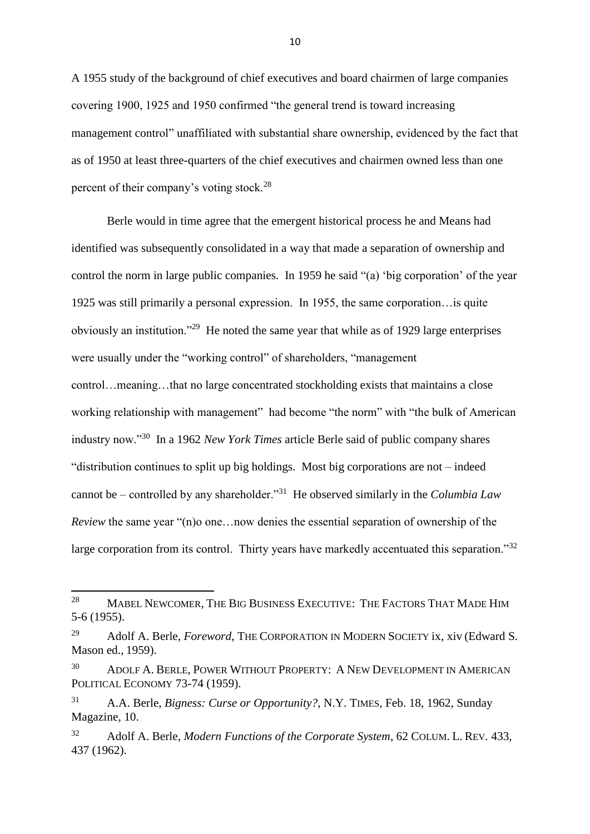A 1955 study of the background of chief executives and board chairmen of large companies covering 1900, 1925 and 1950 confirmed "the general trend is toward increasing management control" unaffiliated with substantial share ownership, evidenced by the fact that as of 1950 at least three-quarters of the chief executives and chairmen owned less than one percent of their company's voting stock.<sup>28</sup>

Berle would in time agree that the emergent historical process he and Means had identified was subsequently consolidated in a way that made a separation of ownership and control the norm in large public companies. In 1959 he said "(a) 'big corporation' of the year 1925 was still primarily a personal expression. In 1955, the same corporation…is quite obviously an institution."<sup>29</sup> He noted the same year that while as of 1929 large enterprises were usually under the "working control" of shareholders, "management control…meaning…that no large concentrated stockholding exists that maintains a close working relationship with management" had become "the norm" with "the bulk of American industry now."<sup>30</sup> In a 1962 *New York Times* article Berle said of public company shares "distribution continues to split up big holdings. Most big corporations are not – indeed cannot be – controlled by any shareholder."<sup>31</sup> He observed similarly in the *Columbia Law Review* the same year "(n)o one...now denies the essential separation of ownership of the large corporation from its control. Thirty years have markedly accentuated this separation."<sup>32</sup>

 $28\,$ <sup>28</sup> MABEL NEWCOMER, THE BIG BUSINESS EXECUTIVE: THE FACTORS THAT MADE HIM 5-6 (1955).

<sup>29</sup> Adolf A. Berle, *Foreword*, THE CORPORATION IN MODERN SOCIETY ix, xiv (Edward S. Mason ed., 1959).

<sup>30</sup> ADOLF A. BERLE, POWER WITHOUT PROPERTY: A NEW DEVELOPMENT IN AMERICAN POLITICAL ECONOMY 73-74 (1959).

<sup>31</sup> A.A. Berle, *Bigness: Curse or Opportunity?*, N.Y. TIMES, Feb. 18, 1962, Sunday Magazine, 10.

<sup>32</sup> Adolf A. Berle, *Modern Functions of the Corporate System*, 62 COLUM. L. REV*.* 433, 437 (1962).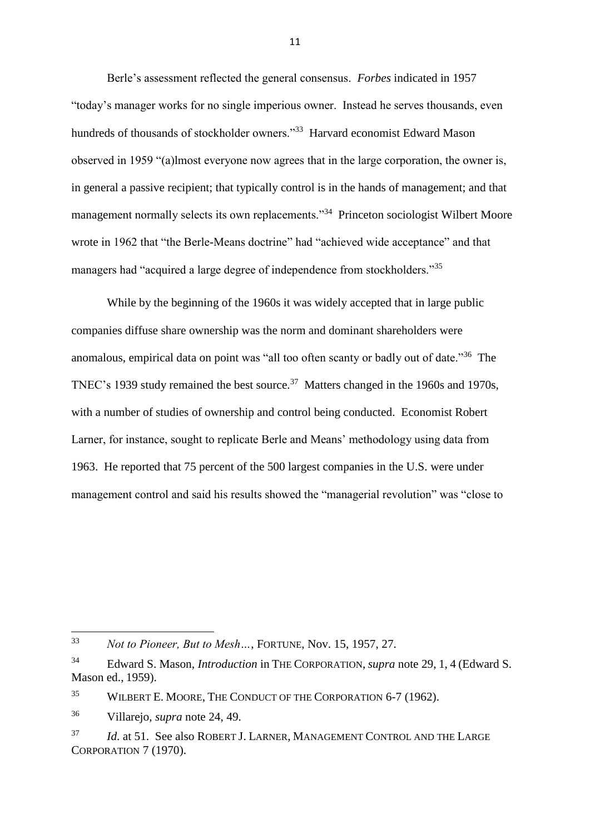Berle's assessment reflected the general consensus. *Forbes* indicated in 1957 "today's manager works for no single imperious owner. Instead he serves thousands, even hundreds of thousands of stockholder owners."<sup>33</sup> Harvard economist Edward Mason observed in 1959 "(a)lmost everyone now agrees that in the large corporation, the owner is, in general a passive recipient; that typically control is in the hands of management; and that management normally selects its own replacements."<sup>34</sup> Princeton sociologist Wilbert Moore wrote in 1962 that "the Berle-Means doctrine" had "achieved wide acceptance" and that managers had "acquired a large degree of independence from stockholders."<sup>35</sup>

While by the beginning of the 1960s it was widely accepted that in large public companies diffuse share ownership was the norm and dominant shareholders were anomalous, empirical data on point was "all too often scanty or badly out of date."<sup>36</sup> The TNEC's 1939 study remained the best source.<sup>37</sup> Matters changed in the 1960s and 1970s, with a number of studies of ownership and control being conducted. Economist Robert Larner, for instance, sought to replicate Berle and Means' methodology using data from 1963. He reported that 75 percent of the 500 largest companies in the U.S. were under management control and said his results showed the "managerial revolution" was "close to

**.** 

<sup>33</sup> *Not to Pioneer, But to Mesh…*, FORTUNE, Nov. 15, 1957, 27.

<sup>34</sup> Edward S. Mason, *Introduction* in THE CORPORATION, *supra* note 29, 1, 4 (Edward S. Mason ed., 1959).

<sup>&</sup>lt;sup>35</sup> WILBERT E. MOORE, THE CONDUCT OF THE CORPORATION 6-7 (1962).

<sup>36</sup> Villarejo, *supra* note 24, 49.

<sup>37</sup> *Id*. at 51. See also ROBERT J. LARNER, MANAGEMENT CONTROL AND THE LARGE CORPORATION 7 (1970).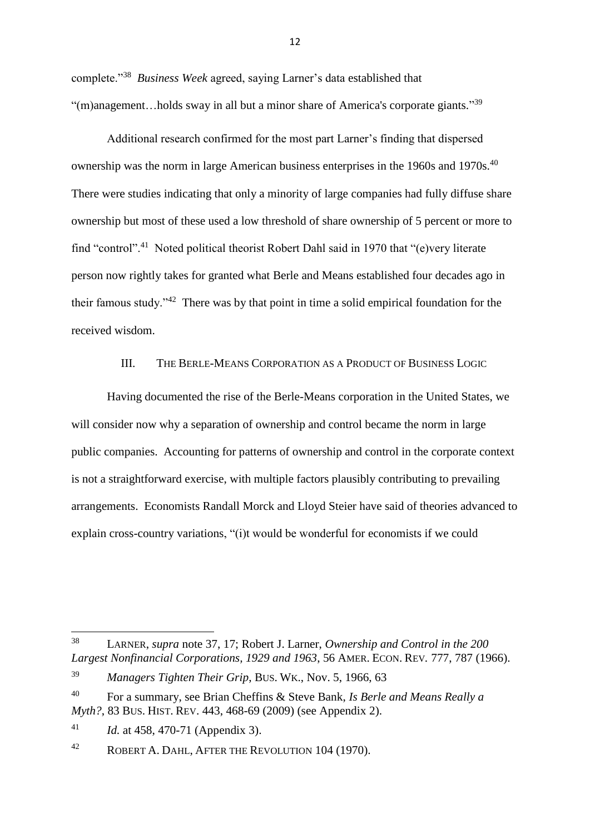complete."<sup>38</sup> *Business Week* agreed, saying Larner's data established that "(m)anagement...holds sway in all but a minor share of America's corporate giants."<sup>39</sup>

Additional research confirmed for the most part Larner's finding that dispersed ownership was the norm in large American business enterprises in the 1960s and 1970s.<sup>40</sup> There were studies indicating that only a minority of large companies had fully diffuse share ownership but most of these used a low threshold of share ownership of 5 percent or more to find "control".<sup>41</sup> Noted political theorist Robert Dahl said in 1970 that "(e)very literate person now rightly takes for granted what Berle and Means established four decades ago in their famous study."<sup>42</sup> There was by that point in time a solid empirical foundation for the received wisdom.

## III. THE BERLE-MEANS CORPORATION AS A PRODUCT OF BUSINESS LOGIC

Having documented the rise of the Berle-Means corporation in the United States, we will consider now why a separation of ownership and control became the norm in large public companies. Accounting for patterns of ownership and control in the corporate context is not a straightforward exercise, with multiple factors plausibly contributing to prevailing arrangements. Economists Randall Morck and Lloyd Steier have said of theories advanced to explain cross-country variations, "(i)t would be wonderful for economists if we could

**.** 

<sup>38</sup> LARNER, *supra* note 37, 17; Robert J. Larner, *Ownership and Control in the 200 Largest Nonfinancial Corporations, 1929 and 1963*, 56 AMER. ECON. REV*.* 777, 787 (1966).

<sup>39</sup> *Managers Tighten Their Grip*, BUS. WK., Nov. 5, 1966, 63

<sup>40</sup> For a summary, see Brian Cheffins & Steve Bank, *Is Berle and Means Really a Myth?*, 83 BUS. HIST. REV. 443, 468-69 (2009) (see Appendix 2).

<sup>41</sup> *Id.* at 458, 470-71 (Appendix 3).

<sup>&</sup>lt;sup>42</sup> ROBERT A. DAHL, AFTER THE REVOLUTION 104 (1970).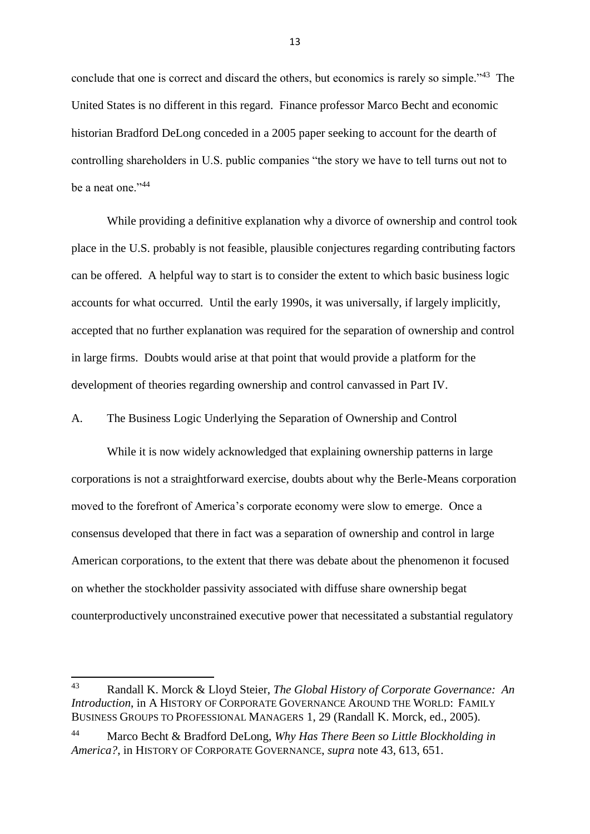conclude that one is correct and discard the others, but economics is rarely so simple."<sup>43</sup> The United States is no different in this regard. Finance professor Marco Becht and economic historian Bradford DeLong conceded in a 2005 paper seeking to account for the dearth of controlling shareholders in U.S. public companies "the story we have to tell turns out not to be a neat one."<sup>44</sup>

While providing a definitive explanation why a divorce of ownership and control took place in the U.S. probably is not feasible, plausible conjectures regarding contributing factors can be offered. A helpful way to start is to consider the extent to which basic business logic accounts for what occurred. Until the early 1990s, it was universally, if largely implicitly, accepted that no further explanation was required for the separation of ownership and control in large firms. Doubts would arise at that point that would provide a platform for the development of theories regarding ownership and control canvassed in Part IV.

A. The Business Logic Underlying the Separation of Ownership and Control

While it is now widely acknowledged that explaining ownership patterns in large corporations is not a straightforward exercise, doubts about why the Berle-Means corporation moved to the forefront of America's corporate economy were slow to emerge. Once a consensus developed that there in fact was a separation of ownership and control in large American corporations, to the extent that there was debate about the phenomenon it focused on whether the stockholder passivity associated with diffuse share ownership begat counterproductively unconstrained executive power that necessitated a substantial regulatory

**.** 

<sup>43</sup> Randall K. Morck & Lloyd Steier, *The Global History of Corporate Governance: An Introduction*, in A HISTORY OF CORPORATE GOVERNANCE AROUND THE WORLD: FAMILY BUSINESS GROUPS TO PROFESSIONAL MANAGERS 1, 29 (Randall K. Morck, ed., 2005).

<sup>44</sup> Marco Becht & Bradford DeLong, *Why Has There Been so Little Blockholding in America?*, in HISTORY OF CORPORATE GOVERNANCE, *supra* note 43, 613, 651.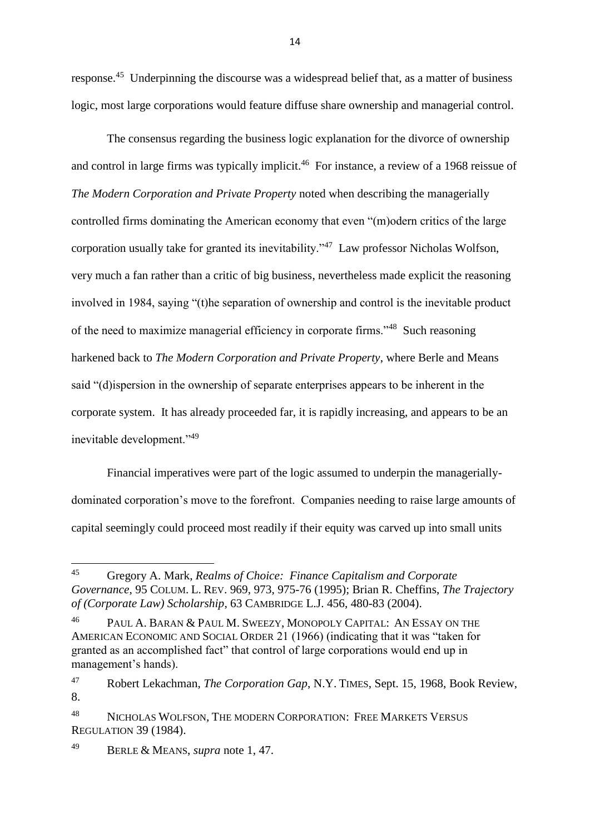response.<sup>45</sup> Underpinning the discourse was a widespread belief that, as a matter of business logic, most large corporations would feature diffuse share ownership and managerial control.

The consensus regarding the business logic explanation for the divorce of ownership and control in large firms was typically implicit. <sup>46</sup> For instance, a review of a 1968 reissue of *The Modern Corporation and Private Property* noted when describing the managerially controlled firms dominating the American economy that even "(m)odern critics of the large corporation usually take for granted its inevitability."<sup>47</sup> Law professor Nicholas Wolfson, very much a fan rather than a critic of big business, nevertheless made explicit the reasoning involved in 1984, saying "(t)he separation of ownership and control is the inevitable product of the need to maximize managerial efficiency in corporate firms."<sup>48</sup> Such reasoning harkened back to *The Modern Corporation and Private Property*, where Berle and Means said "(d)ispersion in the ownership of separate enterprises appears to be inherent in the corporate system. It has already proceeded far, it is rapidly increasing, and appears to be an inevitable development."<sup>49</sup>

Financial imperatives were part of the logic assumed to underpin the manageriallydominated corporation's move to the forefront. Companies needing to raise large amounts of capital seemingly could proceed most readily if their equity was carved up into small units

<sup>49</sup> BERLE & MEANS, *supra* note 1, 47.

<sup>45</sup> <sup>45</sup> Gregory A. Mark, *Realms of Choice: Finance Capitalism and Corporate Governance*, 95 COLUM. L. REV. 969, 973, 975-76 (1995); Brian R. Cheffins, *The Trajectory of (Corporate Law) Scholarship*, 63 CAMBRIDGE L.J. 456, 480-83 (2004).

<sup>&</sup>lt;sup>46</sup> PAUL A. BARAN & PAUL M. SWEEZY, MONOPOLY CAPITAL: AN ESSAY ON THE AMERICAN ECONOMIC AND SOCIAL ORDER 21 (1966) (indicating that it was "taken for granted as an accomplished fact" that control of large corporations would end up in management's hands).

<sup>47</sup> Robert Lekachman, *The Corporation Gap*, N.Y. TIMES, Sept. 15, 1968, Book Review, 8.

<sup>48</sup> NICHOLAS WOLFSON, THE MODERN CORPORATION: FREE MARKETS VERSUS REGULATION 39 (1984).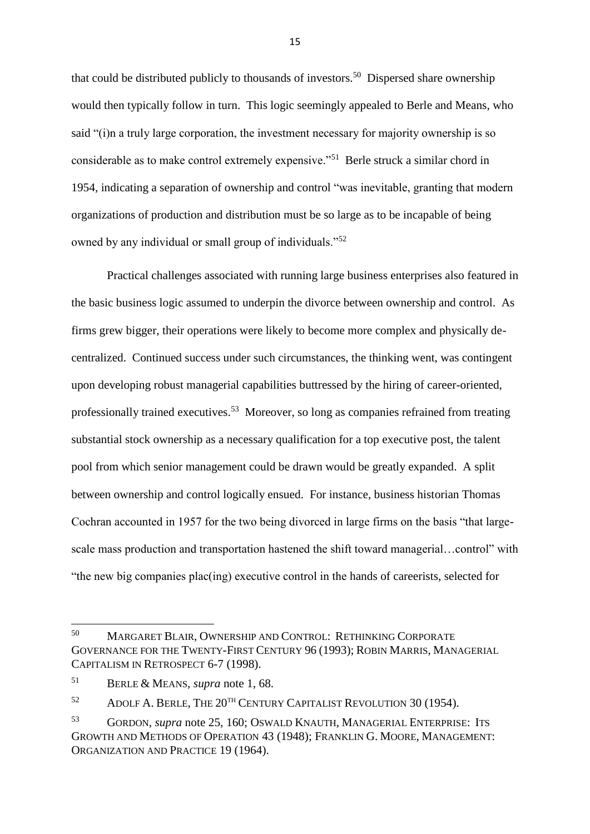that could be distributed publicly to thousands of investors.<sup>50</sup> Dispersed share ownership would then typically follow in turn. This logic seemingly appealed to Berle and Means, who said "(i)n a truly large corporation, the investment necessary for majority ownership is so considerable as to make control extremely expensive."<sup>51</sup> Berle struck a similar chord in 1954, indicating a separation of ownership and control "was inevitable, granting that modern organizations of production and distribution must be so large as to be incapable of being owned by any individual or small group of individuals."<sup>52</sup>

Practical challenges associated with running large business enterprises also featured in the basic business logic assumed to underpin the divorce between ownership and control. As firms grew bigger, their operations were likely to become more complex and physically decentralized. Continued success under such circumstances, the thinking went, was contingent upon developing robust managerial capabilities buttressed by the hiring of career-oriented, professionally trained executives.<sup>53</sup> Moreover, so long as companies refrained from treating substantial stock ownership as a necessary qualification for a top executive post, the talent pool from which senior management could be drawn would be greatly expanded. A split between ownership and control logically ensued. For instance, business historian Thomas Cochran accounted in 1957 for the two being divorced in large firms on the basis "that largescale mass production and transportation hastened the shift toward managerial…control" with "the new big companies plac(ing) executive control in the hands of careerists, selected for

<sup>50</sup> <sup>50</sup> MARGARET BLAIR, OWNERSHIP AND CONTROL: RETHINKING CORPORATE GOVERNANCE FOR THE TWENTY-FIRST CENTURY 96 (1993); ROBIN MARRIS, MANAGERIAL CAPITALISM IN RETROSPECT 6-7 (1998).

<sup>51</sup> BERLE & MEANS, *supra* note 1, 68.

 $52$  ADOLF A. BERLE, THE  $20^{TH}$  CENTURY CAPITALIST REVOLUTION 30 (1954).

<sup>53</sup> GORDON, *supra* note 25, 160; OSWALD KNAUTH, MANAGERIAL ENTERPRISE: ITS GROWTH AND METHODS OF OPERATION 43 (1948); FRANKLIN G. MOORE, MANAGEMENT: ORGANIZATION AND PRACTICE 19 (1964).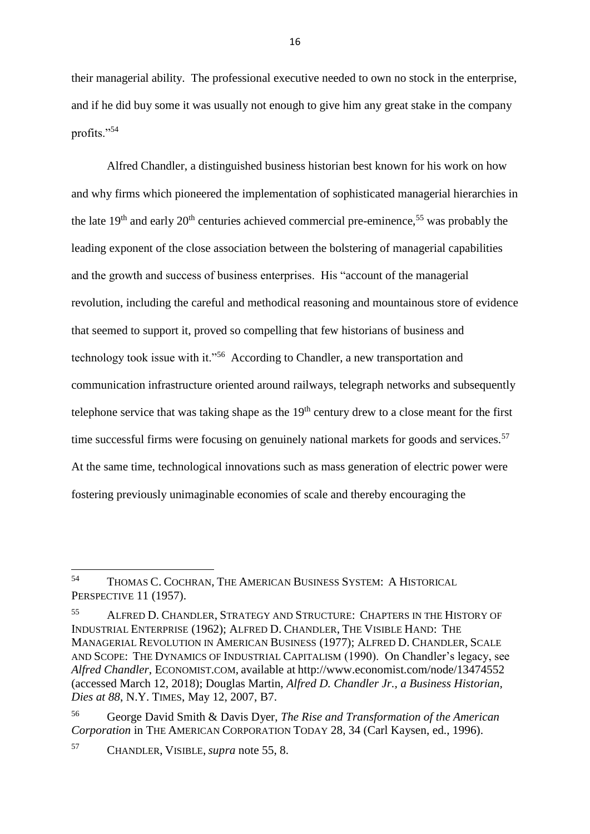their managerial ability. The professional executive needed to own no stock in the enterprise, and if he did buy some it was usually not enough to give him any great stake in the company profits."<sup>54</sup>

Alfred Chandler, a distinguished business historian best known for his work on how and why firms which pioneered the implementation of sophisticated managerial hierarchies in the late  $19<sup>th</sup>$  and early  $20<sup>th</sup>$  centuries achieved commercial pre-eminence,<sup>55</sup> was probably the leading exponent of the close association between the bolstering of managerial capabilities and the growth and success of business enterprises. His "account of the managerial revolution, including the careful and methodical reasoning and mountainous store of evidence that seemed to support it, proved so compelling that few historians of business and technology took issue with it."<sup>56</sup> According to Chandler, a new transportation and communication infrastructure oriented around railways, telegraph networks and subsequently telephone service that was taking shape as the  $19<sup>th</sup>$  century drew to a close meant for the first time successful firms were focusing on genuinely national markets for goods and services.<sup>57</sup> At the same time, technological innovations such as mass generation of electric power were fostering previously unimaginable economies of scale and thereby encouraging the

<sup>57</sup> CHANDLER, VISIBLE, *supra* note 55, 8.

<sup>54</sup> THOMAS C. COCHRAN, THE AMERICAN BUSINESS SYSTEM: A HISTORICAL PERSPECTIVE 11 (1957).

<sup>55</sup> ALFRED D. CHANDLER, STRATEGY AND STRUCTURE: CHAPTERS IN THE HISTORY OF INDUSTRIAL ENTERPRISE (1962); ALFRED D. CHANDLER, THE VISIBLE HAND: THE MANAGERIAL REVOLUTION IN AMERICAN BUSINESS (1977); ALFRED D. CHANDLER, SCALE AND SCOPE: THE DYNAMICS OF INDUSTRIAL CAPITALISM (1990). On Chandler's legacy, see *Alfred Chandler*, ECONOMIST.COM, available at <http://www.economist.com/node/13474552> (accessed March 12, 2018); Douglas Martin, *Alfred D. Chandler Jr., a Business Historian, Dies at 88*, N.Y. TIMES, May 12, 2007, B7.

<sup>56</sup> George David Smith & Davis Dyer, *The Rise and Transformation of the American Corporation* in THE AMERICAN CORPORATION TODAY 28, 34 (Carl Kaysen, ed., 1996).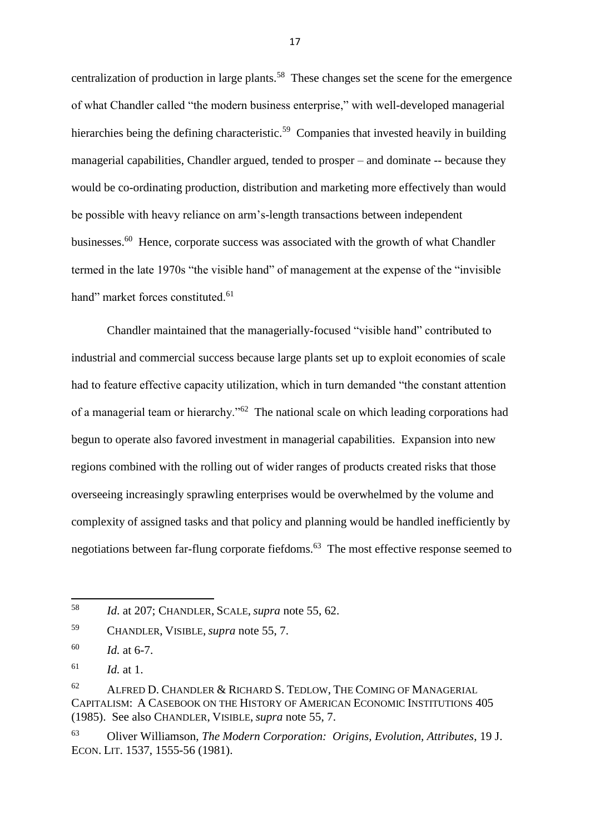centralization of production in large plants.<sup>58</sup> These changes set the scene for the emergence of what Chandler called "the modern business enterprise," with well-developed managerial hierarchies being the defining characteristic.<sup>59</sup> Companies that invested heavily in building managerial capabilities, Chandler argued, tended to prosper – and dominate -- because they would be co-ordinating production, distribution and marketing more effectively than would be possible with heavy reliance on arm's-length transactions between independent businesses.<sup>60</sup> Hence, corporate success was associated with the growth of what Chandler termed in the late 1970s "the visible hand" of management at the expense of the "invisible hand" market forces constituted.<sup>61</sup>

Chandler maintained that the managerially-focused "visible hand" contributed to industrial and commercial success because large plants set up to exploit economies of scale had to feature effective capacity utilization, which in turn demanded "the constant attention of a managerial team or hierarchy."<sup>62</sup> The national scale on which leading corporations had begun to operate also favored investment in managerial capabilities. Expansion into new regions combined with the rolling out of wider ranges of products created risks that those overseeing increasingly sprawling enterprises would be overwhelmed by the volume and complexity of assigned tasks and that policy and planning would be handled inefficiently by negotiations between far-flung corporate fiefdoms.<sup>63</sup> The most effective response seemed to

1

<sup>58</sup> *Id*. at 207; CHANDLER, SCALE, *supra* note 55, 62.

<sup>59</sup> CHANDLER, VISIBLE, *supra* note 55, 7.

<sup>60</sup> *Id.* at 6-7.

<sup>61</sup> *Id.* at 1.

 $62$  ALFRED D. CHANDLER & RICHARD S. TEDLOW, THE COMING OF MANAGERIAL CAPITALISM: A CASEBOOK ON THE HISTORY OF AMERICAN ECONOMIC INSTITUTIONS 405 (1985). See also CHANDLER, VISIBLE, *supra* note 55, 7.

<sup>63</sup> Oliver Williamson, *The Modern Corporation: Origins, Evolution, Attributes*, 19 J. ECON. LIT. 1537, 1555-56 (1981).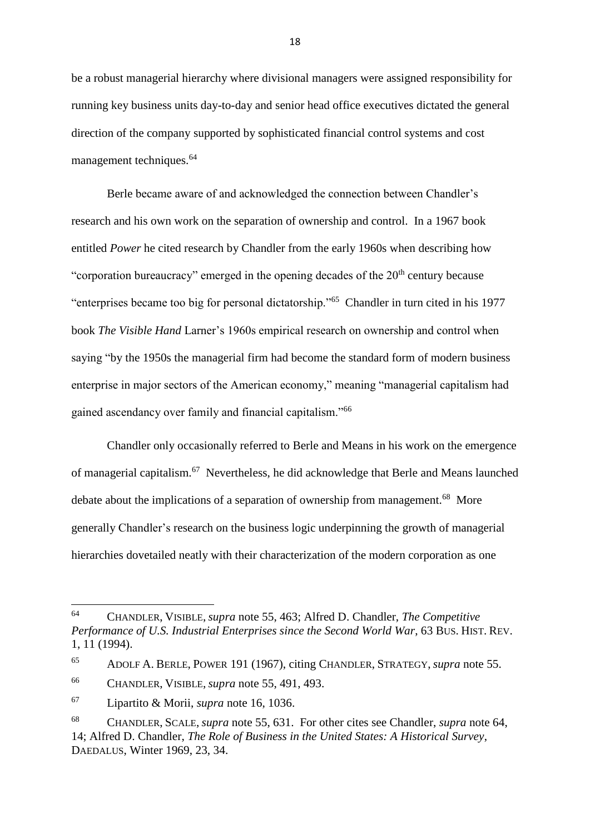be a robust managerial hierarchy where divisional managers were assigned responsibility for running key business units day-to-day and senior head office executives dictated the general direction of the company supported by sophisticated financial control systems and cost management techniques.<sup>64</sup>

Berle became aware of and acknowledged the connection between Chandler's research and his own work on the separation of ownership and control. In a 1967 book entitled *Power* he cited research by Chandler from the early 1960s when describing how "corporation bureaucracy" emerged in the opening decades of the  $20<sup>th</sup>$  century because "enterprises became too big for personal dictatorship."<sup>65</sup> Chandler in turn cited in his 1977 book *The Visible Hand* Larner's 1960s empirical research on ownership and control when saying "by the 1950s the managerial firm had become the standard form of modern business enterprise in major sectors of the American economy," meaning "managerial capitalism had gained ascendancy over family and financial capitalism."<sup>66</sup>

Chandler only occasionally referred to Berle and Means in his work on the emergence of managerial capitalism.<sup>67</sup> Nevertheless, he did acknowledge that Berle and Means launched debate about the implications of a separation of ownership from management.<sup>68</sup> More generally Chandler's research on the business logic underpinning the growth of managerial hierarchies dovetailed neatly with their characterization of the modern corporation as one

<sup>67</sup> Lipartito & Morii, *supra* note 16, 1036.

<sup>64</sup> CHANDLER, VISIBLE, *supra* note 55, 463; Alfred D. Chandler, *The Competitive Performance of U.S. Industrial Enterprises since the Second World War*, 63 BUS. HIST. REV. 1, 11 (1994).

<sup>65</sup> ADOLF A. BERLE, POWER 191 (1967), citing CHANDLER, STRATEGY, *supra* note 55.

<sup>66</sup> CHANDLER, VISIBLE, *supra* note 55, 491, 493.

<sup>68</sup> CHANDLER, SCALE, *supra* note 55, 631. For other cites see Chandler, *supra* note 64, 14; Alfred D. Chandler, *The Role of Business in the United States: A Historical Survey*, DAEDALUS, Winter 1969, 23, 34.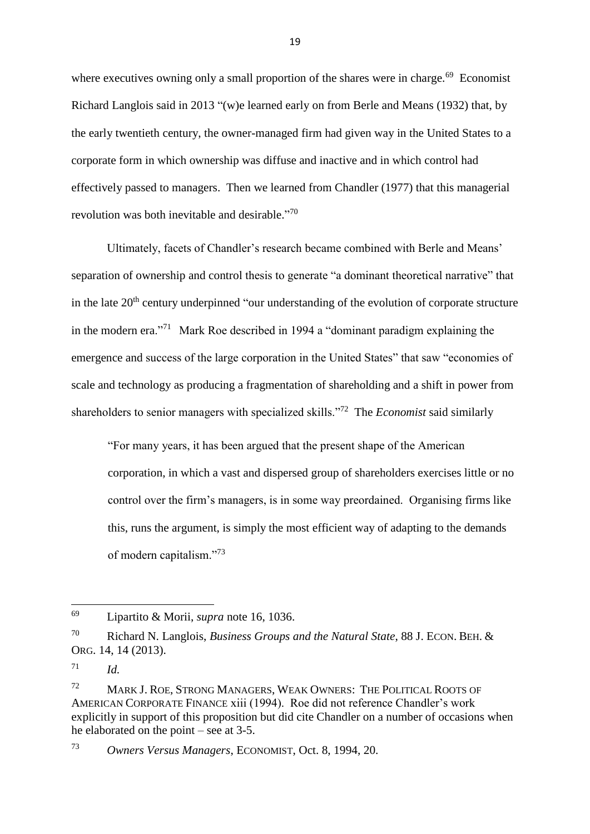where executives owning only a small proportion of the shares were in charge.<sup>69</sup> Economist Richard Langlois said in 2013 "(w)e learned early on from Berle and Means (1932) that, by the early twentieth century, the owner-managed firm had given way in the United States to a corporate form in which ownership was diffuse and inactive and in which control had effectively passed to managers. Then we learned from Chandler (1977) that this managerial revolution was both inevitable and desirable."<sup>70</sup>

Ultimately, facets of Chandler's research became combined with Berle and Means' separation of ownership and control thesis to generate "a dominant theoretical narrative" that in the late  $20<sup>th</sup>$  century underpinned "our understanding of the evolution of corporate structure in the modern era."<sup>71</sup> Mark Roe described in 1994 a "dominant paradigm explaining the emergence and success of the large corporation in the United States" that saw "economies of scale and technology as producing a fragmentation of shareholding and a shift in power from shareholders to senior managers with specialized skills."<sup>72</sup> The *Economist* said similarly

"For many years, it has been argued that the present shape of the American corporation, in which a vast and dispersed group of shareholders exercises little or no control over the firm's managers, is in some way preordained. Organising firms like this, runs the argument, is simply the most efficient way of adapting to the demands of modern capitalism."<sup>73</sup>

1

<sup>69</sup> Lipartito & Morii, *supra* note 16, 1036.

<sup>70</sup> Richard N. Langlois, *Business Groups and the Natural State*, 88 J. ECON. BEH. & ORG. 14, 14 (2013).

 $71$  *Id.* 

<sup>72</sup> MARK J. ROE, STRONG MANAGERS, WEAK OWNERS: THE POLITICAL ROOTS OF AMERICAN CORPORATE FINANCE xiii (1994). Roe did not reference Chandler's work explicitly in support of this proposition but did cite Chandler on a number of occasions when he elaborated on the point – see at 3-5.

<sup>73</sup> *Owners Versus Managers*, ECONOMIST, Oct. 8, 1994, 20.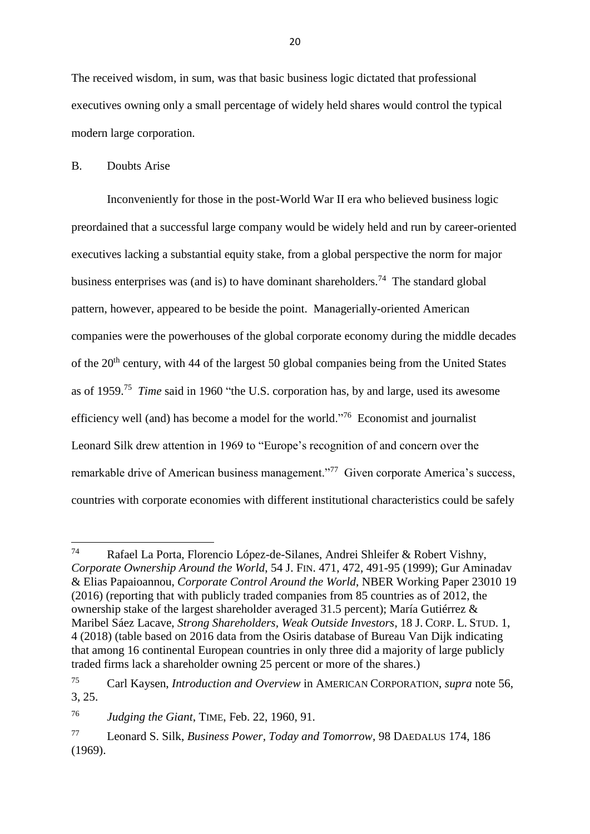The received wisdom, in sum, was that basic business logic dictated that professional executives owning only a small percentage of widely held shares would control the typical modern large corporation.

## B. Doubts Arise

Inconveniently for those in the post-World War II era who believed business logic preordained that a successful large company would be widely held and run by career-oriented executives lacking a substantial equity stake, from a global perspective the norm for major business enterprises was (and is) to have dominant shareholders.<sup>74</sup> The standard global pattern, however, appeared to be beside the point. Managerially-oriented American companies were the powerhouses of the global corporate economy during the middle decades of the  $20<sup>th</sup>$  century, with 44 of the largest 50 global companies being from the United States as of 1959.<sup>75</sup> *Time* said in 1960 "the U.S. corporation has, by and large, used its awesome efficiency well (and) has become a model for the world."<sup>76</sup> Economist and journalist Leonard Silk drew attention in 1969 to "Europe's recognition of and concern over the remarkable drive of American business management."<sup>77</sup> Given corporate America's success, countries with corporate economies with different institutional characteristics could be safely

<sup>74</sup> Rafael La Porta, Florencio López-de-Silanes, Andrei Shleifer & Robert Vishny, *Corporate Ownership Around the World*, 54 J. FIN. 471, 472, 491-95 (1999); [Gur Aminadav](http://www.nber.org/people/gur_aminadav) & [Elias Papaioannou,](http://www.nber.org/people/elias_papaioannou) *Corporate Control Around the World*, NBER Working Paper 23010 19 (2016) (reporting that with publicly traded companies from 85 countries as of 2012, the ownership stake of the largest shareholder averaged 31.5 percent); María Gutiérrez & Maribel Sáez Lacave, *Strong Shareholders, Weak Outside Investors*, 18 J. CORP. L. STUD. 1, 4 (2018) (table based on 2016 data from the Osiris database of Bureau Van Dijk indicating that among 16 continental European countries in only three did a majority of large publicly traded firms lack a shareholder owning 25 percent or more of the shares.)

<sup>75</sup> Carl Kaysen, *Introduction and Overview* in AMERICAN CORPORATION, *supra* note 56, 3, 25.

<sup>76</sup> *Judging the Giant*, TIME, Feb. 22, 1960, 91.

<sup>77</sup> Leonard S. Silk, *Business Power, Today and Tomorrow*, 98 DAEDALUS 174, 186 (1969).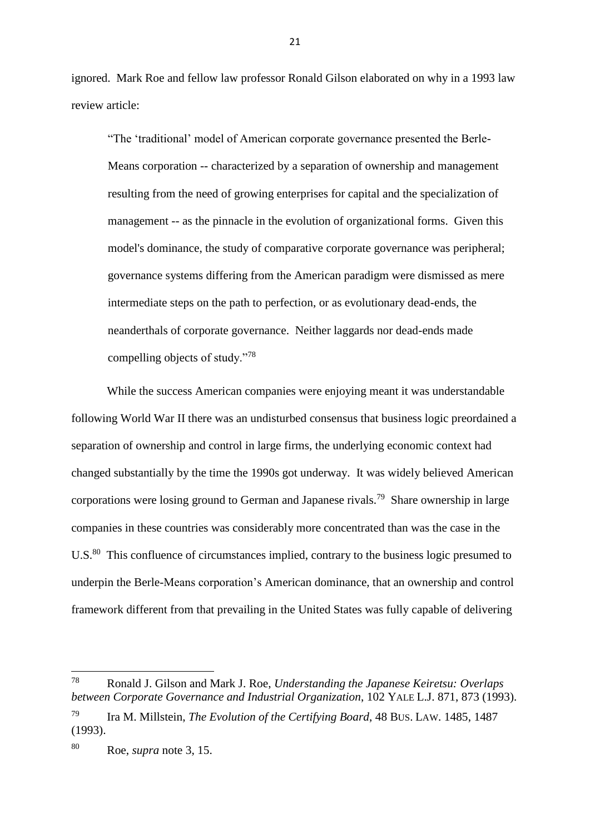ignored. Mark Roe and fellow law professor Ronald Gilson elaborated on why in a 1993 law review article:

"The 'traditional' model of American corporate governance presented the Berle-Means corporation -- characterized by a separation of ownership and management resulting from the need of growing enterprises for capital and the specialization of management -- as the pinnacle in the evolution of organizational forms. Given this model's dominance, the study of comparative corporate governance was peripheral; governance systems differing from the American paradigm were dismissed as mere intermediate steps on the path to perfection, or as evolutionary dead-ends, the neanderthals of corporate governance. Neither laggards nor dead-ends made compelling objects of study."<sup>78</sup>

While the success American companies were enjoying meant it was understandable following World War II there was an undisturbed consensus that business logic preordained a separation of ownership and control in large firms, the underlying economic context had changed substantially by the time the 1990s got underway. It was widely believed American corporations were losing ground to German and Japanese rivals.<sup>79</sup> Share ownership in large companies in these countries was considerably more concentrated than was the case in the U.S.<sup>80</sup> This confluence of circumstances implied, contrary to the business logic presumed to underpin the Berle-Means corporation's American dominance, that an ownership and control framework different from that prevailing in the United States was fully capable of delivering

**.** 

<sup>78</sup> Ronald J. Gilson and Mark J. Roe, *Understanding the Japanese Keiretsu: Overlaps between Corporate Governance and Industrial Organization*, 102 YALE L.J. 871, 873 (1993).

<sup>79</sup> Ira M. Millstein, *The Evolution of the Certifying Board*, 48 BUS. LAW. 1485, 1487 (1993).

<sup>80</sup> Roe, *supra* note 3, 15.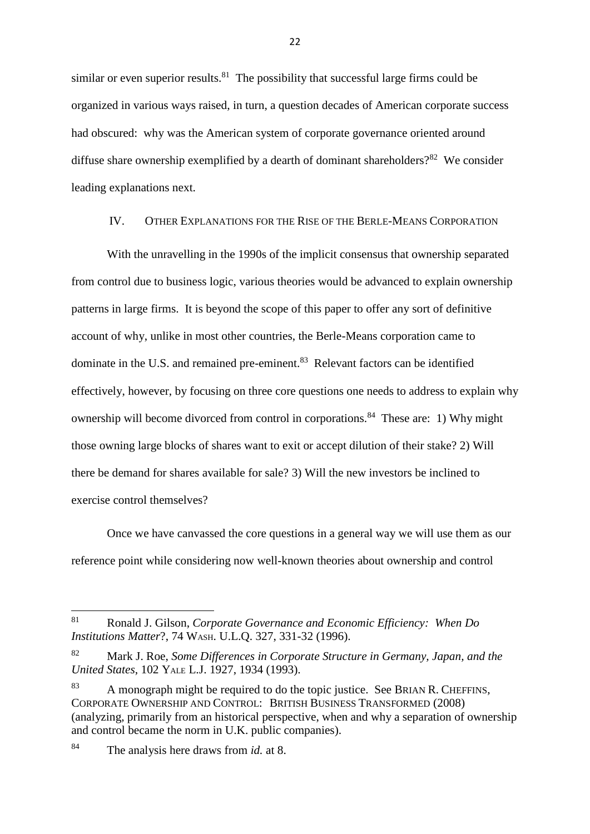similar or even superior results. $81$  The possibility that successful large firms could be organized in various ways raised, in turn, a question decades of American corporate success had obscured: why was the American system of corporate governance oriented around diffuse share ownership exemplified by a dearth of dominant shareholders?<sup>82</sup> We consider leading explanations next.

## IV. OTHER EXPLANATIONS FOR THE RISE OF THE BERLE-MEANS CORPORATION

With the unravelling in the 1990s of the implicit consensus that ownership separated from control due to business logic, various theories would be advanced to explain ownership patterns in large firms. It is beyond the scope of this paper to offer any sort of definitive account of why, unlike in most other countries, the Berle-Means corporation came to dominate in the U.S. and remained pre-eminent.<sup>83</sup> Relevant factors can be identified effectively, however, by focusing on three core questions one needs to address to explain why ownership will become divorced from control in corporations.<sup>84</sup> These are: 1) Why might those owning large blocks of shares want to exit or accept dilution of their stake? 2) Will there be demand for shares available for sale? 3) Will the new investors be inclined to exercise control themselves?

Once we have canvassed the core questions in a general way we will use them as our reference point while considering now well-known theories about ownership and control

<sup>81</sup> Ronald J. Gilson, *Corporate Governance and Economic Efficiency: When Do Institutions Matter*?, 74 WASH. U.L.Q. 327, 331-32 (1996).

<sup>82</sup> Mark J. Roe, *Some Differences in Corporate Structure in Germany, Japan, and the United States*, 102 YALE L.J. 1927, 1934 (1993).

<sup>83</sup> A monograph might be required to do the topic justice. See BRIAN R. CHEFFINS, CORPORATE OWNERSHIP AND CONTROL: BRITISH BUSINESS TRANSFORMED (2008) (analyzing, primarily from an historical perspective, when and why a separation of ownership and control became the norm in U.K. public companies).

<sup>84</sup> The analysis here draws from *id.* at 8.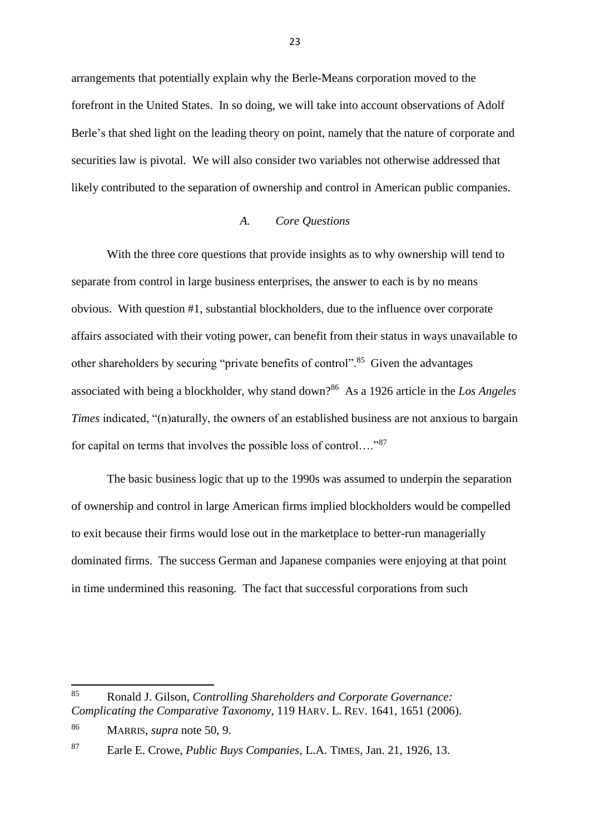arrangements that potentially explain why the Berle-Means corporation moved to the forefront in the United States. In so doing, we will take into account observations of Adolf Berle's that shed light on the leading theory on point, namely that the nature of corporate and securities law is pivotal. We will also consider two variables not otherwise addressed that likely contributed to the separation of ownership and control in American public companies.

### *A. Core Questions*

With the three core questions that provide insights as to why ownership will tend to separate from control in large business enterprises, the answer to each is by no means obvious. With question #1, substantial blockholders, due to the influence over corporate affairs associated with their voting power, can benefit from their status in ways unavailable to other shareholders by securing "private benefits of control".<sup>85</sup> Given the advantages associated with being a blockholder, why stand down?<sup>86</sup> As a 1926 article in the *Los Angeles Times* indicated, "(n)aturally, the owners of an established business are not anxious to bargain for capital on terms that involves the possible loss of control...."<sup>87</sup>

The basic business logic that up to the 1990s was assumed to underpin the separation of ownership and control in large American firms implied blockholders would be compelled to exit because their firms would lose out in the marketplace to better-run managerially dominated firms. The success German and Japanese companies were enjoying at that point in time undermined this reasoning. The fact that successful corporations from such

<sup>85</sup> <sup>85</sup> Ronald J. Gilson, *Controlling Shareholders and Corporate Governance: Complicating the Comparative Taxonomy*, 119 HARV. L. REV. 1641, 1651 (2006).

<sup>86</sup> MARRIS, *supra* note 50, 9.

<sup>87</sup> Earle E. Crowe, *Public Buys Companies*, L.A. TIMES, Jan. 21, 1926, 13.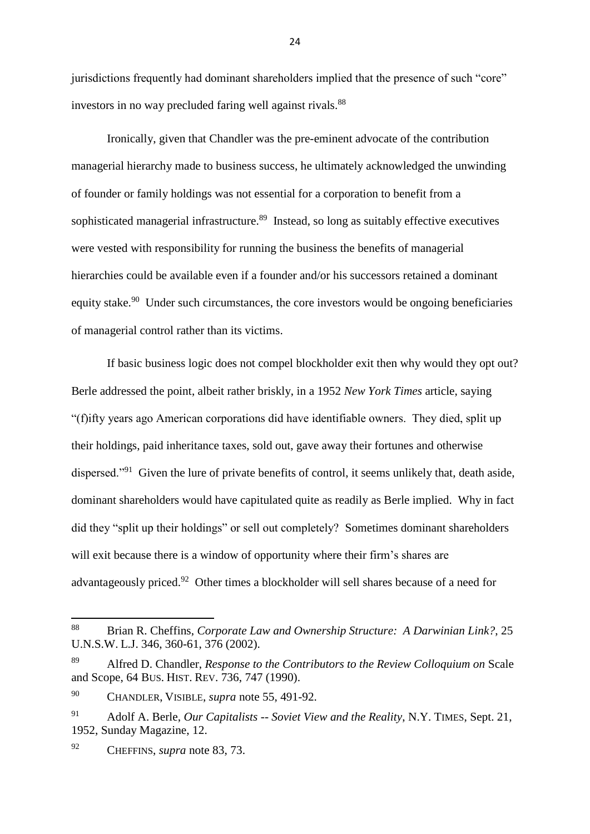jurisdictions frequently had dominant shareholders implied that the presence of such "core" investors in no way precluded faring well against rivals.<sup>88</sup>

Ironically, given that Chandler was the pre-eminent advocate of the contribution managerial hierarchy made to business success, he ultimately acknowledged the unwinding of founder or family holdings was not essential for a corporation to benefit from a sophisticated managerial infrastructure.<sup>89</sup> Instead, so long as suitably effective executives were vested with responsibility for running the business the benefits of managerial hierarchies could be available even if a founder and/or his successors retained a dominant equity stake.<sup>90</sup> Under such circumstances, the core investors would be ongoing beneficiaries of managerial control rather than its victims.

If basic business logic does not compel blockholder exit then why would they opt out? Berle addressed the point, albeit rather briskly, in a 1952 *New York Times* article, saying "(f)ifty years ago American corporations did have identifiable owners. They died, split up their holdings, paid inheritance taxes, sold out, gave away their fortunes and otherwise dispersed."<sup>91</sup> Given the lure of private benefits of control, it seems unlikely that, death aside, dominant shareholders would have capitulated quite as readily as Berle implied. Why in fact did they "split up their holdings" or sell out completely? Sometimes dominant shareholders will exit because there is a window of opportunity where their firm's shares are advantageously priced.<sup>92</sup> Other times a blockholder will sell shares because of a need for

<sup>88</sup> <sup>88</sup> Brian R. Cheffins, *Corporate Law and Ownership Structure: A Darwinian Link?*, 25 U.N.S.W. L.J. 346, 360-61, 376 (2002).

<sup>89</sup> Alfred D. Chandler, *Response to the Contributors to the Review Colloquium on* Scale and Scope, 64 BUS. HIST. REV. 736, 747 (1990).

<sup>90</sup> CHANDLER, VISIBLE, *supra* note 55, 491-92.

<sup>91</sup> Adolf A. Berle, *Our Capitalists -- Soviet View and the Reality*, N.Y. TIMES, Sept. 21, 1952, Sunday Magazine, 12.

<sup>92</sup> CHEFFINS, *supra* note 83, 73.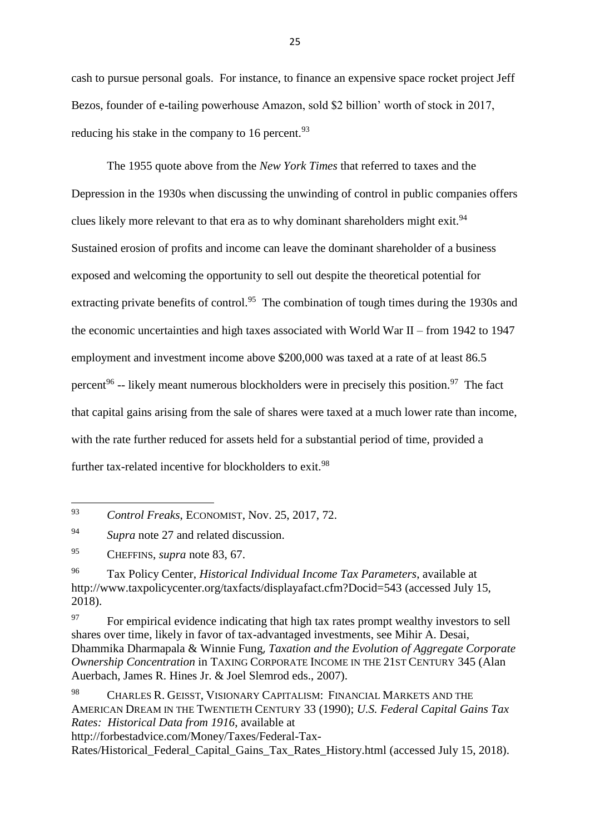cash to pursue personal goals. For instance, to finance an expensive space rocket project Jeff Bezos, founder of e-tailing powerhouse Amazon, sold \$2 billion' worth of stock in 2017, reducing his stake in the company to 16 percent. $93$ 

The 1955 quote above from the *New York Times* that referred to taxes and the Depression in the 1930s when discussing the unwinding of control in public companies offers clues likely more relevant to that era as to why dominant shareholders might exit.<sup>94</sup> Sustained erosion of profits and income can leave the dominant shareholder of a business exposed and welcoming the opportunity to sell out despite the theoretical potential for extracting private benefits of control.<sup>95</sup> The combination of tough times during the 1930s and the economic uncertainties and high taxes associated with World War II – from 1942 to 1947 employment and investment income above \$200,000 was taxed at a rate of at least 86.5 percent<sup>96</sup> -- likely meant numerous blockholders were in precisely this position.<sup>97</sup> The fact that capital gains arising from the sale of shares were taxed at a much lower rate than income, with the rate further reduced for assets held for a substantial period of time, provided a further tax-related incentive for blockholders to exit.<sup>98</sup>

**.** 

<sup>93</sup> *Control Freaks*, ECONOMIST, Nov. 25, 2017, 72.

<sup>94</sup> *Supra* note 27 and related discussion.

<sup>95</sup> CHEFFINS, *supra* note 83, 67.

<sup>96</sup> Tax Policy Center, *Historical Individual Income Tax Parameters*, available at <http://www.taxpolicycenter.org/taxfacts/displayafact.cfm?Docid=543> (accessed July 15, 2018).

<sup>&</sup>lt;sup>97</sup> For empirical evidence indicating that high tax rates prompt wealthy investors to sell shares over time, likely in favor of tax-advantaged investments, see Mihir A. Desai, Dhammika Dharmapala & Winnie Fung, *Taxation and the Evolution of Aggregate Corporate Ownership Concentration* in TAXING CORPORATE INCOME IN THE 21ST CENTURY 345 (Alan Auerbach, James R. Hines Jr. & Joel Slemrod eds., 2007).

<sup>98</sup> CHARLES R. GEISST, VISIONARY CAPITALISM: FINANCIAL MARKETS AND THE AMERICAN DREAM IN THE TWENTIETH CENTURY 33 (1990); *U.S. Federal Capital Gains Tax Rates: Historical Data from 1916*, available at

[http://forbestadvice.com/Money/Taxes/Federal-Tax-](http://forbestadvice.com/Money/Taxes/Federal-Tax-Rates/Historical_Federal_Capital_Gains_Tax_Rates_History.html)

Rates/Historical Federal Capital Gains Tax Rates History.html (accessed July 15, 2018).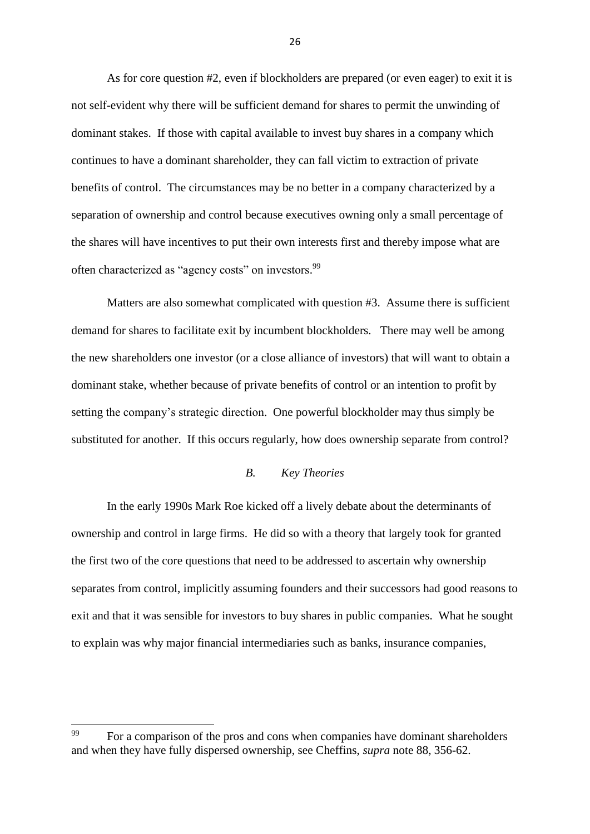As for core question #2, even if blockholders are prepared (or even eager) to exit it is not self-evident why there will be sufficient demand for shares to permit the unwinding of dominant stakes. If those with capital available to invest buy shares in a company which continues to have a dominant shareholder, they can fall victim to extraction of private benefits of control. The circumstances may be no better in a company characterized by a separation of ownership and control because executives owning only a small percentage of the shares will have incentives to put their own interests first and thereby impose what are often characterized as "agency costs" on investors.<sup>99</sup>

Matters are also somewhat complicated with question #3. Assume there is sufficient demand for shares to facilitate exit by incumbent blockholders. There may well be among the new shareholders one investor (or a close alliance of investors) that will want to obtain a dominant stake, whether because of private benefits of control or an intention to profit by setting the company's strategic direction. One powerful blockholder may thus simply be substituted for another. If this occurs regularly, how does ownership separate from control?

## *B. Key Theories*

In the early 1990s Mark Roe kicked off a lively debate about the determinants of ownership and control in large firms. He did so with a theory that largely took for granted the first two of the core questions that need to be addressed to ascertain why ownership separates from control, implicitly assuming founders and their successors had good reasons to exit and that it was sensible for investors to buy shares in public companies. What he sought to explain was why major financial intermediaries such as banks, insurance companies,

<sup>99</sup> <sup>99</sup> For a comparison of the pros and cons when companies have dominant shareholders and when they have fully dispersed ownership, see Cheffins, *supra* note 88, 356-62.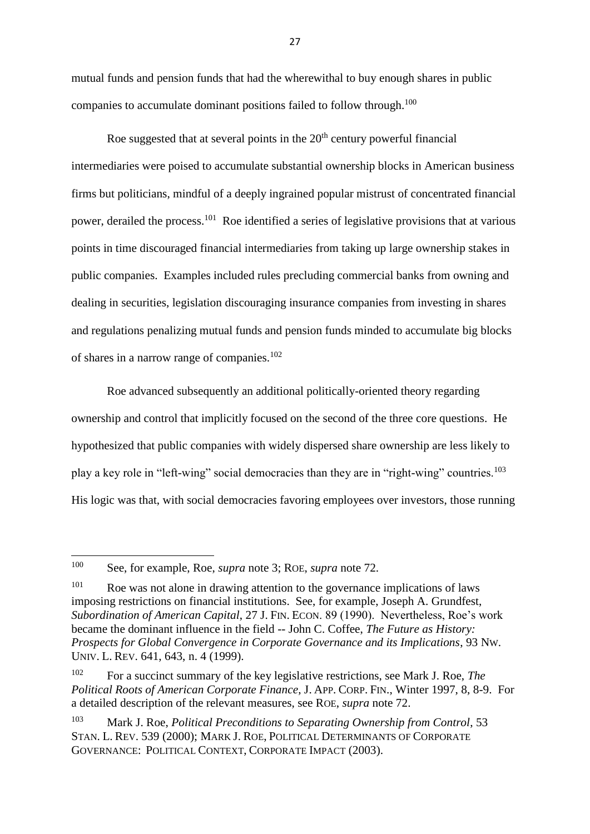mutual funds and pension funds that had the wherewithal to buy enough shares in public companies to accumulate dominant positions failed to follow through.<sup>100</sup>

Roe suggested that at several points in the  $20<sup>th</sup>$  century powerful financial intermediaries were poised to accumulate substantial ownership blocks in American business firms but politicians, mindful of a deeply ingrained popular mistrust of concentrated financial power, derailed the process.<sup>101</sup> Roe identified a series of legislative provisions that at various points in time discouraged financial intermediaries from taking up large ownership stakes in public companies. Examples included rules precluding commercial banks from owning and dealing in securities, legislation discouraging insurance companies from investing in shares and regulations penalizing mutual funds and pension funds minded to accumulate big blocks of shares in a narrow range of companies.<sup>102</sup>

Roe advanced subsequently an additional politically-oriented theory regarding ownership and control that implicitly focused on the second of the three core questions. He hypothesized that public companies with widely dispersed share ownership are less likely to play a key role in "left-wing" social democracies than they are in "right-wing" countries.<sup>103</sup> His logic was that, with social democracies favoring employees over investors, those running

<sup>100</sup> <sup>100</sup> See, for example, Roe, *supra* note 3; ROE, *supra* note 72.

<sup>&</sup>lt;sup>101</sup> Roe was not alone in drawing attention to the governance implications of laws imposing restrictions on financial institutions. See, for example, Joseph A. Grundfest, *Subordination of American Capital*, 27 J. FIN. ECON. 89 (1990). Nevertheless, Roe's work became the dominant influence in the field -- John C. Coffee, *The Future as History: Prospects for Global Convergence in Corporate Governance and its Implications*, 93 NW. UNIV. L. REV. 641, 643, n. 4 (1999).

<sup>102</sup> For a succinct summary of the key legislative restrictions, see Mark J. Roe, *The Political Roots of American Corporate Finance*, J. APP. CORP. FIN., Winter 1997, 8, 8-9. For a detailed description of the relevant measures, see ROE, *supra* note 72.

<sup>103</sup> Mark J. Roe, *Political Preconditions to Separating Ownership from Control*, 53 STAN. L. REV. 539 (2000); MARK J. ROE, POLITICAL DETERMINANTS OF CORPORATE GOVERNANCE: POLITICAL CONTEXT, CORPORATE IMPACT (2003).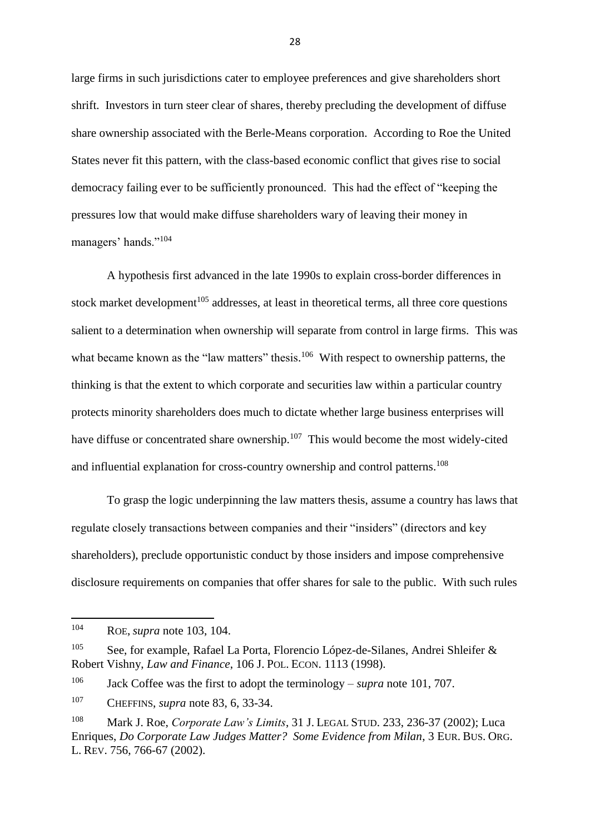large firms in such jurisdictions cater to employee preferences and give shareholders short shrift. Investors in turn steer clear of shares, thereby precluding the development of diffuse share ownership associated with the Berle-Means corporation. According to Roe the United States never fit this pattern, with the class-based economic conflict that gives rise to social democracy failing ever to be sufficiently pronounced. This had the effect of "keeping the pressures low that would make diffuse shareholders wary of leaving their money in managers' hands."<sup>104</sup>

A hypothesis first advanced in the late 1990s to explain cross-border differences in stock market development<sup>105</sup> addresses, at least in theoretical terms, all three core questions salient to a determination when ownership will separate from control in large firms. This was what became known as the "law matters" thesis.<sup>106</sup> With respect to ownership patterns, the thinking is that the extent to which corporate and securities law within a particular country protects minority shareholders does much to dictate whether large business enterprises will have diffuse or concentrated share ownership.<sup>107</sup> This would become the most widely-cited and influential explanation for cross-country ownership and control patterns.<sup>108</sup>

To grasp the logic underpinning the law matters thesis, assume a country has laws that regulate closely transactions between companies and their "insiders" (directors and key shareholders), preclude opportunistic conduct by those insiders and impose comprehensive disclosure requirements on companies that offer shares for sale to the public. With such rules

<sup>106</sup> Jack Coffee was the first to adopt the terminology – *supra* note 101, 707.

<sup>107</sup> CHEFFINS, *supra* note 83, 6, 33-34.

<sup>104</sup> <sup>104</sup> ROE, *supra* note 103, 104.

<sup>&</sup>lt;sup>105</sup> See, for example, Rafael La Porta, Florencio López-de-Silanes, Andrei Shleifer & Robert Vishny, *Law and Finance*, 106 J. POL. ECON. 1113 (1998).

<sup>108</sup> Mark J. Roe, *Corporate Law's Limits*, 31 J. LEGAL STUD. 233, 236-37 (2002); Luca Enriques, *Do Corporate Law Judges Matter? Some Evidence from Milan*, 3 EUR. BUS. ORG. L. REV. 756, 766-67 (2002).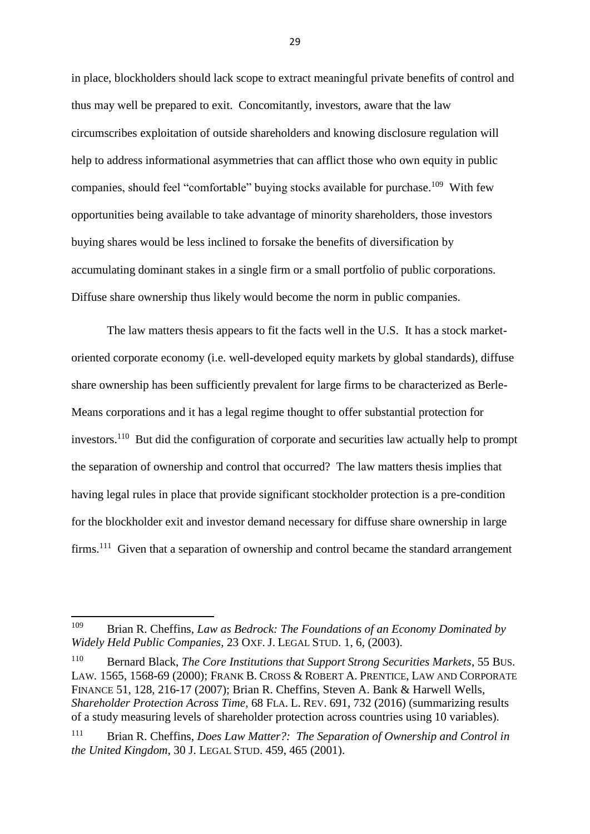in place, blockholders should lack scope to extract meaningful private benefits of control and thus may well be prepared to exit. Concomitantly, investors, aware that the law circumscribes exploitation of outside shareholders and knowing disclosure regulation will help to address informational asymmetries that can afflict those who own equity in public companies, should feel "comfortable" buying stocks available for purchase.<sup>109</sup> With few opportunities being available to take advantage of minority shareholders, those investors buying shares would be less inclined to forsake the benefits of diversification by accumulating dominant stakes in a single firm or a small portfolio of public corporations. Diffuse share ownership thus likely would become the norm in public companies.

The law matters thesis appears to fit the facts well in the U.S. It has a stock marketoriented corporate economy (i.e. well-developed equity markets by global standards), diffuse share ownership has been sufficiently prevalent for large firms to be characterized as Berle-Means corporations and it has a legal regime thought to offer substantial protection for investors.<sup>110</sup> But did the configuration of corporate and securities law actually help to prompt the separation of ownership and control that occurred? The law matters thesis implies that having legal rules in place that provide significant stockholder protection is a pre-condition for the blockholder exit and investor demand necessary for diffuse share ownership in large firms.<sup>111</sup> Given that a separation of ownership and control became the standard arrangement

<sup>109</sup> Brian R. Cheffins, *Law as Bedrock: The Foundations of an Economy Dominated by Widely Held Public Companies*, 23 OXF. J. LEGAL STUD. 1, 6, (2003).

<sup>110</sup> Bernard Black, *The Core Institutions that Support Strong Securities Markets*, 55 BUS. LAW*.* 1565, 1568-69 (2000); FRANK B. CROSS & ROBERT A. PRENTICE, LAW AND CORPORATE FINANCE 51, 128, 216-17 (2007); Brian R. Cheffins, Steven A. Bank & Harwell Wells, *Shareholder Protection Across Time*, 68 FLA. L. REV. 691, 732 (2016) (summarizing results of a study measuring levels of shareholder protection across countries using 10 variables).

<sup>111</sup> Brian R. Cheffins, *Does Law Matter?: The Separation of Ownership and Control in the United Kingdom*, 30 J. LEGAL STUD. 459, 465 (2001).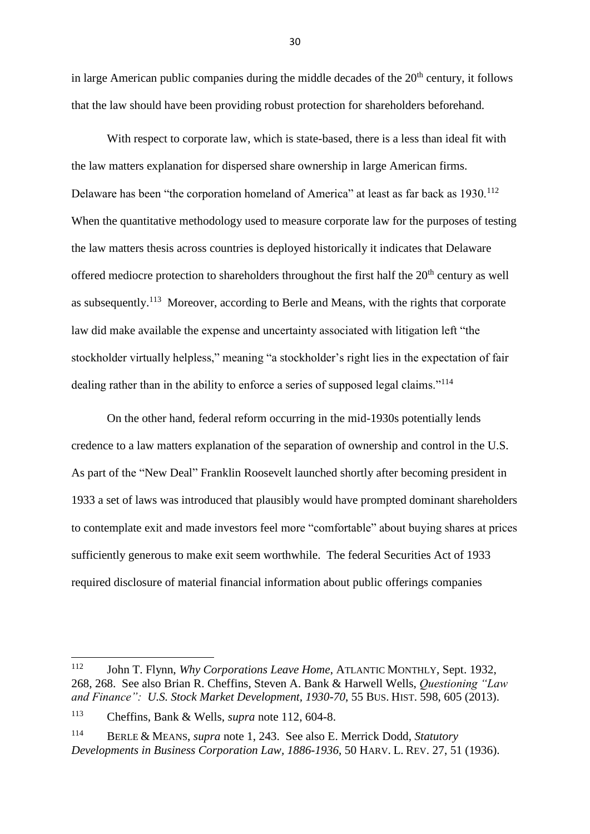in large American public companies during the middle decades of the  $20<sup>th</sup>$  century, it follows that the law should have been providing robust protection for shareholders beforehand.

With respect to corporate law, which is state-based, there is a less than ideal fit with the law matters explanation for dispersed share ownership in large American firms. Delaware has been "the corporation homeland of America" at least as far back as 1930.<sup>112</sup> When the quantitative methodology used to measure corporate law for the purposes of testing the law matters thesis across countries is deployed historically it indicates that Delaware offered mediocre protection to shareholders throughout the first half the  $20<sup>th</sup>$  century as well as subsequently.<sup>113</sup> Moreover, according to Berle and Means, with the rights that corporate law did make available the expense and uncertainty associated with litigation left "the stockholder virtually helpless," meaning "a stockholder's right lies in the expectation of fair dealing rather than in the ability to enforce a series of supposed legal claims."<sup>114</sup>

On the other hand, federal reform occurring in the mid-1930s potentially lends credence to a law matters explanation of the separation of ownership and control in the U.S. As part of the "New Deal" Franklin Roosevelt launched shortly after becoming president in 1933 a set of laws was introduced that plausibly would have prompted dominant shareholders to contemplate exit and made investors feel more "comfortable" about buying shares at prices sufficiently generous to make exit seem worthwhile. The federal Securities Act of 1933 required disclosure of material financial information about public offerings companies

<sup>112</sup> <sup>112</sup> John T. Flynn, *Why Corporations Leave Home*, ATLANTIC MONTHLY, Sept. 1932, 268, 268. See also Brian R. Cheffins, Steven A. Bank & Harwell Wells, *Questioning "Law and Finance": U.S. Stock Market Development, 1930-70*, 55 BUS. HIST. 598, 605 (2013).

<sup>113</sup> Cheffins, Bank & Wells, *supra* note 112, 604-8.

<sup>114</sup> BERLE & MEANS, *supra* note 1, 243. See also E. Merrick Dodd, *Statutory Developments in Business Corporation Law, 1886-1936*, 50 HARV. L. REV. 27, 51 (1936).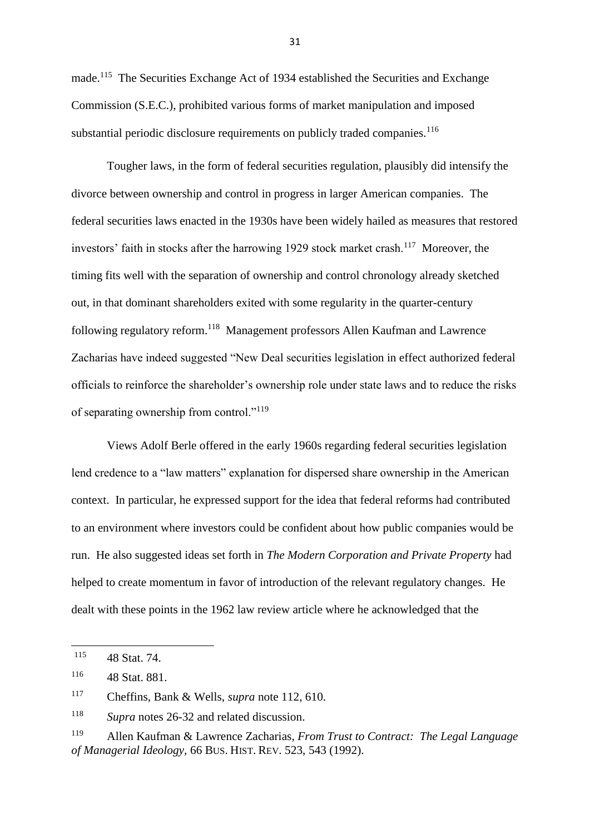made.<sup>115</sup> The Securities Exchange Act of 1934 established the Securities and Exchange Commission (S.E.C.), prohibited various forms of market manipulation and imposed substantial periodic disclosure requirements on publicly traded companies.<sup>116</sup>

Tougher laws, in the form of federal securities regulation, plausibly did intensify the divorce between ownership and control in progress in larger American companies. The federal securities laws enacted in the 1930s have been widely hailed as measures that restored investors' faith in stocks after the harrowing 1929 stock market crash.<sup>117</sup> Moreover, the timing fits well with the separation of ownership and control chronology already sketched out, in that dominant shareholders exited with some regularity in the quarter-century following regulatory reform.<sup>118</sup> Management professors Allen Kaufman and Lawrence Zacharias have indeed suggested "New Deal securities legislation in effect authorized federal officials to reinforce the shareholder's ownership role under state laws and to reduce the risks of separating ownership from control."<sup>119</sup>

Views Adolf Berle offered in the early 1960s regarding federal securities legislation lend credence to a "law matters" explanation for dispersed share ownership in the American context. In particular, he expressed support for the idea that federal reforms had contributed to an environment where investors could be confident about how public companies would be run. He also suggested ideas set forth in *The Modern Corporation and Private Property* had helped to create momentum in favor of introduction of the relevant regulatory changes. He dealt with these points in the 1962 law review article where he acknowledged that the

<sup>115</sup> 48 Stat. 74.

<sup>116</sup> 48 Stat. 881.

<sup>117</sup> Cheffins, Bank & Wells, *supra* note 112, 610.

<sup>118</sup> *Supra* notes 26-32 and related discussion.

<sup>119</sup> Allen Kaufman & Lawrence Zacharias*, From Trust to Contract: The Legal Language of Managerial Ideology*, 66 BUS. HIST. REV. 523, 543 (1992).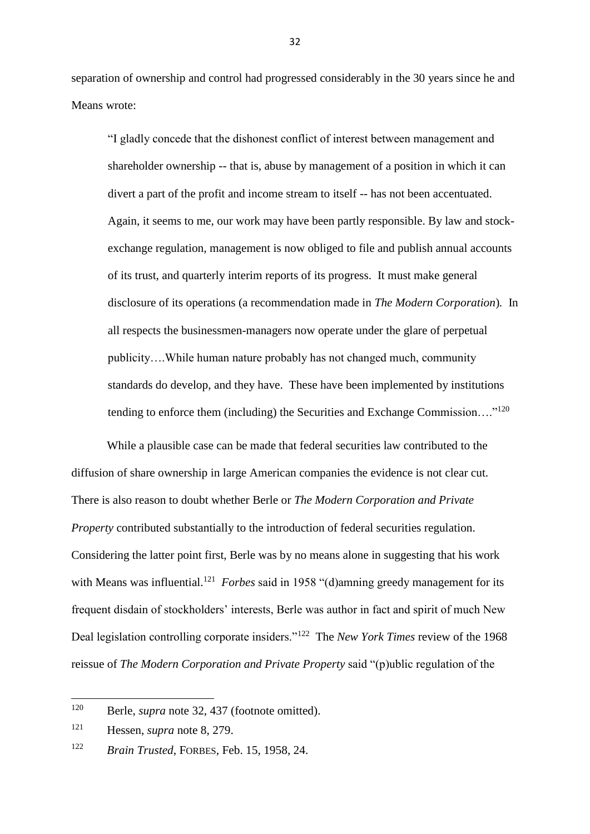separation of ownership and control had progressed considerably in the 30 years since he and Means wrote:

"I gladly concede that the dishonest conflict of interest between management and shareholder ownership -- that is, abuse by management of a position in which it can divert a part of the profit and income stream to itself -- has not been accentuated. Again, it seems to me, our work may have been partly responsible. By law and stockexchange regulation, management is now obliged to file and publish annual accounts of its trust, and quarterly interim reports of its progress. It must make general disclosure of its operations (a recommendation made in *The Modern Corporation*)*.* In all respects the businessmen-managers now operate under the glare of perpetual publicity….While human nature probably has not changed much, community standards do develop, and they have. These have been implemented by institutions tending to enforce them (including) the Securities and Exchange Commission...."<sup>120</sup>

While a plausible case can be made that federal securities law contributed to the diffusion of share ownership in large American companies the evidence is not clear cut. There is also reason to doubt whether Berle or *The Modern Corporation and Private Property* contributed substantially to the introduction of federal securities regulation. Considering the latter point first, Berle was by no means alone in suggesting that his work with Means was influential.<sup>121</sup> Forbes said in 1958 "(d)amning greedy management for its frequent disdain of stockholders' interests, Berle was author in fact and spirit of much New Deal legislation controlling corporate insiders."<sup>122</sup> The *New York Times* review of the 1968 reissue of *The Modern Corporation and Private Property* said "(p)ublic regulation of the

<sup>120</sup> Berle, *supra* note 32, 437 (footnote omitted).

<sup>121</sup> Hessen, *supra* note 8, 279.

<sup>122</sup> *Brain Trusted*, FORBES, Feb. 15, 1958, 24.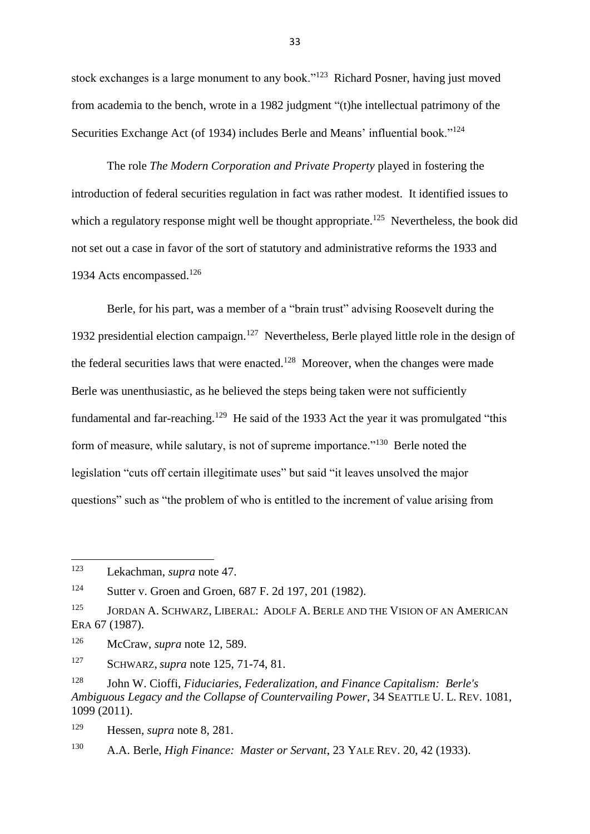stock exchanges is a large monument to any book."<sup>123</sup> Richard Posner, having just moved from academia to the bench, wrote in a 1982 judgment "(t)he intellectual patrimony of the Securities Exchange Act (of 1934) includes Berle and Means' influential book."<sup>124</sup>

The role *The Modern Corporation and Private Property* played in fostering the introduction of federal securities regulation in fact was rather modest. It identified issues to which a regulatory response might well be thought appropriate.<sup>125</sup> Nevertheless, the book did not set out a case in favor of the sort of statutory and administrative reforms the 1933 and 1934 Acts encompassed.<sup>126</sup>

Berle, for his part, was a member of a "brain trust" advising Roosevelt during the 1932 presidential election campaign.<sup>127</sup> Nevertheless, Berle played little role in the design of the federal securities laws that were enacted.<sup>128</sup> Moreover, when the changes were made Berle was unenthusiastic, as he believed the steps being taken were not sufficiently fundamental and far-reaching.<sup>129</sup> He said of the 1933 Act the year it was promulgated "this form of measure, while salutary, is not of supreme importance."<sup>130</sup> Berle noted the legislation "cuts off certain illegitimate uses" but said "it leaves unsolved the major questions" such as "the problem of who is entitled to the increment of value arising from

<sup>123</sup> Lekachman, *supra* note 47.

<sup>124</sup> Sutter v. Groen and Groen, 687 F. 2d 197, 201 (1982).

<sup>125</sup> JORDAN A. SCHWARZ, LIBERAL: ADOLF A. BERLE AND THE VISION OF AN AMERICAN ERA 67 (1987).

<sup>126</sup> McCraw, *supra* note 12, 589.

<sup>127</sup> SCHWARZ, *supra* note 125, 71-74, 81.

<sup>128</sup> John W. Cioffi, *Fiduciaries, Federalization, and Finance Capitalism: Berle's Ambiguous Legacy and the Collapse of Countervailing Power*, 34 SEATTLE U. L. REV. 1081, 1099 (2011).

<sup>129</sup> Hessen, *supra* note 8, 281.

<sup>130</sup> A.A. Berle, *High Finance: Master or Servant*, 23 YALE REV. 20, 42 (1933).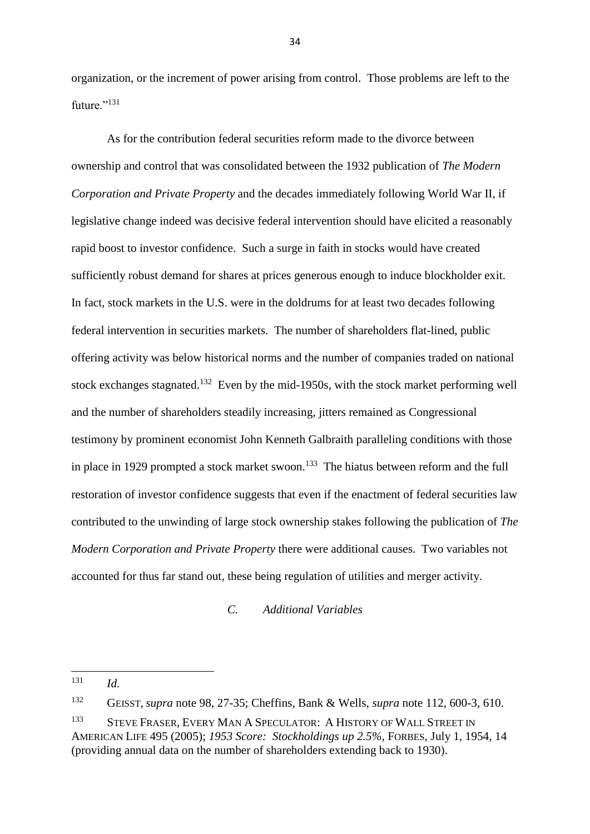organization, or the increment of power arising from control. Those problems are left to the future."<sup>131</sup>

As for the contribution federal securities reform made to the divorce between ownership and control that was consolidated between the 1932 publication of *The Modern Corporation and Private Property* and the decades immediately following World War II, if legislative change indeed was decisive federal intervention should have elicited a reasonably rapid boost to investor confidence. Such a surge in faith in stocks would have created sufficiently robust demand for shares at prices generous enough to induce blockholder exit. In fact, stock markets in the U.S. were in the doldrums for at least two decades following federal intervention in securities markets. The number of shareholders flat-lined, public offering activity was below historical norms and the number of companies traded on national stock exchanges stagnated.<sup>132</sup> Even by the mid-1950s, with the stock market performing well and the number of shareholders steadily increasing, jitters remained as Congressional testimony by prominent economist John Kenneth Galbraith paralleling conditions with those in place in 1929 prompted a stock market swoon.<sup>133</sup> The hiatus between reform and the full restoration of investor confidence suggests that even if the enactment of federal securities law contributed to the unwinding of large stock ownership stakes following the publication of *The Modern Corporation and Private Property* there were additional causes. Two variables not accounted for thus far stand out, these being regulation of utilities and merger activity.

*C. Additional Variables*

**.** 

<sup>131</sup> *Id.*

<sup>132</sup> GEISST, *supra* note 98, 27-35; Cheffins, Bank & Wells, *supra* note 112, 600-3, 610.

<sup>133</sup> STEVE FRASER, EVERY MAN A SPECULATOR: A HISTORY OF WALL STREET IN AMERICAN LIFE 495 (2005); *1953 Score: Stockholdings up 2.5%*, FORBES, July 1, 1954, 14 (providing annual data on the number of shareholders extending back to 1930).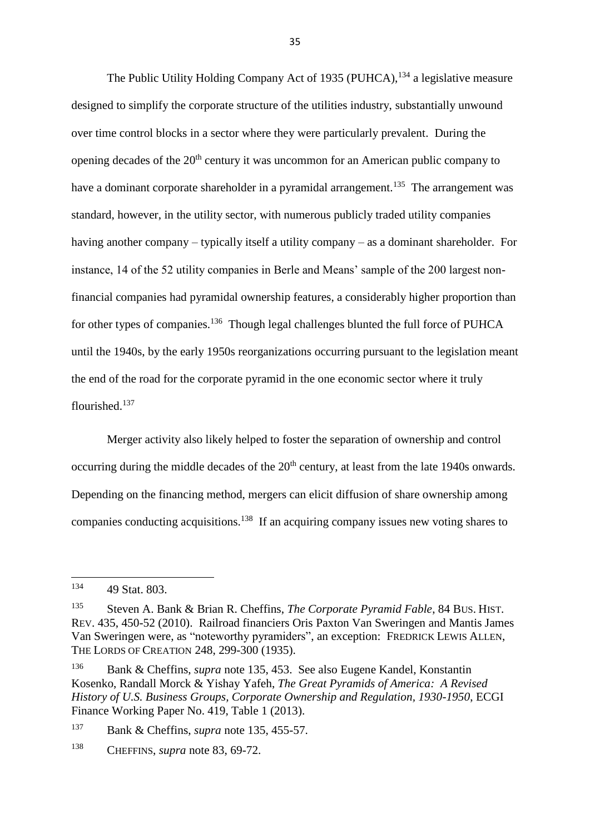The Public Utility Holding Company Act of 1935 (PUHCA), <sup>134</sup> a legislative measure designed to simplify the corporate structure of the utilities industry, substantially unwound over time control blocks in a sector where they were particularly prevalent. During the opening decades of the  $20<sup>th</sup>$  century it was uncommon for an American public company to have a dominant corporate shareholder in a pyramidal arrangement.<sup>135</sup> The arrangement was standard, however, in the utility sector, with numerous publicly traded utility companies having another company – typically itself a utility company – as a dominant shareholder. For instance, 14 of the 52 utility companies in Berle and Means' sample of the 200 largest nonfinancial companies had pyramidal ownership features, a considerably higher proportion than for other types of companies.<sup>136</sup> Though legal challenges blunted the full force of PUHCA until the 1940s, by the early 1950s reorganizations occurring pursuant to the legislation meant the end of the road for the corporate pyramid in the one economic sector where it truly flourished.<sup>137</sup>

Merger activity also likely helped to foster the separation of ownership and control occurring during the middle decades of the 20<sup>th</sup> century, at least from the late 1940s onwards. Depending on the financing method, mergers can elicit diffusion of share ownership among companies conducting acquisitions.<sup>138</sup> If an acquiring company issues new voting shares to

**.** 

<sup>134</sup> 49 Stat. 803.

<sup>135</sup> Steven A. Bank & Brian R. Cheffins, *The Corporate Pyramid Fable*, 84 BUS. HIST. REV. 435, 450-52 (2010). Railroad financiers Oris Paxton Van Sweringen and Mantis James Van Sweringen were, as "noteworthy pyramiders", an exception: FREDRICK LEWIS ALLEN, THE LORDS OF CREATION 248, 299-300 (1935).

<sup>136</sup> Bank & Cheffins, *supra* note 135, 453. See also Eugene Kandel, Konstantin Kosenko, Randall Morck & Yishay Yafeh, *The Great Pyramids of America: A Revised History of U.S. Business Groups, Corporate Ownership and Regulation, 1930-1950*, ECGI Finance Working Paper No. 419, Table 1 (2013).

<sup>137</sup> Bank & Cheffins, *supra* note 135, 455-57.

<sup>138</sup> CHEFFINS, *supra* note 83, 69-72.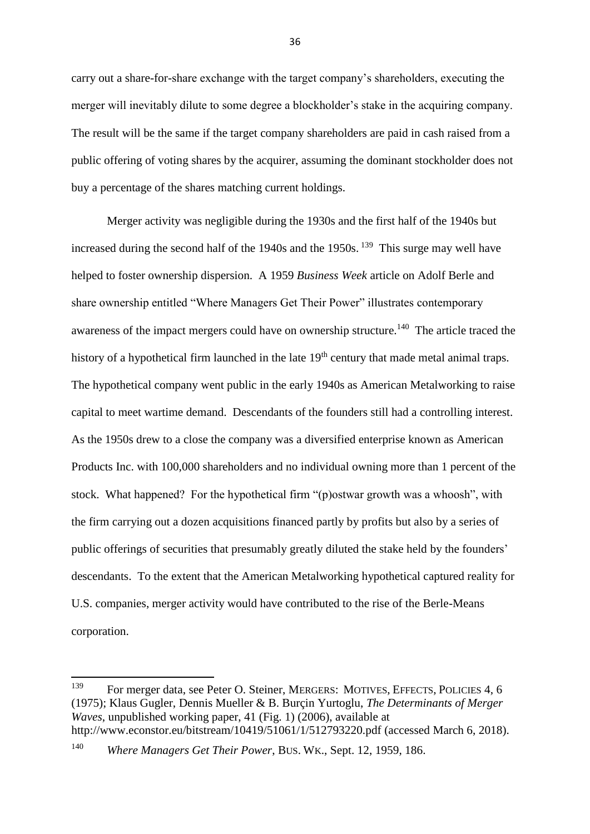carry out a share-for-share exchange with the target company's shareholders, executing the merger will inevitably dilute to some degree a blockholder's stake in the acquiring company. The result will be the same if the target company shareholders are paid in cash raised from a public offering of voting shares by the acquirer, assuming the dominant stockholder does not buy a percentage of the shares matching current holdings.

Merger activity was negligible during the 1930s and the first half of the 1940s but increased during the second half of the  $1940s$  and the  $1950s$ . <sup>139</sup> This surge may well have helped to foster ownership dispersion. A 1959 *Business Week* article on Adolf Berle and share ownership entitled "Where Managers Get Their Power" illustrates contemporary awareness of the impact mergers could have on ownership structure.<sup>140</sup> The article traced the history of a hypothetical firm launched in the late  $19<sup>th</sup>$  century that made metal animal traps. The hypothetical company went public in the early 1940s as American Metalworking to raise capital to meet wartime demand. Descendants of the founders still had a controlling interest. As the 1950s drew to a close the company was a diversified enterprise known as American Products Inc. with 100,000 shareholders and no individual owning more than 1 percent of the stock. What happened? For the hypothetical firm "(p)ostwar growth was a whoosh", with the firm carrying out a dozen acquisitions financed partly by profits but also by a series of public offerings of securities that presumably greatly diluted the stake held by the founders' descendants. To the extent that the American Metalworking hypothetical captured reality for U.S. companies, merger activity would have contributed to the rise of the Berle-Means corporation.

**.** 

<sup>139</sup> For merger data, see Peter O. Steiner, MERGERS: MOTIVES, EFFECTS, POLICIES 4, 6 (1975); Klaus Gugler, Dennis Mueller & B. Burçin Yurtoglu, *The Determinants of Merger Waves*, unpublished working paper, 41 (Fig. 1) (2006), available at <http://www.econstor.eu/bitstream/10419/51061/1/512793220.pdf> (accessed March 6, 2018).

<sup>140</sup> *Where Managers Get Their Power*, BUS. WK., Sept. 12, 1959, 186.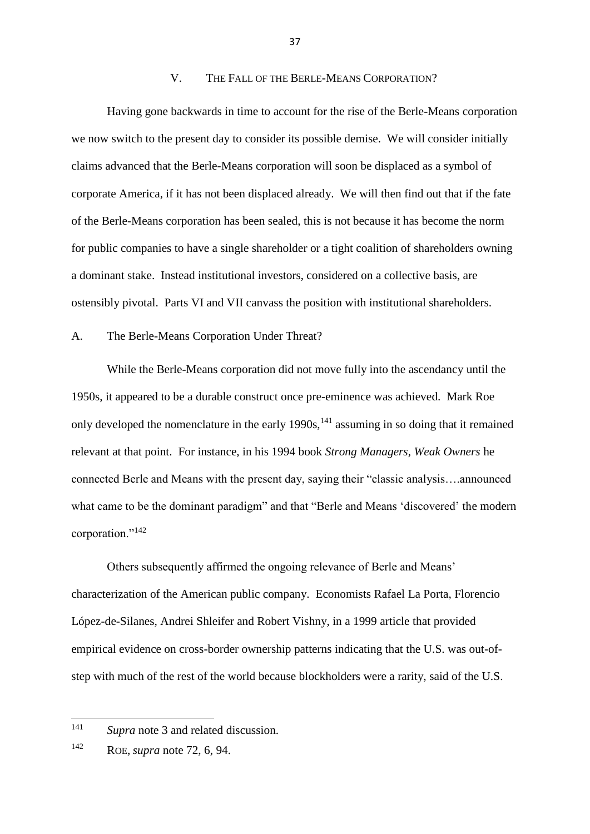### V. THE FALL OF THE BERLE-MEANS CORPORATION?

Having gone backwards in time to account for the rise of the Berle-Means corporation we now switch to the present day to consider its possible demise. We will consider initially claims advanced that the Berle-Means corporation will soon be displaced as a symbol of corporate America, if it has not been displaced already. We will then find out that if the fate of the Berle-Means corporation has been sealed, this is not because it has become the norm for public companies to have a single shareholder or a tight coalition of shareholders owning a dominant stake. Instead institutional investors, considered on a collective basis, are ostensibly pivotal. Parts VI and VII canvass the position with institutional shareholders.

### A. The Berle-Means Corporation Under Threat?

While the Berle-Means corporation did not move fully into the ascendancy until the 1950s, it appeared to be a durable construct once pre-eminence was achieved. Mark Roe only developed the nomenclature in the early  $1990s$ ,<sup>141</sup> assuming in so doing that it remained relevant at that point. For instance, in his 1994 book *Strong Managers, Weak Owners* he connected Berle and Means with the present day, saying their "classic analysis….announced what came to be the dominant paradigm" and that "Berle and Means 'discovered' the modern corporation."<sup>142</sup>

Others subsequently affirmed the ongoing relevance of Berle and Means' characterization of the American public company. Economists Rafael La Porta, Florencio López-de-Silanes, Andrei Shleifer and Robert Vishny, in a 1999 article that provided empirical evidence on cross-border ownership patterns indicating that the U.S. was out-ofstep with much of the rest of the world because blockholders were a rarity, said of the U.S.

<sup>141</sup> Supra note 3 and related discussion.

<sup>142</sup> ROE, *supra* note 72, 6, 94.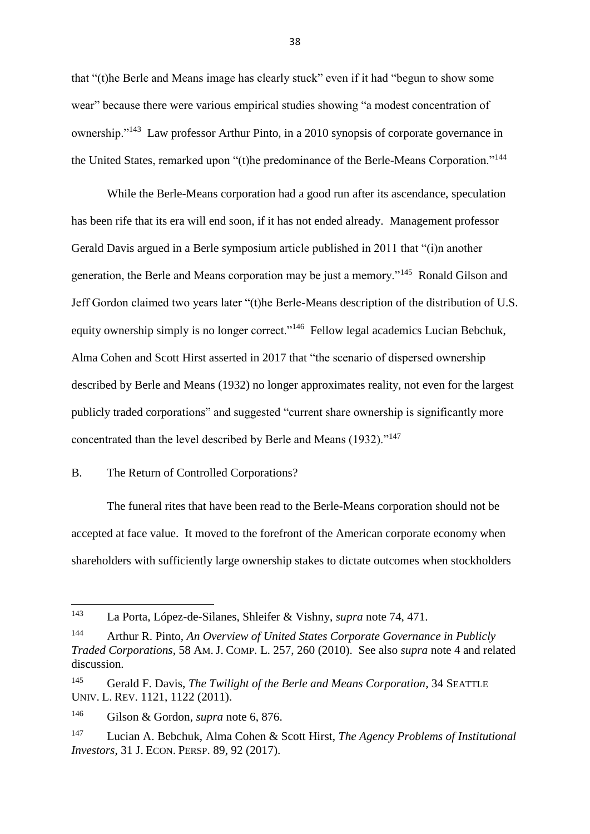that "(t)he Berle and Means image has clearly stuck" even if it had "begun to show some wear" because there were various empirical studies showing "a modest concentration of ownership."<sup>143</sup> Law professor Arthur Pinto, in a 2010 synopsis of corporate governance in the United States, remarked upon "(t)he predominance of the Berle-Means Corporation."<sup>144</sup>

While the Berle-Means corporation had a good run after its ascendance, speculation has been rife that its era will end soon, if it has not ended already. Management professor Gerald Davis argued in a Berle symposium article published in 2011 that "(i)n another generation, the Berle and Means corporation may be just a memory."<sup>145</sup> Ronald Gilson and Jeff Gordon claimed two years later "(t)he Berle-Means description of the distribution of U.S. equity ownership simply is no longer correct."<sup>146</sup> Fellow legal academics Lucian Bebchuk, Alma Cohen and Scott Hirst asserted in 2017 that "the scenario of dispersed ownership described by Berle and Means (1932) no longer approximates reality, not even for the largest publicly traded corporations" and suggested "current share ownership is significantly more concentrated than the level described by Berle and Means (1932)."<sup>147</sup>

# B. The Return of Controlled Corporations?

The funeral rites that have been read to the Berle-Means corporation should not be accepted at face value. It moved to the forefront of the American corporate economy when shareholders with sufficiently large ownership stakes to dictate outcomes when stockholders

<sup>143</sup> La Porta, López-de-Silanes, Shleifer & Vishny, *supra* note 74, 471.

<sup>144</sup> Arthur R. Pinto, *An Overview of United States Corporate Governance in Publicly Traded Corporations*, 58 AM. J. COMP. L. 257, 260 (2010). See also *supra* note 4 and related discussion.

<sup>145</sup> Gerald F. Davis, *The Twilight of the Berle and Means Corporation*, 34 SEATTLE UNIV. L. REV. 1121, 1122 (2011).

<sup>146</sup> Gilson & Gordon, *supra* note 6, 876.

<sup>147</sup> Lucian A. Bebchuk, Alma Cohen & Scott Hirst, *The Agency Problems of Institutional Investors*, 31 J. ECON. PERSP. 89, 92 (2017).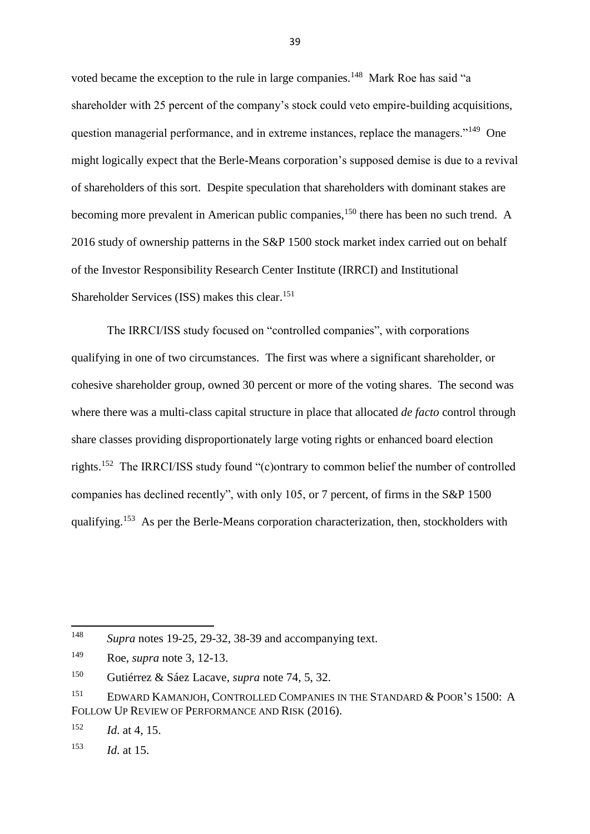voted became the exception to the rule in large companies.<sup>148</sup> Mark Roe has said "a shareholder with 25 percent of the company's stock could veto empire-building acquisitions, question managerial performance, and in extreme instances, replace the managers."<sup>149</sup> One might logically expect that the Berle-Means corporation's supposed demise is due to a revival of shareholders of this sort. Despite speculation that shareholders with dominant stakes are becoming more prevalent in American public companies,<sup>150</sup> there has been no such trend. A 2016 study of ownership patterns in the S&P 1500 stock market index carried out on behalf of the Investor Responsibility Research Center Institute (IRRCI) and Institutional Shareholder Services (ISS) makes this clear.<sup>151</sup>

The IRRCI/ISS study focused on "controlled companies", with corporations qualifying in one of two circumstances. The first was where a significant shareholder, or cohesive shareholder group, owned 30 percent or more of the voting shares. The second was where there was a multi-class capital structure in place that allocated *de facto* control through share classes providing disproportionately large voting rights or enhanced board election rights.<sup>152</sup> The IRRCI/ISS study found "(c)ontrary to common belief the number of controlled companies has declined recently", with only 105, or 7 percent, of firms in the S&P 1500 qualifying.<sup>153</sup> As per the Berle-Means corporation characterization, then, stockholders with

<sup>148</sup> <sup>148</sup> *Supra* notes 19-25, 29-32, 38-39 and accompanying text.

<sup>149</sup> Roe, *supra* note 3, 12-13.

<sup>150</sup> Gutiérrez & Sáez Lacave, *supra* note 74, 5, 32.

<sup>&</sup>lt;sup>151</sup> EDWARD KAMANJOH, CONTROLLED COMPANIES IN THE STANDARD & POOR'S 1500: A FOLLOW UP REVIEW OF PERFORMANCE AND RISK (2016).

<sup>152</sup> *Id*. at 4, 15.

<sup>153</sup> *Id*. at 15.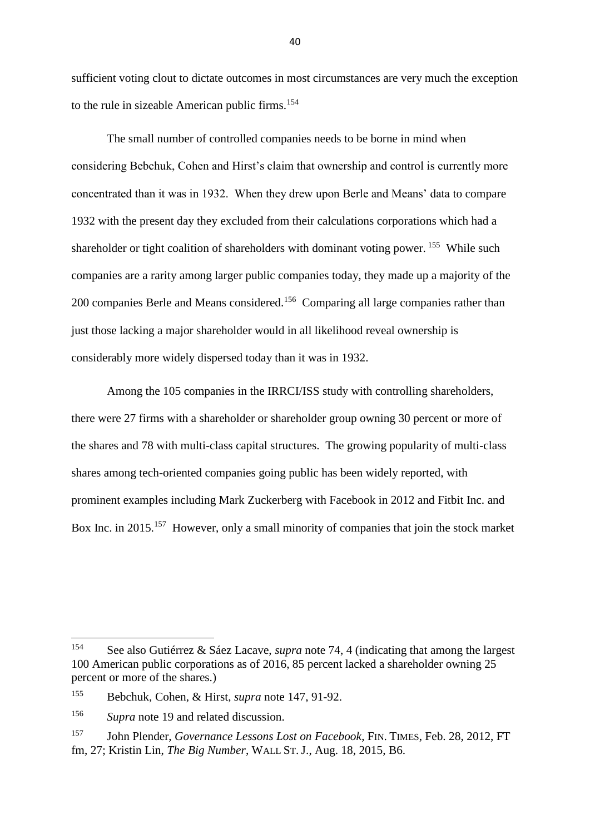sufficient voting clout to dictate outcomes in most circumstances are very much the exception to the rule in sizeable American public firms. 154

The small number of controlled companies needs to be borne in mind when considering Bebchuk, Cohen and Hirst's claim that ownership and control is currently more concentrated than it was in 1932. When they drew upon Berle and Means' data to compare 1932 with the present day they excluded from their calculations corporations which had a shareholder or tight coalition of shareholders with dominant voting power.<sup>155</sup> While such companies are a rarity among larger public companies today, they made up a majority of the 200 companies Berle and Means considered.<sup>156</sup> Comparing all large companies rather than just those lacking a major shareholder would in all likelihood reveal ownership is considerably more widely dispersed today than it was in 1932.

Among the 105 companies in the IRRCI/ISS study with controlling shareholders, there were 27 firms with a shareholder or shareholder group owning 30 percent or more of the shares and 78 with multi-class capital structures. The growing popularity of multi-class shares among tech-oriented companies going public has been widely reported, with prominent examples including Mark Zuckerberg with Facebook in 2012 and Fitbit Inc. and Box Inc. in 2015.<sup>157</sup> However, only a small minority of companies that join the stock market

<sup>154</sup> <sup>154</sup> See also Gutiérrez & Sáez Lacave, *supra* note 74, 4 (indicating that among the largest 100 American public corporations as of 2016, 85 percent lacked a shareholder owning 25 percent or more of the shares.)

<sup>155</sup> Bebchuk, Cohen, & Hirst, *supra* note 147, 91-92.

<sup>156</sup> *Supra* note 19 and related discussion.

<sup>157</sup> John Plender, *Governance Lessons Lost on Facebook*, FIN. TIMES, Feb. 28, 2012, FT fm, 27; Kristin Lin, *The Big Number*, WALL ST. J., Aug. 18, 2015, B6.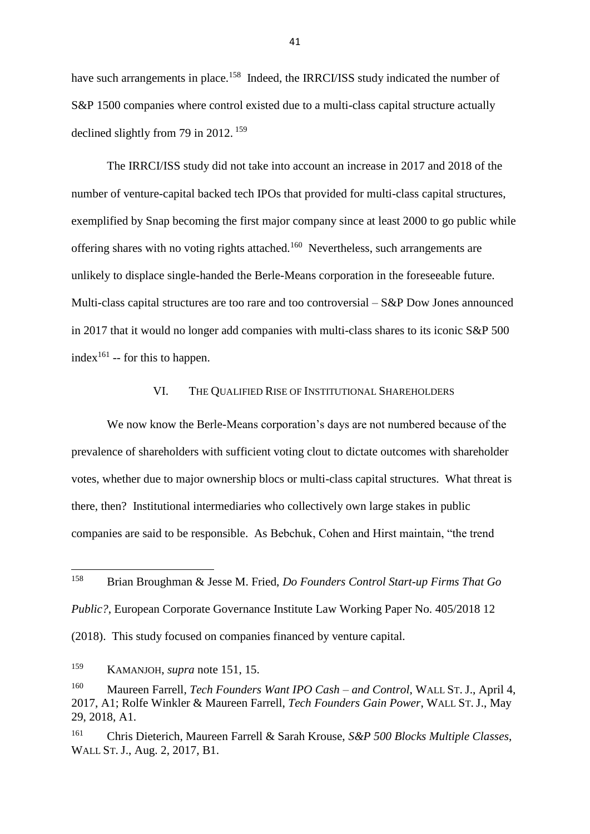have such arrangements in place.<sup>158</sup> Indeed, the IRRCI/ISS study indicated the number of S&P 1500 companies where control existed due to a multi-class capital structure actually declined slightly from 79 in 2012.  $159$ 

The IRRCI/ISS study did not take into account an increase in 2017 and 2018 of the number of venture-capital backed tech IPOs that provided for multi-class capital structures, exemplified by Snap becoming the first major company since at least 2000 to go public while offering shares with no voting rights attached.<sup>160</sup> Nevertheless, such arrangements are unlikely to displace single-handed the Berle-Means corporation in the foreseeable future. Multi-class capital structures are too rare and too controversial – S&P Dow Jones announced in 2017 that it would no longer add companies with multi-class shares to its iconic S&P 500 index<sup>161</sup> -- for this to happen.

### VI. THE QUALIFIED RISE OF INSTITUTIONAL SHAREHOLDERS

We now know the Berle-Means corporation's days are not numbered because of the prevalence of shareholders with sufficient voting clout to dictate outcomes with shareholder votes, whether due to major ownership blocs or multi-class capital structures. What threat is there, then? Institutional intermediaries who collectively own large stakes in public companies are said to be responsible. As Bebchuk, Cohen and Hirst maintain, "the trend

158 <sup>158</sup> Brian Broughman & Jesse M. Fried, *Do Founders Control Start-up Firms That Go* 

*Public?*, European Corporate Governance Institute Law Working Paper No. 405/2018 12

(2018). This study focused on companies financed by venture capital.

<sup>159</sup> KAMANJOH, *supra* note 151, 15.

<sup>160</sup> Maureen Farrell, *Tech Founders Want IPO Cash – and Control*, WALL ST. J., April 4, 2017, A1; Rolfe Winkler & Maureen Farrell, *Tech Founders Gain Power*, WALL ST. J., May 29, 2018, A1.

<sup>161</sup> Chris Dieterich, Maureen Farrell & Sarah Krouse, *S&P 500 Blocks Multiple Classes*, WALL ST. J., Aug. 2, 2017, B1.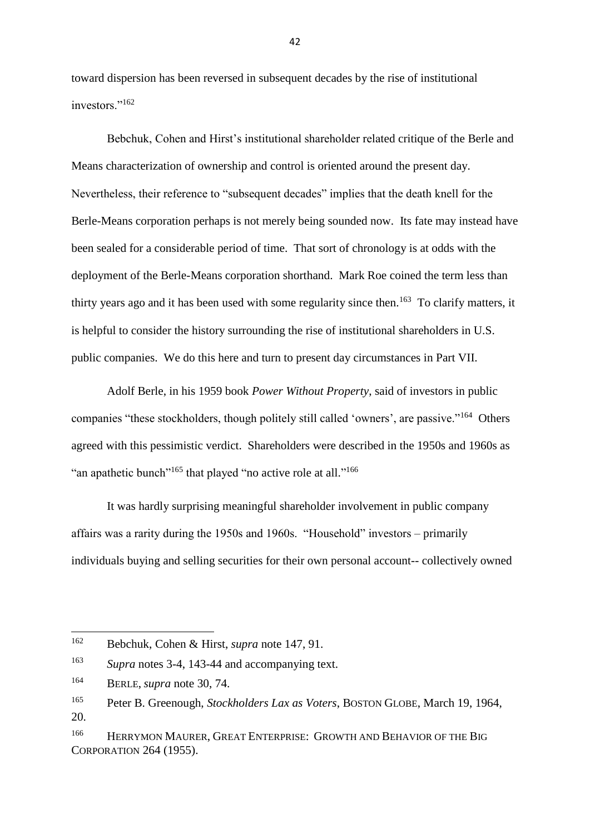toward dispersion has been reversed in subsequent decades by the rise of institutional investors."<sup>162</sup>

Bebchuk, Cohen and Hirst's institutional shareholder related critique of the Berle and Means characterization of ownership and control is oriented around the present day. Nevertheless, their reference to "subsequent decades" implies that the death knell for the Berle-Means corporation perhaps is not merely being sounded now. Its fate may instead have been sealed for a considerable period of time. That sort of chronology is at odds with the deployment of the Berle-Means corporation shorthand. Mark Roe coined the term less than thirty years ago and it has been used with some regularity since then.<sup>163</sup> To clarify matters, it is helpful to consider the history surrounding the rise of institutional shareholders in U.S. public companies. We do this here and turn to present day circumstances in Part VII.

Adolf Berle, in his 1959 book *Power Without Property*, said of investors in public companies "these stockholders, though politely still called 'owners', are passive."<sup>164</sup> Others agreed with this pessimistic verdict. Shareholders were described in the 1950s and 1960s as "an apathetic bunch"<sup>165</sup> that played "no active role at all."<sup>166</sup>

It was hardly surprising meaningful shareholder involvement in public company affairs was a rarity during the 1950s and 1960s. "Household" investors – primarily individuals buying and selling securities for their own personal account-- collectively owned

**.** 

<sup>162</sup> Bebchuk, Cohen & Hirst, *supra* note 147, 91.

<sup>163</sup> *Supra* notes 3-4, 143-44 and accompanying text.

<sup>164</sup> BERLE, *supra* note 30, 74.

<sup>165</sup> Peter B. Greenough, *Stockholders Lax as Voters*, BOSTON GLOBE, March 19, 1964, 20.

<sup>&</sup>lt;sup>166</sup> HERRYMON MAURER, GREAT ENTERPRISE: GROWTH AND BEHAVIOR OF THE BIG CORPORATION 264 (1955).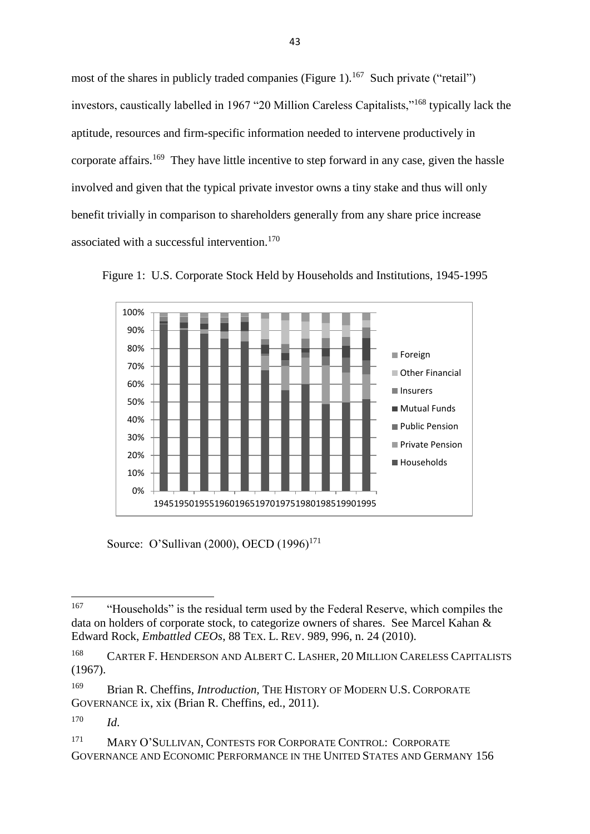most of the shares in publicly traded companies (Figure 1).<sup>167</sup> Such private ("retail") investors, caustically labelled in 1967 "20 Million Careless Capitalists,"<sup>168</sup> typically lack the aptitude, resources and firm-specific information needed to intervene productively in corporate affairs.<sup>169</sup> They have little incentive to step forward in any case, given the hassle involved and given that the typical private investor owns a tiny stake and thus will only benefit trivially in comparison to shareholders generally from any share price increase associated with a successful intervention.<sup>170</sup>



Figure 1: U.S. Corporate Stock Held by Households and Institutions, 1945-1995

Source: O'Sullivan (2000), OECD (1996)<sup>171</sup>

<sup>167</sup> <sup>167</sup> "Households" is the residual term used by the Federal Reserve, which compiles the data on holders of corporate stock, to categorize owners of shares. See Marcel Kahan & Edward Rock, *Embattled CEOs*, 88 TEX. L. REV. 989, 996, n. 24 (2010).

<sup>&</sup>lt;sup>168</sup> CARTER F. HENDERSON AND ALBERT C. LASHER, 20 MILLION CARELESS CAPITALISTS (1967).

<sup>169</sup> Brian R. Cheffins, *Introduction,* THE HISTORY OF MODERN U.S. CORPORATE GOVERNANCE ix, xix (Brian R. Cheffins, ed., 2011).

<sup>170</sup> *Id*.

<sup>171</sup> MARY O'SULLIVAN, CONTESTS FOR CORPORATE CONTROL: CORPORATE GOVERNANCE AND ECONOMIC PERFORMANCE IN THE UNITED STATES AND GERMANY 156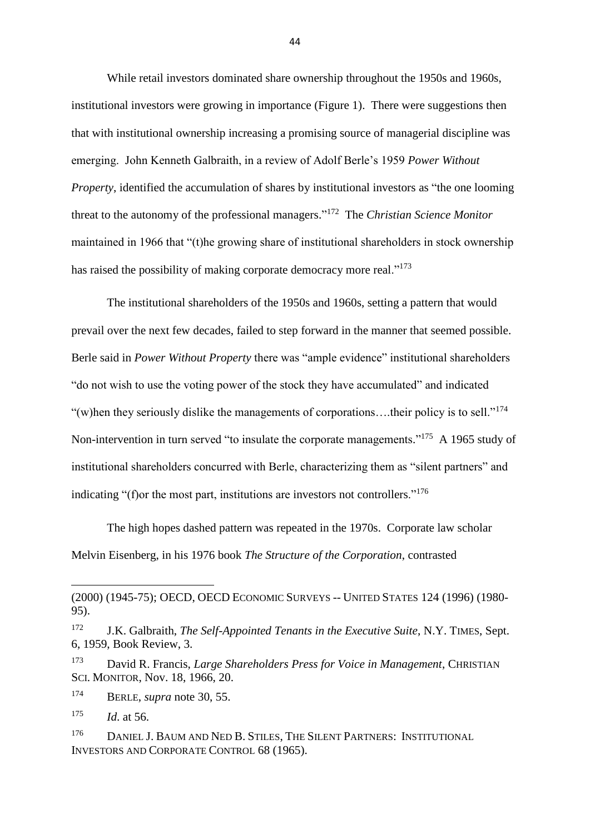While retail investors dominated share ownership throughout the 1950s and 1960s, institutional investors were growing in importance (Figure 1). There were suggestions then that with institutional ownership increasing a promising source of managerial discipline was emerging. John Kenneth Galbraith, in a review of Adolf Berle's 1959 *Power Without Property*, identified the accumulation of shares by institutional investors as "the one looming threat to the autonomy of the professional managers." <sup>172</sup> The *Christian Science Monitor* maintained in 1966 that "(t)he growing share of institutional shareholders in stock ownership has raised the possibility of making corporate democracy more real."<sup>173</sup>

The institutional shareholders of the 1950s and 1960s, setting a pattern that would prevail over the next few decades, failed to step forward in the manner that seemed possible. Berle said in *Power Without Property* there was "ample evidence" institutional shareholders "do not wish to use the voting power of the stock they have accumulated" and indicated "(w)hen they seriously dislike the managements of corporations... their policy is to sell."<sup>174</sup> Non-intervention in turn served "to insulate the corporate managements."<sup>175</sup> A 1965 study of institutional shareholders concurred with Berle, characterizing them as "silent partners" and indicating "(f)or the most part, institutions are investors not controllers."<sup>176</sup>

The high hopes dashed pattern was repeated in the 1970s. Corporate law scholar Melvin Eisenberg, in his 1976 book *The Structure of the Corporation*, contrasted

<sup>174</sup> BERLE, *supra* note 30, 55.

 $\overline{a}$ 

<sup>(2000) (1945-75);</sup> OECD, OECD ECONOMIC SURVEYS -- UNITED STATES 124 (1996) (1980- 95).

<sup>172</sup> J.K. Galbraith, *The Self-Appointed Tenants in the Executive Suite*, N.Y. TIMES, Sept. 6, 1959, Book Review, 3.

<sup>173</sup> David R. Francis, *Large Shareholders Press for Voice in Management*, CHRISTIAN SCI. MONITOR, Nov. 18, 1966, 20.

<sup>175</sup> *Id*. at 56.

<sup>&</sup>lt;sup>176</sup> DANIEL J. BAUM AND NED B. STILES, THE SILENT PARTNERS: INSTITUTIONAL INVESTORS AND CORPORATE CONTROL 68 (1965).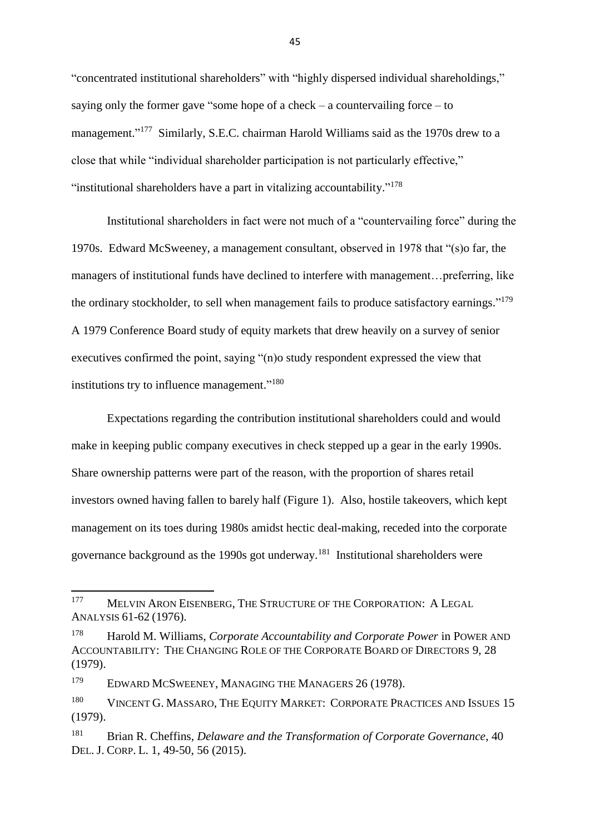"concentrated institutional shareholders" with "highly dispersed individual shareholdings," saying only the former gave "some hope of a check – a countervailing force – to management."<sup>177</sup> Similarly, S.E.C. chairman Harold Williams said as the 1970s drew to a close that while "individual shareholder participation is not particularly effective," "institutional shareholders have a part in vitalizing accountability."<sup>178</sup>

Institutional shareholders in fact were not much of a "countervailing force" during the 1970s. Edward McSweeney, a management consultant, observed in 1978 that "(s)o far, the managers of institutional funds have declined to interfere with management…preferring, like the ordinary stockholder, to sell when management fails to produce satisfactory earnings."<sup>179</sup> A 1979 Conference Board study of equity markets that drew heavily on a survey of senior executives confirmed the point, saying "(n)o study respondent expressed the view that institutions try to influence management."<sup>180</sup>

Expectations regarding the contribution institutional shareholders could and would make in keeping public company executives in check stepped up a gear in the early 1990s. Share ownership patterns were part of the reason, with the proportion of shares retail investors owned having fallen to barely half (Figure 1). Also, hostile takeovers, which kept management on its toes during 1980s amidst hectic deal-making, receded into the corporate governance background as the 1990s got underway. $^{181}$  Institutional shareholders were

<sup>181</sup> Brian R. Cheffins, *Delaware and the Transformation of Corporate Governance*, 40 DEL. J. CORP. L. 1, 49-50, 56 (2015).

<sup>177</sup> MELVIN ARON EISENBERG, THE STRUCTURE OF THE CORPORATION: A LEGAL ANALYSIS 61-62 (1976).

<sup>178</sup> Harold M. Williams, *Corporate Accountability and Corporate Power* in POWER AND ACCOUNTABILITY: THE CHANGING ROLE OF THE CORPORATE BOARD OF DIRECTORS 9, 28 (1979).

<sup>&</sup>lt;sup>179</sup> EDWARD MCSWEENEY, MANAGING THE MANAGERS 26 (1978).

<sup>&</sup>lt;sup>180</sup> VINCENT G. MASSARO, THE EQUITY MARKET: CORPORATE PRACTICES AND ISSUES 15 (1979).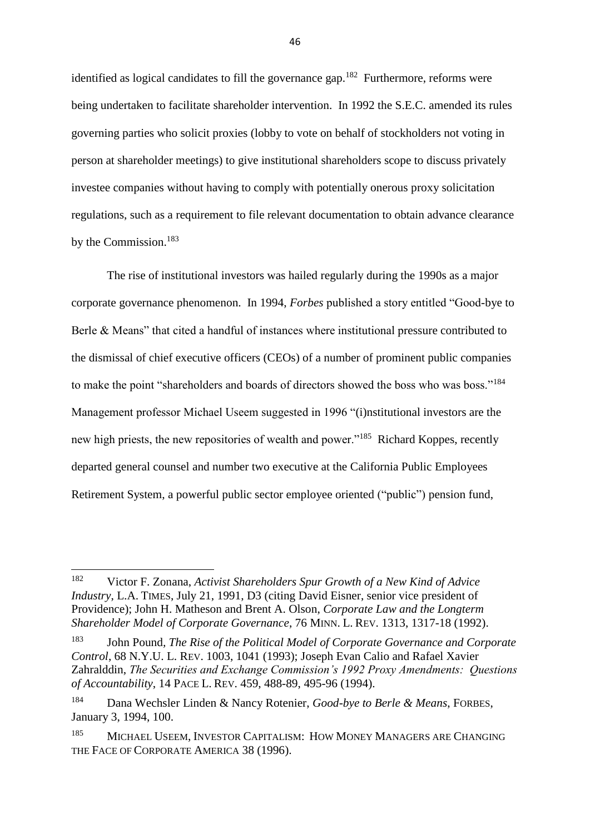identified as logical candidates to fill the governance gap.<sup>182</sup> Furthermore, reforms were being undertaken to facilitate shareholder intervention. In 1992 the S.E.C. amended its rules governing parties who solicit proxies (lobby to vote on behalf of stockholders not voting in person at shareholder meetings) to give institutional shareholders scope to discuss privately investee companies without having to comply with potentially onerous proxy solicitation regulations, such as a requirement to file relevant documentation to obtain advance clearance by the Commission.<sup>183</sup>

The rise of institutional investors was hailed regularly during the 1990s as a major corporate governance phenomenon. In 1994, *Forbes* published a story entitled "Good-bye to Berle & Means" that cited a handful of instances where institutional pressure contributed to the dismissal of chief executive officers (CEOs) of a number of prominent public companies to make the point "shareholders and boards of directors showed the boss who was boss."<sup>184</sup> Management professor Michael Useem suggested in 1996 "(i)nstitutional investors are the new high priests, the new repositories of wealth and power."<sup>185</sup> Richard Koppes, recently departed general counsel and number two executive at the California Public Employees Retirement System, a powerful public sector employee oriented ("public") pension fund,

<sup>182</sup> <sup>182</sup> Victor F. Zonana, *Activist Shareholders Spur Growth of a New Kind of Advice Industry*, L.A. TIMES, July 21, 1991, D3 (citing David Eisner, senior vice president of Providence); John H. Matheson and Brent A. Olson, *Corporate Law and the Longterm Shareholder Model of Corporate Governance*, 76 MINN. L. REV. 1313, 1317-18 (1992).

<sup>183</sup> John Pound*, The Rise of the Political Model of Corporate Governance and Corporate Control*, 68 N.Y.U. L. REV. 1003, 1041 (1993); Joseph Evan Calio and Rafael Xavier Zahralddin, *The Securities and Exchange Commission's 1992 Proxy Amendments: Questions of Accountability*, 14 PACE L. REV. 459, 488-89, 495-96 (1994).

<sup>184</sup> Dana Wechsler Linden & Nancy Rotenier, *Good-bye to Berle & Means*, FORBES, January 3, 1994, 100.

<sup>&</sup>lt;sup>185</sup> MICHAEL USEEM, INVESTOR CAPITALISM: HOW MONEY MANAGERS ARE CHANGING THE FACE OF CORPORATE AMERICA 38 (1996).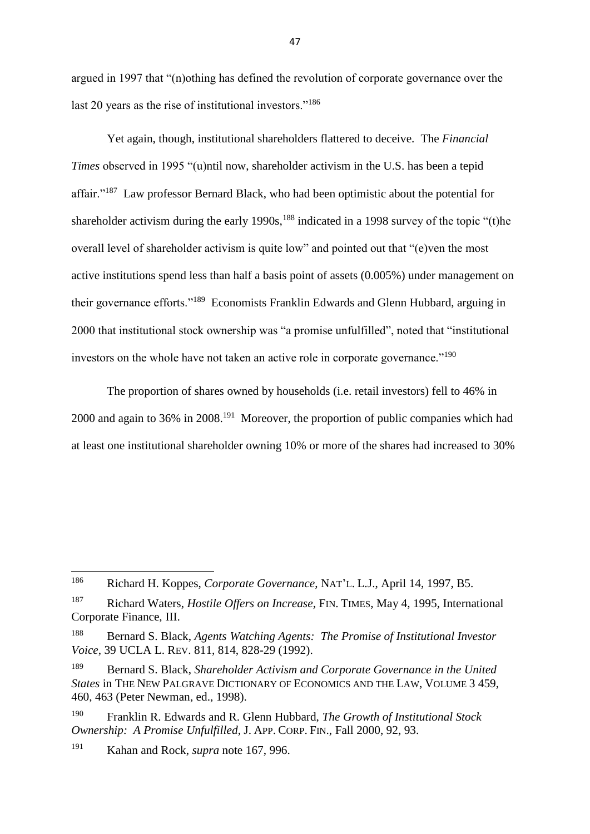argued in 1997 that "(n)othing has defined the revolution of corporate governance over the last 20 years as the rise of institutional investors."<sup>186</sup>

Yet again, though, institutional shareholders flattered to deceive. The *Financial Times* observed in 1995 "(u)ntil now, shareholder activism in the U.S. has been a tepid affair."<sup>187</sup> Law professor Bernard Black, who had been optimistic about the potential for shareholder activism during the early  $1990s$ ,  $^{188}$  indicated in a 1998 survey of the topic "(t)he overall level of shareholder activism is quite low" and pointed out that "(e)ven the most active institutions spend less than half a basis point of assets (0.005%) under management on their governance efforts."<sup>189</sup> Economists Franklin Edwards and Glenn Hubbard, arguing in 2000 that institutional stock ownership was "a promise unfulfilled", noted that "institutional investors on the whole have not taken an active role in corporate governance."<sup>190</sup>

The proportion of shares owned by households (i.e. retail investors) fell to 46% in 2000 and again to 36% in 2008.<sup>191</sup> Moreover, the proportion of public companies which had at least one institutional shareholder owning 10% or more of the shares had increased to 30%

**.** 

<sup>186</sup> Richard H. Koppes, *Corporate Governance*, NAT'L. L.J., April 14, 1997, B5.

<sup>187</sup> Richard Waters, *Hostile Offers on Increase*, FIN. TIMES, May 4, 1995, International Corporate Finance, III.

<sup>188</sup> Bernard S. Black, *Agents Watching Agents: The Promise of Institutional Investor Voice*, 39 UCLA L. REV. 811, 814, 828-29 (1992).

<sup>189</sup> Bernard S. Black, *Shareholder Activism and Corporate Governance in the United States* in THE NEW PALGRAVE DICTIONARY OF ECONOMICS AND THE LAW, VOLUME 3 459, 460, 463 (Peter Newman, ed., 1998).

<sup>190</sup> Franklin R. Edwards and R. Glenn Hubbard, *The Growth of Institutional Stock Ownership: A Promise Unfulfilled*, J. APP. CORP. FIN., Fall 2000, 92, 93.

<sup>191</sup> Kahan and Rock, *supra* note 167, 996.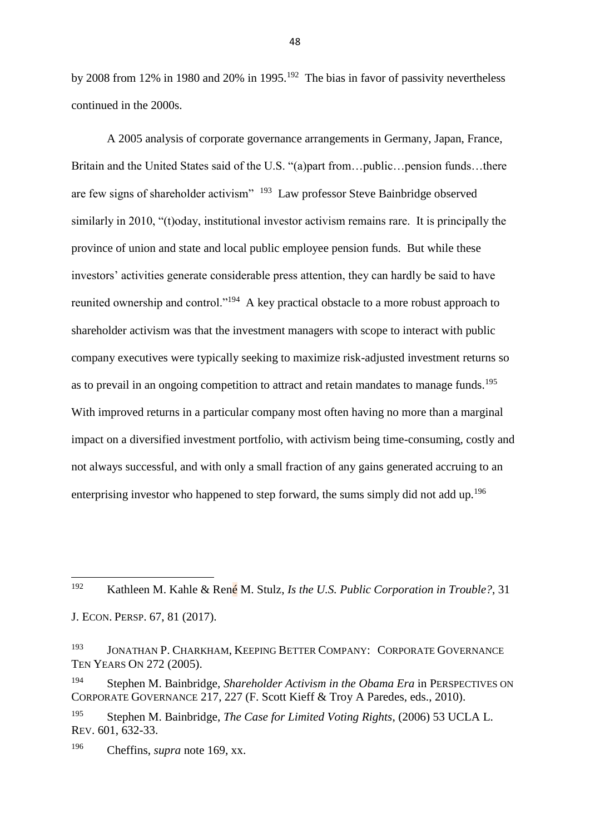by 2008 from 12% in 1980 and 20% in 1995.<sup>192</sup> The bias in favor of passivity nevertheless continued in the 2000s.

A 2005 analysis of corporate governance arrangements in Germany, Japan, France, Britain and the United States said of the U.S. "(a)part from…public…pension funds…there are few signs of shareholder activism" <sup>193</sup> Law professor Steve Bainbridge observed similarly in 2010, "(t)oday, institutional investor activism remains rare. It is principally the province of union and state and local public employee pension funds. But while these investors' activities generate considerable press attention, they can hardly be said to have reunited ownership and control."<sup>194</sup> A key practical obstacle to a more robust approach to shareholder activism was that the investment managers with scope to interact with public company executives were typically seeking to maximize risk-adjusted investment returns so as to prevail in an ongoing competition to attract and retain mandates to manage funds.<sup>195</sup> With improved returns in a particular company most often having no more than a marginal impact on a diversified investment portfolio, with activism being time-consuming, costly and not always successful, and with only a small fraction of any gains generated accruing to an enterprising investor who happened to step forward, the sums simply did not add up.<sup>196</sup>

<sup>196</sup> Cheffins, *supra* note 169, xx.

**.** 

<sup>192</sup> Kathleen M. Kahle & René M. Stulz, *Is the U.S. Public Corporation in Trouble?*, 31 J. ECON. PERSP. 67, 81 (2017).

<sup>193</sup> JONATHAN P. CHARKHAM, KEEPING BETTER COMPANY: CORPORATE GOVERNANCE TEN YEARS ON 272 (2005).

<sup>194</sup> Stephen M. Bainbridge, *Shareholder Activism in the Obama Era* in PERSPECTIVES ON CORPORATE GOVERNANCE 217, 227 (F. Scott Kieff & Troy A Paredes, eds., 2010).

<sup>195</sup> Stephen M. Bainbridge, *The Case for Limited Voting Rights*, (2006) 53 UCLA L. REV. 601, 632-33.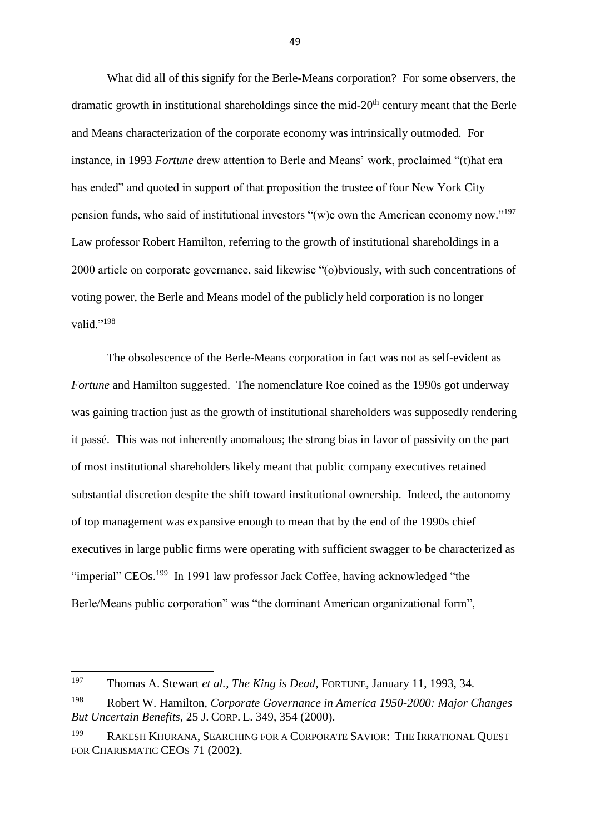What did all of this signify for the Berle-Means corporation? For some observers, the dramatic growth in institutional shareholdings since the mid- $20<sup>th</sup>$  century meant that the Berle and Means characterization of the corporate economy was intrinsically outmoded. For instance, in 1993 *Fortune* drew attention to Berle and Means' work, proclaimed "(t)hat era has ended" and quoted in support of that proposition the trustee of four New York City pension funds, who said of institutional investors "(w)e own the American economy now."<sup>197</sup> Law professor Robert Hamilton, referring to the growth of institutional shareholdings in a 2000 article on corporate governance, said likewise "(o)bviously, with such concentrations of voting power, the Berle and Means model of the publicly held corporation is no longer valid." $^{198}$ 

The obsolescence of the Berle-Means corporation in fact was not as self-evident as *Fortune* and Hamilton suggested. The nomenclature Roe coined as the 1990s got underway was gaining traction just as the growth of institutional shareholders was supposedly rendering it passé. This was not inherently anomalous; the strong bias in favor of passivity on the part of most institutional shareholders likely meant that public company executives retained substantial discretion despite the shift toward institutional ownership. Indeed, the autonomy of top management was expansive enough to mean that by the end of the 1990s chief executives in large public firms were operating with sufficient swagger to be characterized as "imperial" CEOs.<sup>199</sup> In 1991 law professor Jack Coffee, having acknowledged "the Berle/Means public corporation" was "the dominant American organizational form",

**.** 

<sup>197</sup> Thomas A. Stewart *et al., The King is Dead*, FORTUNE, January 11, 1993, 34.

<sup>198</sup> Robert W. Hamilton, *Corporate Governance in America 1950-2000: Major Changes But Uncertain Benefits*, 25 J. CORP. L. 349, 354 (2000).

<sup>199</sup> RAKESH KHURANA, SEARCHING FOR A CORPORATE SAVIOR: THE IRRATIONAL QUEST FOR CHARISMATIC CEOS 71 (2002).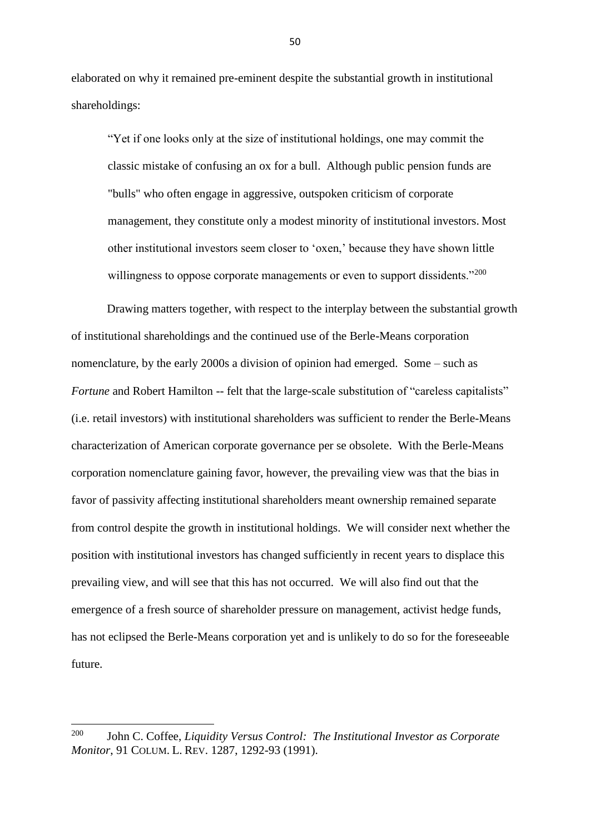elaborated on why it remained pre-eminent despite the substantial growth in institutional shareholdings:

"Yet if one looks only at the size of institutional holdings, one may commit the classic mistake of confusing an ox for a bull. Although public pension funds are "bulls" who often engage in aggressive, outspoken criticism of corporate management, they constitute only a modest minority of institutional investors. Most other institutional investors seem closer to 'oxen,' because they have shown little willingness to oppose corporate managements or even to support dissidents."<sup>200</sup>

Drawing matters together, with respect to the interplay between the substantial growth of institutional shareholdings and the continued use of the Berle-Means corporation nomenclature, by the early 2000s a division of opinion had emerged. Some – such as *Fortune* and Robert Hamilton -- felt that the large-scale substitution of "careless capitalists" (i.e. retail investors) with institutional shareholders was sufficient to render the Berle-Means characterization of American corporate governance per se obsolete. With the Berle-Means corporation nomenclature gaining favor, however, the prevailing view was that the bias in favor of passivity affecting institutional shareholders meant ownership remained separate from control despite the growth in institutional holdings. We will consider next whether the position with institutional investors has changed sufficiently in recent years to displace this prevailing view, and will see that this has not occurred. We will also find out that the emergence of a fresh source of shareholder pressure on management, activist hedge funds, has not eclipsed the Berle-Means corporation yet and is unlikely to do so for the foreseeable future.

<sup>200</sup> <sup>200</sup> John C. Coffee, *Liquidity Versus Control: The Institutional Investor as Corporate Monitor*, 91 COLUM. L. REV. 1287, 1292-93 (1991).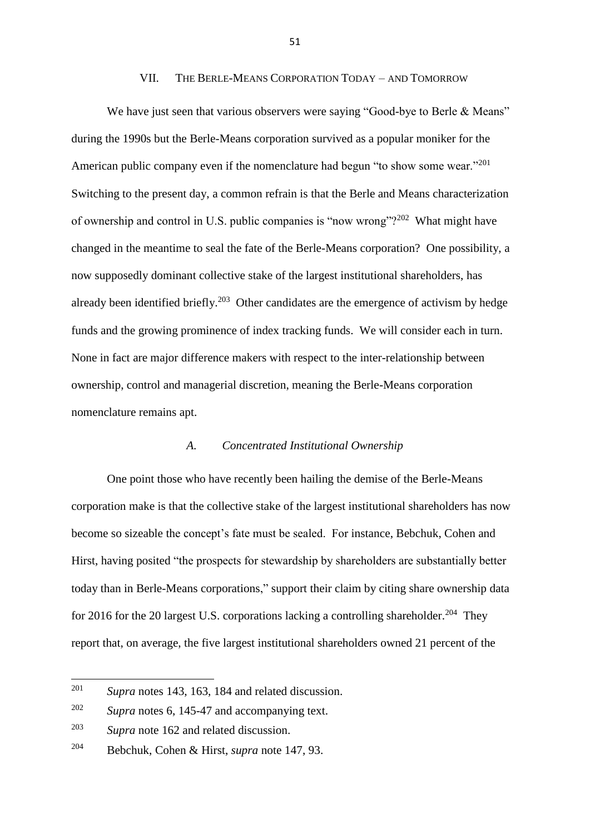#### VII. THE BERLE-MEANS CORPORATION TODAY – AND TOMORROW

We have just seen that various observers were saying "Good-bye to Berle & Means" during the 1990s but the Berle-Means corporation survived as a popular moniker for the American public company even if the nomenclature had begun "to show some wear."<sup>201</sup> Switching to the present day, a common refrain is that the Berle and Means characterization of ownership and control in U.S. public companies is "now wrong"?<sup>202</sup> What might have changed in the meantime to seal the fate of the Berle-Means corporation? One possibility, a now supposedly dominant collective stake of the largest institutional shareholders, has already been identified briefly.<sup>203</sup> Other candidates are the emergence of activism by hedge funds and the growing prominence of index tracking funds. We will consider each in turn. None in fact are major difference makers with respect to the inter-relationship between ownership, control and managerial discretion, meaning the Berle-Means corporation nomenclature remains apt.

# *A. Concentrated Institutional Ownership*

One point those who have recently been hailing the demise of the Berle-Means corporation make is that the collective stake of the largest institutional shareholders has now become so sizeable the concept's fate must be sealed. For instance, Bebchuk, Cohen and Hirst, having posited "the prospects for stewardship by shareholders are substantially better today than in Berle-Means corporations," support their claim by citing share ownership data for 2016 for the 20 largest U.S. corporations lacking a controlling shareholder.<sup>204</sup> They report that, on average, the five largest institutional shareholders owned 21 percent of the

<sup>201</sup> Supra notes 143, 163, 184 and related discussion.

<sup>202</sup> *Supra* notes 6, 145-47 and accompanying text.

<sup>203</sup> *Supra* note 162 and related discussion.

<sup>204</sup> Bebchuk, Cohen & Hirst, *supra* note 147, 93.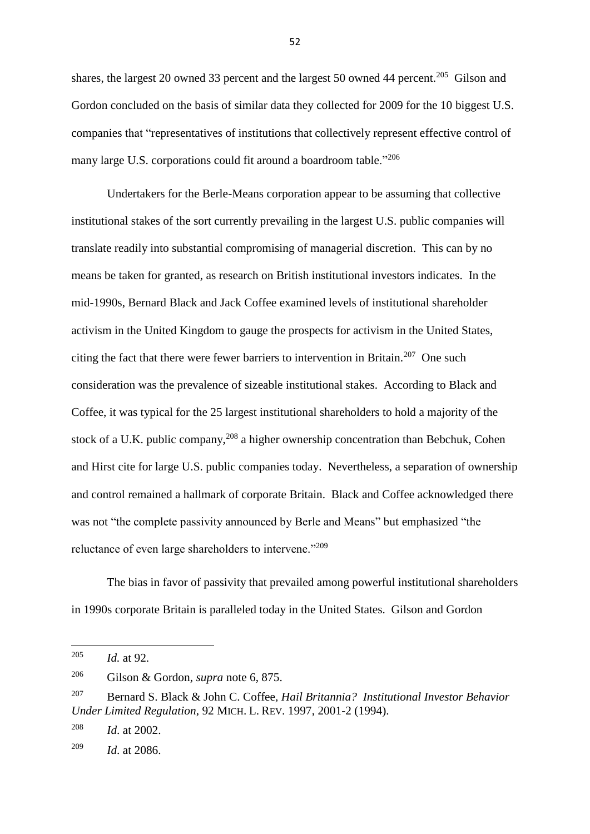shares, the largest 20 owned 33 percent and the largest 50 owned 44 percent.<sup>205</sup> Gilson and Gordon concluded on the basis of similar data they collected for 2009 for the 10 biggest U.S. companies that "representatives of institutions that collectively represent effective control of many large U.S. corporations could fit around a boardroom table."<sup>206</sup>

Undertakers for the Berle-Means corporation appear to be assuming that collective institutional stakes of the sort currently prevailing in the largest U.S. public companies will translate readily into substantial compromising of managerial discretion. This can by no means be taken for granted, as research on British institutional investors indicates. In the mid-1990s, Bernard Black and Jack Coffee examined levels of institutional shareholder activism in the United Kingdom to gauge the prospects for activism in the United States, citing the fact that there were fewer barriers to intervention in Britain.<sup>207</sup> One such consideration was the prevalence of sizeable institutional stakes. According to Black and Coffee, it was typical for the 25 largest institutional shareholders to hold a majority of the stock of a U.K. public company,  $208$  a higher ownership concentration than Bebchuk, Cohen and Hirst cite for large U.S. public companies today. Nevertheless, a separation of ownership and control remained a hallmark of corporate Britain. Black and Coffee acknowledged there was not "the complete passivity announced by Berle and Means" but emphasized "the reluctance of even large shareholders to intervene."<sup>209</sup>

The bias in favor of passivity that prevailed among powerful institutional shareholders in 1990s corporate Britain is paralleled today in the United States. Gilson and Gordon

<sup>205</sup> *Id.* at 92.

<sup>206</sup> Gilson & Gordon, *supra* note 6, 875.

<sup>207</sup> Bernard S. Black & John C. Coffee*, Hail Britannia? Institutional Investor Behavior Under Limited Regulation*, 92 MICH. L. REV. 1997, 2001-2 (1994).

<sup>208</sup> *Id*. at 2002.

<sup>209</sup> *Id*. at 2086.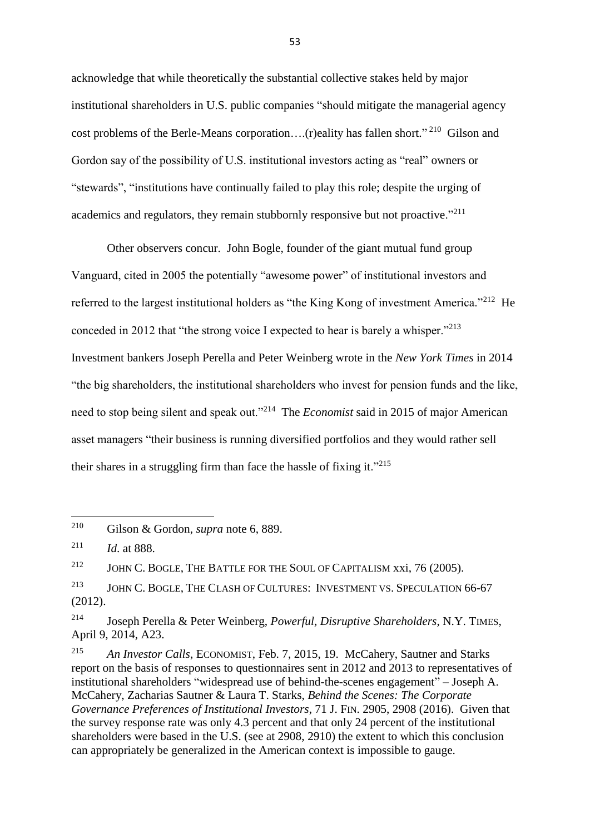acknowledge that while theoretically the substantial collective stakes held by major institutional shareholders in U.S. public companies "should mitigate the managerial agency cost problems of the Berle-Means corporation....(r)eality has fallen short."<sup>210</sup> Gilson and Gordon say of the possibility of U.S. institutional investors acting as "real" owners or "stewards", "institutions have continually failed to play this role; despite the urging of academics and regulators, they remain stubbornly responsive but not proactive."<sup>211</sup>

Other observers concur. John Bogle, founder of the giant mutual fund group Vanguard, cited in 2005 the potentially "awesome power" of institutional investors and referred to the largest institutional holders as "the King Kong of investment America."<sup>212</sup> He conceded in 2012 that "the strong voice I expected to hear is barely a whisper."<sup>213</sup> Investment bankers Joseph Perella and Peter Weinberg wrote in the *New York Times* in 2014 "the big shareholders, the institutional shareholders who invest for pension funds and the like, need to stop being silent and speak out."<sup>214</sup> The *Economist* said in 2015 of major American asset managers "their business is running diversified portfolios and they would rather sell their shares in a struggling firm than face the hassle of fixing it."<sup>215</sup>

<sup>210</sup> Gilson & Gordon, *supra* note 6, 889.

<sup>211</sup> *Id*. at 888.

<sup>&</sup>lt;sup>212</sup> JOHN C. BOGLE, THE BATTLE FOR THE SOUL OF CAPITALISM xxi, 76 (2005).

<sup>&</sup>lt;sup>213</sup> JOHN C. BOGLE, THE CLASH OF CULTURES: INVESTMENT VS. SPECULATION 66-67 (2012).

<sup>214</sup> Joseph Perella & Peter Weinberg, *Powerful, Disruptive Shareholders*, N.Y. TIMES, April 9, 2014, A23.

<sup>215</sup> *An Investor Calls*, ECONOMIST, Feb. 7, 2015, 19. McCahery, Sautner and Starks report on the basis of responses to questionnaires sent in 2012 and 2013 to representatives of institutional shareholders "widespread use of behind-the-scenes engagement" – Joseph A. McCahery, Zacharias Sautner & Laura T. Starks, *Behind the Scenes: The Corporate Governance Preferences of Institutional Investors*, 71 J. FIN. 2905, 2908 (2016). Given that the survey response rate was only 4.3 percent and that only 24 percent of the institutional shareholders were based in the U.S. (see at 2908, 2910) the extent to which this conclusion can appropriately be generalized in the American context is impossible to gauge.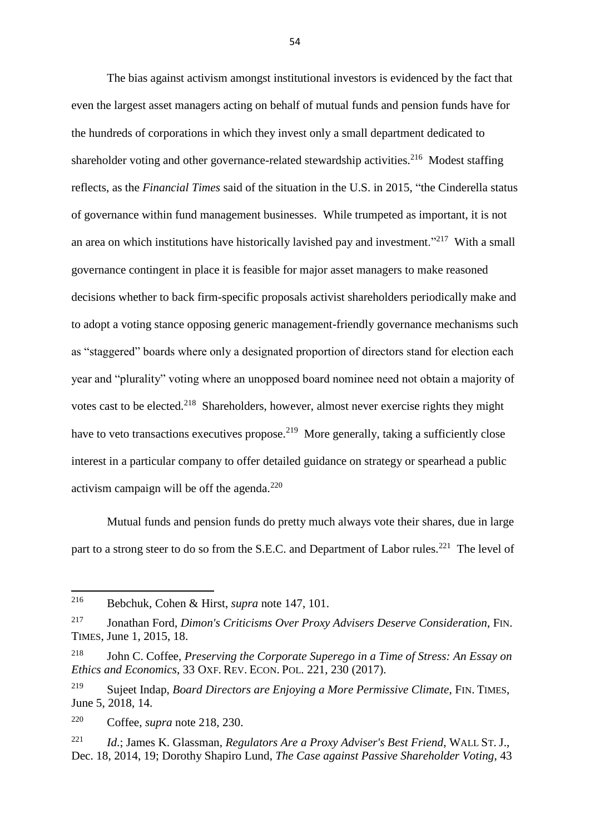The bias against activism amongst institutional investors is evidenced by the fact that even the largest asset managers acting on behalf of mutual funds and pension funds have for the hundreds of corporations in which they invest only a small department dedicated to shareholder voting and other governance-related stewardship activities.<sup>216</sup> Modest staffing reflects, as the *Financial Times* said of the situation in the U.S. in 2015, "the Cinderella status of governance within fund management businesses. While trumpeted as important, it is not an area on which institutions have historically lavished pay and investment."<sup>217</sup> With a small governance contingent in place it is feasible for major asset managers to make reasoned decisions whether to back firm-specific proposals activist shareholders periodically make and to adopt a voting stance opposing generic management-friendly governance mechanisms such as "staggered" boards where only a designated proportion of directors stand for election each year and "plurality" voting where an unopposed board nominee need not obtain a majority of votes cast to be elected.<sup>218</sup> Shareholders, however, almost never exercise rights they might have to veto transactions executives propose.<sup>219</sup> More generally, taking a sufficiently close interest in a particular company to offer detailed guidance on strategy or spearhead a public activism campaign will be off the agenda. $220$ 

Mutual funds and pension funds do pretty much always vote their shares, due in large part to a strong steer to do so from the S.E.C. and Department of Labor rules.<sup>221</sup> The level of

<sup>216</sup> <sup>216</sup> Bebchuk, Cohen & Hirst, *supra* note 147, 101.

<sup>217</sup> Jonathan Ford, *Dimon's Criticisms Over Proxy Advisers Deserve Consideration*, FIN. TIMES, June 1, 2015, 18.

<sup>218</sup> John C. Coffee, *Preserving the Corporate Superego in a Time of Stress: An Essay on Ethics and Economics*, 33 OXF. REV. ECON. POL. 221, 230 (2017).

<sup>219</sup> Sujeet Indap, *Board Directors are Enjoying a More Permissive Climate*, FIN. TIMES, June 5, 2018, 14.

<sup>220</sup> Coffee, *supra* note 218, 230.

<sup>221</sup> *Id*.; James K. Glassman, *Regulators Are a Proxy Adviser's Best Friend*, WALL ST. J., Dec. 18, 2014, 19; Dorothy Shapiro Lund, *The Case against Passive Shareholder Voting*, 43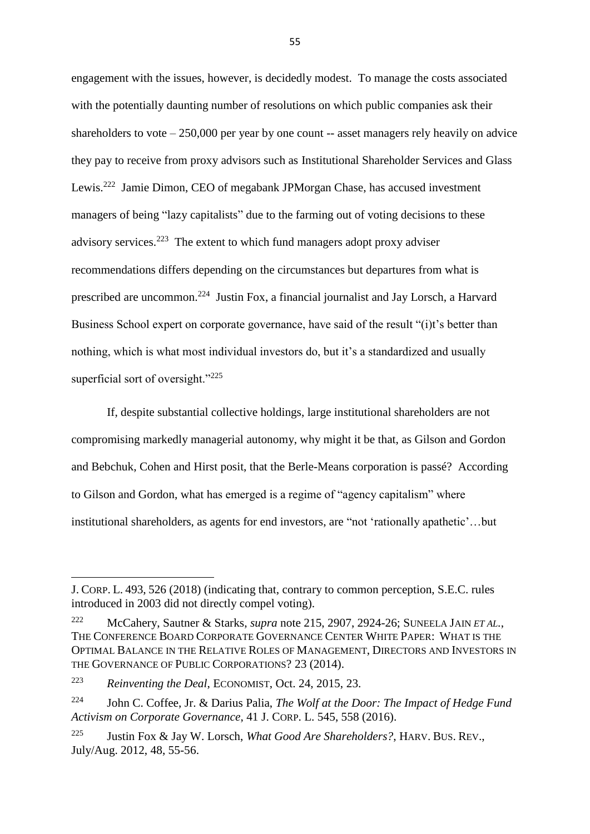engagement with the issues, however, is decidedly modest. To manage the costs associated with the potentially daunting number of resolutions on which public companies ask their shareholders to vote  $-250,000$  per year by one count  $-$  asset managers rely heavily on advice they pay to receive from proxy advisors such as Institutional Shareholder Services and Glass Lewis.<sup>222</sup> Jamie Dimon, CEO of megabank JPMorgan Chase, has accused investment managers of being "lazy capitalists" due to the farming out of voting decisions to these advisory services.<sup>223</sup> The extent to which fund managers adopt proxy adviser recommendations differs depending on the circumstances but departures from what is prescribed are uncommon.<sup>224</sup> Justin Fox, a financial journalist and Jay Lorsch, a Harvard Business School expert on corporate governance, have said of the result "(i)t's better than nothing, which is what most individual investors do, but it's a standardized and usually superficial sort of oversight."<sup>225</sup>

If, despite substantial collective holdings, large institutional shareholders are not compromising markedly managerial autonomy, why might it be that, as Gilson and Gordon and Bebchuk, Cohen and Hirst posit, that the Berle-Means corporation is passé? According to Gilson and Gordon, what has emerged is a regime of "agency capitalism" where institutional shareholders, as agents for end investors, are "not 'rationally apathetic'…but

**.** 

J. CORP. L. 493, 526 (2018) (indicating that, contrary to common perception, S.E.C. rules introduced in 2003 did not directly compel voting).

<sup>222</sup> McCahery, Sautner & Starks, *supra* note 215, 2907, 2924-26; SUNEELA JAIN *ET AL.*, THE CONFERENCE BOARD CORPORATE GOVERNANCE CENTER WHITE PAPER: WHAT IS THE OPTIMAL BALANCE IN THE RELATIVE ROLES OF MANAGEMENT, DIRECTORS AND INVESTORS IN THE GOVERNANCE OF PUBLIC CORPORATIONS? 23 (2014).

<sup>223</sup> *Reinventing the Deal*, ECONOMIST, Oct. 24, 2015, 23.

<sup>224</sup> John C. Coffee, Jr. & Darius Palia, *The Wolf at the Door: The Impact of Hedge Fund Activism on Corporate Governance*, 41 J. CORP. L. 545, 558 (2016).

<sup>225</sup> Justin Fox & Jay W. Lorsch, *What Good Are Shareholders?*, HARV. BUS. REV., July/Aug. 2012, 48, 55-56.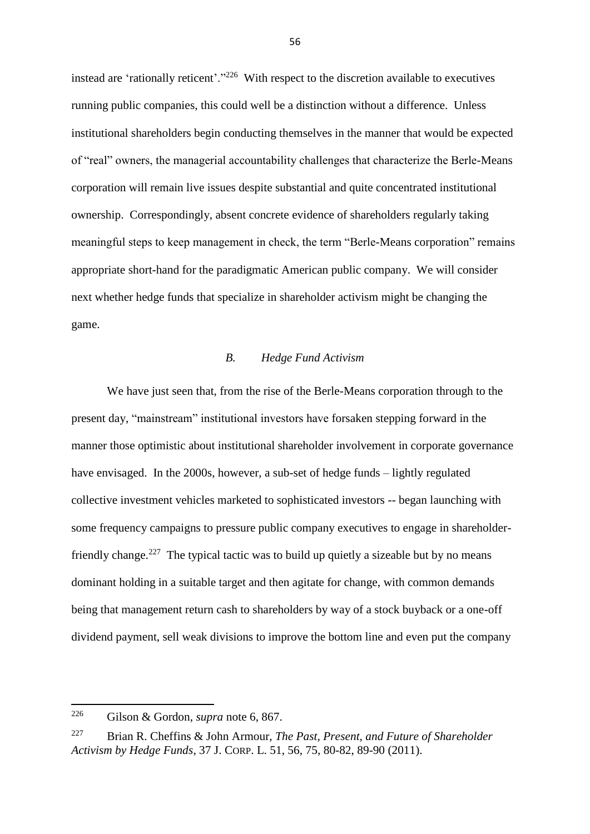instead are 'rationally reticent'."<sup>226</sup> With respect to the discretion available to executives running public companies, this could well be a distinction without a difference. Unless institutional shareholders begin conducting themselves in the manner that would be expected of "real" owners, the managerial accountability challenges that characterize the Berle-Means corporation will remain live issues despite substantial and quite concentrated institutional ownership. Correspondingly, absent concrete evidence of shareholders regularly taking meaningful steps to keep management in check, the term "Berle-Means corporation" remains appropriate short-hand for the paradigmatic American public company. We will consider next whether hedge funds that specialize in shareholder activism might be changing the game.

## *B. Hedge Fund Activism*

We have just seen that, from the rise of the Berle-Means corporation through to the present day, "mainstream" institutional investors have forsaken stepping forward in the manner those optimistic about institutional shareholder involvement in corporate governance have envisaged. In the 2000s, however, a sub-set of hedge funds – lightly regulated collective investment vehicles marketed to sophisticated investors -- began launching with some frequency campaigns to pressure public company executives to engage in shareholderfriendly change.<sup>227</sup> The typical tactic was to build up quietly a sizeable but by no means dominant holding in a suitable target and then agitate for change, with common demands being that management return cash to shareholders by way of a stock buyback or a one-off dividend payment, sell weak divisions to improve the bottom line and even put the company

 $226$ <sup>226</sup> Gilson & Gordon, *supra* note 6, 867.

<sup>227</sup> Brian R. Cheffins & John Armour, *The Past, Present, and Future of Shareholder Activism by Hedge Funds*, 37 J. CORP. L. 51, 56, 75, 80-82, 89-90 (2011).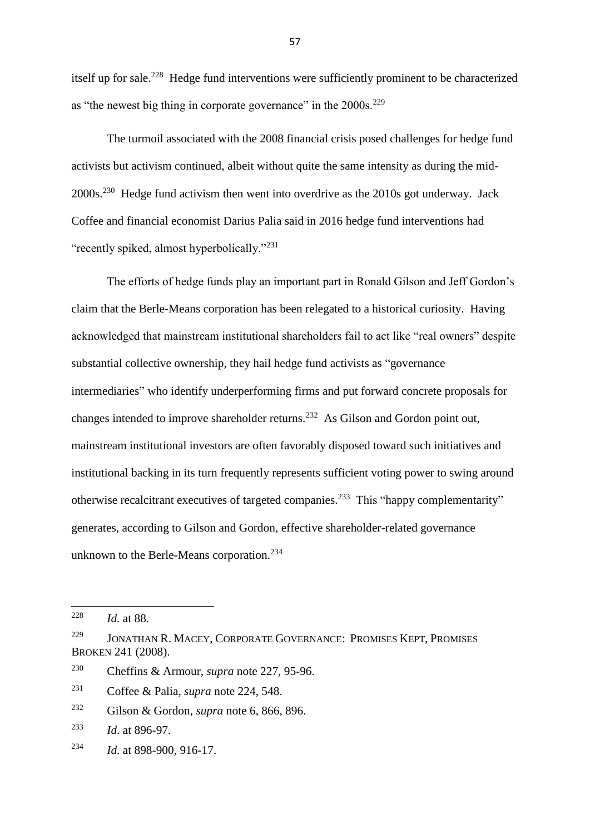itself up for sale.<sup>228</sup> Hedge fund interventions were sufficiently prominent to be characterized as "the newest big thing in corporate governance" in the  $2000s$ <sup>229</sup>

The turmoil associated with the 2008 financial crisis posed challenges for hedge fund activists but activism continued, albeit without quite the same intensity as during the mid- $2000s$ <sup>230</sup> Hedge fund activism then went into overdrive as the  $2010s$  got underway. Jack Coffee and financial economist Darius Palia said in 2016 hedge fund interventions had "recently spiked, almost hyperbolically."<sup>231</sup>

The efforts of hedge funds play an important part in Ronald Gilson and Jeff Gordon's claim that the Berle-Means corporation has been relegated to a historical curiosity. Having acknowledged that mainstream institutional shareholders fail to act like "real owners" despite substantial collective ownership, they hail hedge fund activists as "governance intermediaries" who identify underperforming firms and put forward concrete proposals for changes intended to improve shareholder returns.<sup>232</sup> As Gilson and Gordon point out, mainstream institutional investors are often favorably disposed toward such initiatives and institutional backing in its turn frequently represents sufficient voting power to swing around otherwise recalcitrant executives of targeted companies.<sup>233</sup> This "happy complementarity" generates, according to Gilson and Gordon, effective shareholder-related governance unknown to the Berle-Means corporation.<sup>234</sup>

<sup>233</sup> *Id*. at 896-97.

<sup>228</sup> *Id.* at 88.

<sup>229</sup> JONATHAN R. MACEY, CORPORATE GOVERNANCE: PROMISES KEPT, PROMISES BROKEN 241 (2008).

<sup>230</sup> Cheffins & Armour, *supra* note 227, 95-96.

<sup>231</sup> Coffee & Palia, *supra* note 224, 548.

<sup>232</sup> Gilson & Gordon, *supra* note 6, 866, 896.

<sup>234</sup> *Id*. at 898-900, 916-17.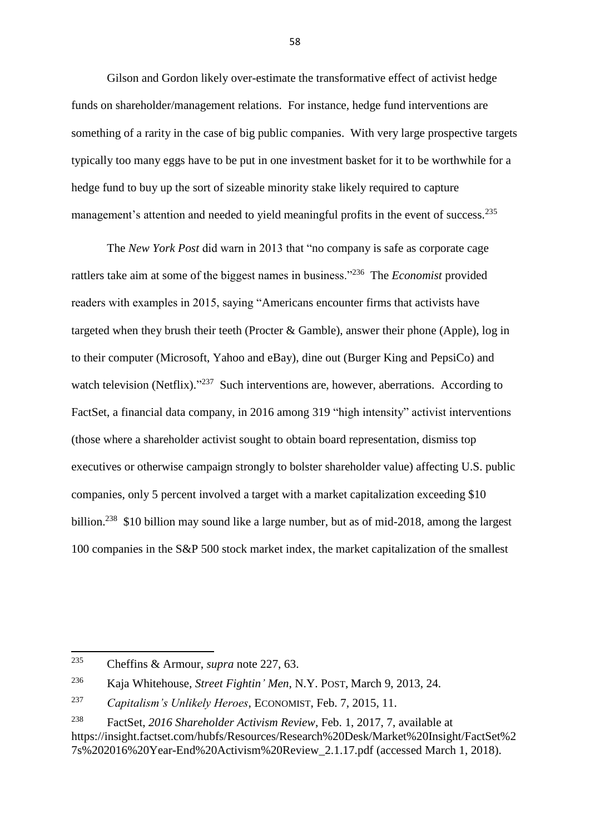Gilson and Gordon likely over-estimate the transformative effect of activist hedge funds on shareholder/management relations. For instance, hedge fund interventions are something of a rarity in the case of big public companies. With very large prospective targets typically too many eggs have to be put in one investment basket for it to be worthwhile for a hedge fund to buy up the sort of sizeable minority stake likely required to capture management's attention and needed to yield meaningful profits in the event of success.<sup>235</sup>

The *New York Post* did warn in 2013 that "no company is safe as corporate cage rattlers take aim at some of the biggest names in business."<sup>236</sup> The *Economist* provided readers with examples in 2015, saying "Americans encounter firms that activists have targeted when they brush their teeth (Procter & Gamble), answer their phone (Apple), log in to their computer (Microsoft, Yahoo and eBay), dine out (Burger King and PepsiCo) and watch television (Netflix)."<sup>237</sup> Such interventions are, however, aberrations. According to FactSet, a financial data company, in 2016 among 319 "high intensity" activist interventions (those where a shareholder activist sought to obtain board representation, dismiss top executives or otherwise campaign strongly to bolster shareholder value) affecting U.S. public companies, only 5 percent involved a target with a market capitalization exceeding \$10 billion.<sup>238</sup> \$10 billion may sound like a large number, but as of mid-2018, among the largest 100 companies in the S&P 500 stock market index, the market capitalization of the smallest

**.** 

<sup>235</sup> Cheffins & Armour, *supra* note 227, 63.

<sup>236</sup> Kaja Whitehouse, *Street Fightin' Men*, N.Y. POST, March 9, 2013, 24.

<sup>237</sup> *Capitalism's Unlikely Heroes*, ECONOMIST, Feb. 7, 2015, 11.

<sup>238</sup> FactSet, *2016 Shareholder Activism Review*, Feb. 1, 2017, 7, available at [https://insight.factset.com/hubfs/Resources/Research%20Desk/Market%20Insight/FactSet%2](https://insight.factset.com/hubfs/Resources/Research%20Desk/Market%20Insight/FactSet%27s%202016%20Year-End%20Activism%20Review_2.1.17.pdf) [7s%202016%20Year-End%20Activism%20Review\\_2.1.17.pdf](https://insight.factset.com/hubfs/Resources/Research%20Desk/Market%20Insight/FactSet%27s%202016%20Year-End%20Activism%20Review_2.1.17.pdf) (accessed March 1, 2018).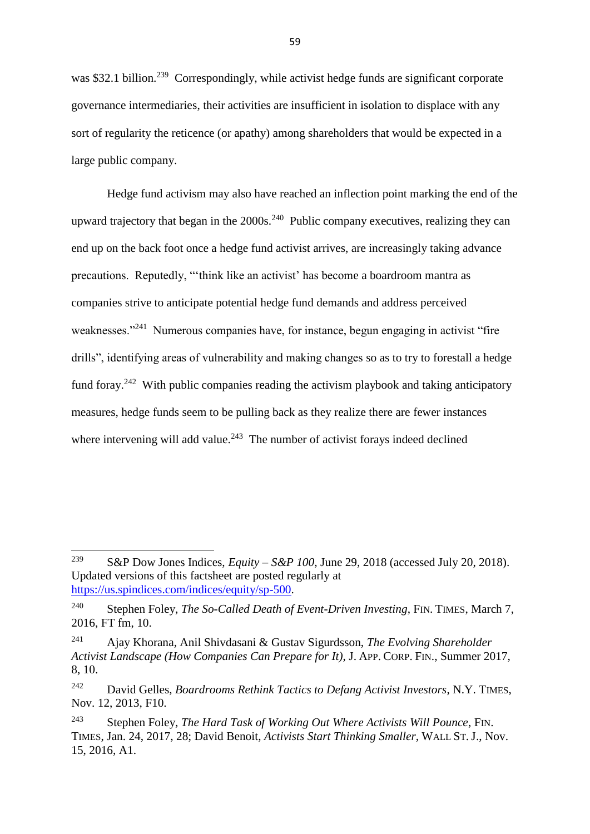was \$32.1 billion.<sup>239</sup> Correspondingly, while activist hedge funds are significant corporate governance intermediaries, their activities are insufficient in isolation to displace with any sort of regularity the reticence (or apathy) among shareholders that would be expected in a large public company.

Hedge fund activism may also have reached an inflection point marking the end of the upward trajectory that began in the  $2000s<sup>240</sup>$  Public company executives, realizing they can end up on the back foot once a hedge fund activist arrives, are increasingly taking advance precautions. Reputedly, "'think like an activist' has become a boardroom mantra as companies strive to anticipate potential hedge fund demands and address perceived weaknesses."<sup>241</sup> Numerous companies have, for instance, begun engaging in activist "fire drills", identifying areas of vulnerability and making changes so as to try to forestall a hedge fund foray.<sup>242</sup> With public companies reading the activism playbook and taking anticipatory measures, hedge funds seem to be pulling back as they realize there are fewer instances where intervening will add value. $243$  The number of activist forays indeed declined

<sup>239</sup> <sup>239</sup> S&P Dow Jones Indices, *Equity – S&P 100*, June 29, 2018 (accessed July 20, 2018). Updated versions of this factsheet are posted regularly at [https://us.spindices.com/indices/equity/sp-500.](https://us.spindices.com/indices/equity/sp-500)

<sup>240</sup> Stephen Foley, *The So-Called Death of Event-Driven Investing*, FIN. TIMES, March 7, 2016, FT fm, 10.

<sup>241</sup> Ajay Khorana, Anil Shivdasani & Gustav Sigurdsson, *The Evolving Shareholder Activist Landscape (How Companies Can Prepare for It)*, J. APP. CORP. FIN., Summer 2017, 8, 10.

<sup>242</sup> David Gelles, *Boardrooms Rethink Tactics to Defang Activist Investors*, N.Y. TIMES, Nov. 12, 2013, F10.

<sup>243</sup> Stephen Foley, *The Hard Task of Working Out Where Activists Will Pounce*, FIN. TIMES, Jan. 24, 2017, 28; David Benoit, *Activists Start Thinking Smaller*, WALL ST. J., Nov. 15, 2016, A1.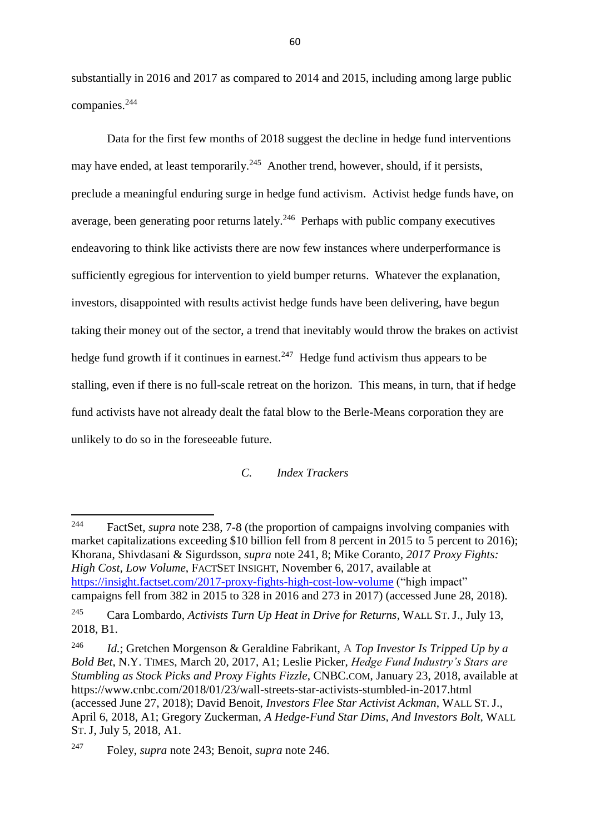substantially in 2016 and 2017 as compared to 2014 and 2015, including among large public companies. 244

Data for the first few months of 2018 suggest the decline in hedge fund interventions may have ended, at least temporarily.<sup>245</sup> Another trend, however, should, if it persists, preclude a meaningful enduring surge in hedge fund activism. Activist hedge funds have, on average, been generating poor returns lately. $246$  Perhaps with public company executives endeavoring to think like activists there are now few instances where underperformance is sufficiently egregious for intervention to yield bumper returns. Whatever the explanation, investors, disappointed with results activist hedge funds have been delivering, have begun taking their money out of the sector, a trend that inevitably would throw the brakes on activist hedge fund growth if it continues in earnest. $247$  Hedge fund activism thus appears to be stalling, even if there is no full-scale retreat on the horizon. This means, in turn, that if hedge fund activists have not already dealt the fatal blow to the Berle-Means corporation they are unlikely to do so in the foreseeable future.

# *C. Index Trackers*

<sup>244</sup> FactSet, *supra* note 238, 7-8 (the proportion of campaigns involving companies with market capitalizations exceeding \$10 billion fell from 8 percent in 2015 to 5 percent to 2016); Khorana, Shivdasani & Sigurdsson, *supra* note 241, 8; Mike Coranto, *[2017 Proxy Fights:](https://insight.factset.com/2017-proxy-fights-high-cost-low-volume)  [High Cost, Low Volume](https://insight.factset.com/2017-proxy-fights-high-cost-low-volume)*, FACTSET INSIGHT, November 6, 2017, available at <https://insight.factset.com/2017-proxy-fights-high-cost-low-volume> ("high impact" campaigns fell from 382 in 2015 to 328 in 2016 and 273 in 2017) (accessed June 28, 2018). <sup>245</sup> Cara Lombardo, *Activists Turn Up Heat in Drive for Returns*, WALL ST. J., July 13, 2018, B1.

<sup>246</sup> *Id.*; Gretchen Morgenson & Geraldine Fabrikant, A *Top Investor Is Tripped Up by a Bold Bet*, N.Y. TIMES, March 20, 2017, A1; Leslie Picker, *Hedge Fund Industry's Stars are Stumbling as Stock Picks and Proxy Fights Fizzle*, CNBC.COM, January 23, 2018, available at https://www.cnbc.com/2018/01/23/wall-streets-star-activists-stumbled-in-2017.html (accessed June 27, 2018); David Benoit, *Investors Flee Star Activist Ackman*, WALL ST. J., April 6, 2018, A1; Gregory Zuckerman, *A Hedge-Fund Star Dims, And Investors Bolt*, WALL ST. J, July 5, 2018, A1.

<sup>247</sup> Foley, *supra* note 243; Benoit, *supra* note 246.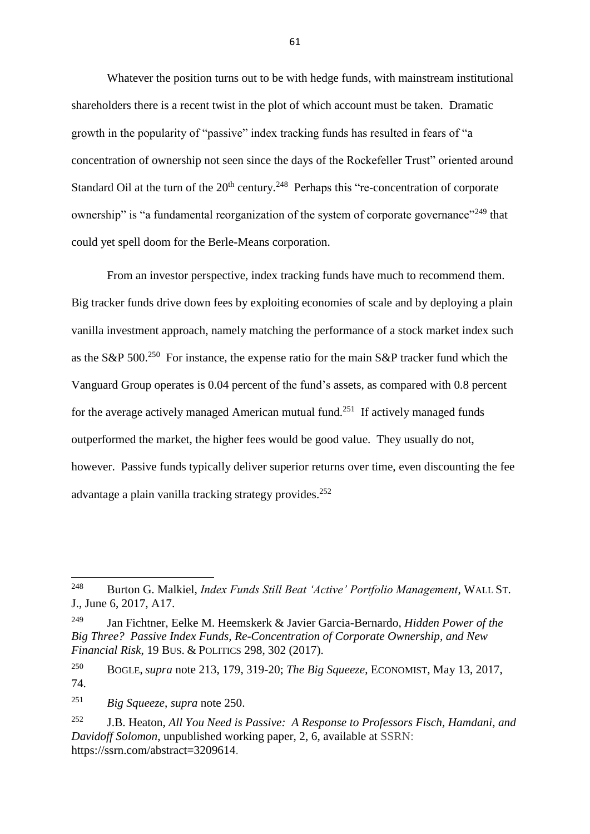Whatever the position turns out to be with hedge funds, with mainstream institutional shareholders there is a recent twist in the plot of which account must be taken. Dramatic growth in the popularity of "passive" index tracking funds has resulted in fears of "a concentration of ownership not seen since the days of the Rockefeller Trust" oriented around Standard Oil at the turn of the  $20<sup>th</sup>$  century.<sup>248</sup> Perhaps this "re-concentration of corporate ownership" is "a fundamental reorganization of the system of corporate governance"<sup>249</sup> that could yet spell doom for the Berle-Means corporation.

From an investor perspective, index tracking funds have much to recommend them. Big tracker funds drive down fees by exploiting economies of scale and by deploying a plain vanilla investment approach, namely matching the performance of a stock market index such as the S&P 500.<sup>250</sup> For instance, the expense ratio for the main S&P tracker fund which the Vanguard Group operates is 0.04 percent of the fund's assets, as compared with 0.8 percent for the average actively managed American mutual fund.<sup>251</sup> If actively managed funds outperformed the market, the higher fees would be good value. They usually do not, however. Passive funds typically deliver superior returns over time, even discounting the fee advantage a plain vanilla tracking strategy provides. 252

**.** 

<sup>248</sup> Burton G. Malkiel, *Index Funds Still Beat 'Active' Portfolio Management*, WALL ST. J., June 6, 2017, A17.

<sup>249</sup> Jan Fichtner, Eelke M. Heemskerk & Javier Garcia-Bernardo, *Hidden Power of the Big Three? Passive Index Funds, Re-Concentration of Corporate Ownership, and New Financial Risk*, 19 BUS. & POLITICS 298, 302 (2017).

<sup>250</sup> BOGLE, *supra* note 213, 179, 319-20; *The Big Squeeze*, ECONOMIST, May 13, 2017, 74.

<sup>251</sup> *Big Squeeze*, *supra* note 250.

<sup>252</sup> J.B. Heaton, *All You Need is Passive: A Response to Professors Fisch, Hamdani, and Davidoff Solomon*, unpublished working paper, 2, 6, available at SSRN: [https://ssrn.com/abstract=3209614.](https://ssrn.com/abstract=3209614)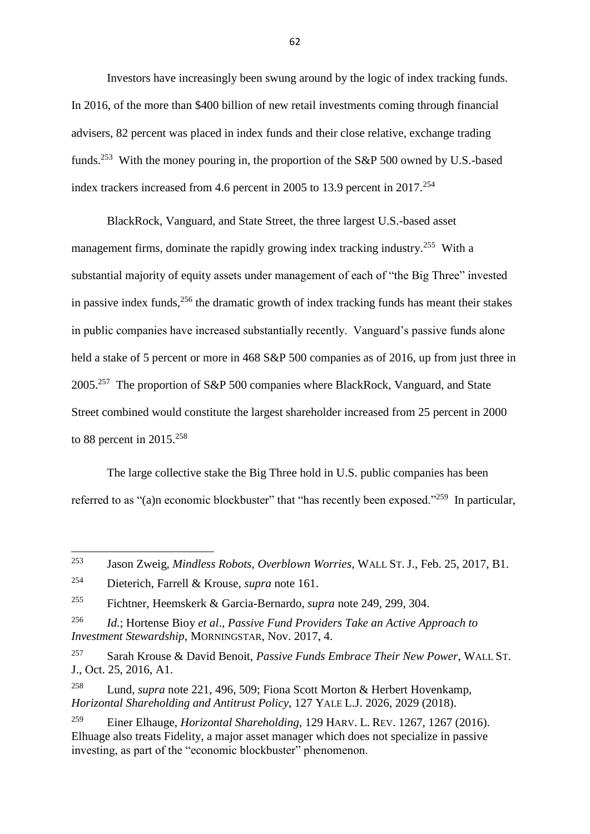Investors have increasingly been swung around by the logic of index tracking funds. In 2016, of the more than \$400 billion of new retail investments coming through financial advisers, 82 percent was placed in index funds and their close relative, exchange trading funds.<sup>253</sup> With the money pouring in, the proportion of the S&P 500 owned by U.S.-based index trackers increased from 4.6 percent in 2005 to 13.9 percent in 2017.<sup>254</sup>

BlackRock, Vanguard, and State Street, the three largest U.S.-based asset management firms, dominate the rapidly growing index tracking industry.<sup>255</sup> With a substantial majority of equity assets under management of each of "the Big Three" invested in passive index funds,  $256$  the dramatic growth of index tracking funds has meant their stakes in public companies have increased substantially recently. Vanguard's passive funds alone held a stake of 5 percent or more in 468 S&P 500 companies as of 2016, up from just three in 2005.<sup>257</sup> The proportion of S&P 500 companies where BlackRock, Vanguard, and State Street combined would constitute the largest shareholder increased from 25 percent in 2000 to 88 percent in 2015.<sup>258</sup>

The large collective stake the Big Three hold in U.S. public companies has been referred to as "(a)n economic blockbuster" that "has recently been exposed."<sup>259</sup> In particular,

<sup>253</sup> <sup>253</sup> Jason Zweig, *Mindless Robots, Overblown Worries*, WALL ST. J., Feb. 25, 2017, B1.

<sup>254</sup> Dieterich, Farrell & Krouse, *supra* note 161.

<sup>255</sup> Fichtner, Heemskerk & Garcia-Bernardo, *supra* note 249, 299, 304.

<sup>256</sup> *Id*.; Hortense Bioy *et al*., *Passive Fund Providers Take an Active Approach to Investment Stewardship*, MORNINGSTAR, Nov. 2017, 4.

<sup>257</sup> Sarah Krouse & David Benoit, *Passive Funds Embrace Their New Power*, WALL ST. J., Oct. 25, 2016, A1.

<sup>258</sup> Lund, *supra* note 221, 496, 509; Fiona Scott Morton & Herbert Hovenkamp, *Horizontal Shareholding and Antitrust Policy*, 127 YALE L.J. 2026, 2029 (2018).

<sup>259</sup> Einer Elhauge, *Horizontal Shareholding*, 129 HARV. L. REV. 1267, 1267 (2016). Elhuage also treats Fidelity, a major asset manager which does not specialize in passive investing, as part of the "economic blockbuster" phenomenon.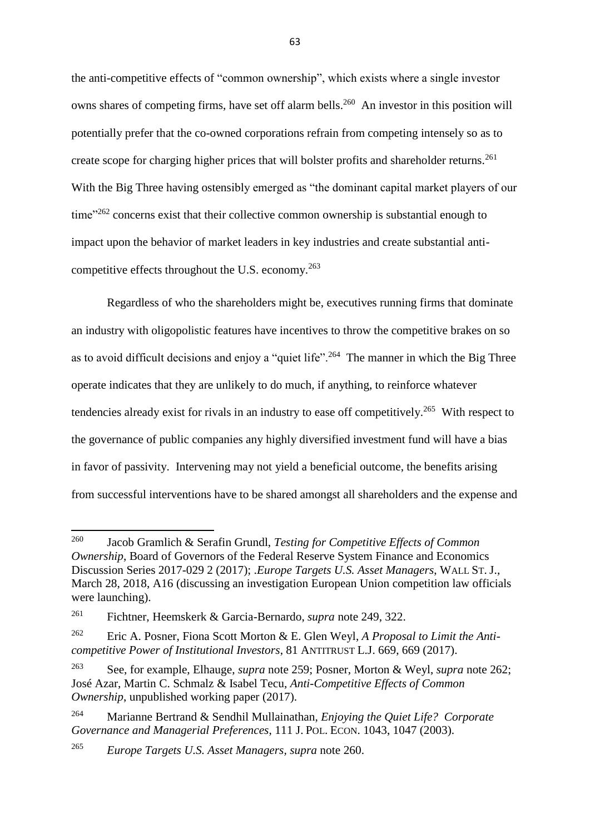the anti-competitive effects of "common ownership", which exists where a single investor owns shares of competing firms, have set off alarm bells.<sup>260</sup> An investor in this position will potentially prefer that the co-owned corporations refrain from competing intensely so as to create scope for charging higher prices that will bolster profits and shareholder returns.<sup>261</sup> With the Big Three having ostensibly emerged as "the dominant capital market players of our time<sup>"262</sup> concerns exist that their collective common ownership is substantial enough to impact upon the behavior of market leaders in key industries and create substantial anticompetitive effects throughout the U.S. economy.<sup>263</sup>

Regardless of who the shareholders might be, executives running firms that dominate an industry with oligopolistic features have incentives to throw the competitive brakes on so as to avoid difficult decisions and enjoy a "quiet life".<sup>264</sup> The manner in which the Big Three operate indicates that they are unlikely to do much, if anything, to reinforce whatever tendencies already exist for rivals in an industry to ease off competitively.<sup>265</sup> With respect to the governance of public companies any highly diversified investment fund will have a bias in favor of passivity. Intervening may not yield a beneficial outcome, the benefits arising from successful interventions have to be shared amongst all shareholders and the expense and

<sup>260</sup> Jacob Gramlich & Serafin Grundl, *Testing for Competitive Effects of Common Ownership*, Board of Governors of the Federal Reserve System Finance and Economics Discussion Series 2017-029 2 (2017); .*Europe Targets U.S. Asset Managers*, WALL ST. J., March 28, 2018, A16 (discussing an investigation European Union competition law officials were launching).

<sup>261</sup> Fichtner, Heemskerk & Garcia-Bernardo, *supra* note 249, 322.

<sup>262</sup> Eric A. Posner, Fiona Scott Morton & E. Glen Weyl, *A Proposal to Limit the Anticompetitive Power of Institutional Investors*, 81 ANTITRUST L.J. 669, 669 (2017).

<sup>263</sup> See, for example, Elhauge, *supra* note 259; Posner, Morton & Weyl, *supra* note 262; José Azar, Martin C. Schmalz & Isabel Tecu, *Anti-Competitive Effects of Common Ownership*, unpublished working paper (2017).

<sup>264</sup> Marianne Bertrand & Sendhil Mullainathan, *Enjoying the Quiet Life? Corporate Governance and Managerial Preferences*, 111 J. POL. ECON. 1043, 1047 (2003).

<sup>265</sup> *Europe Targets U.S. Asset Managers, supra* note 260.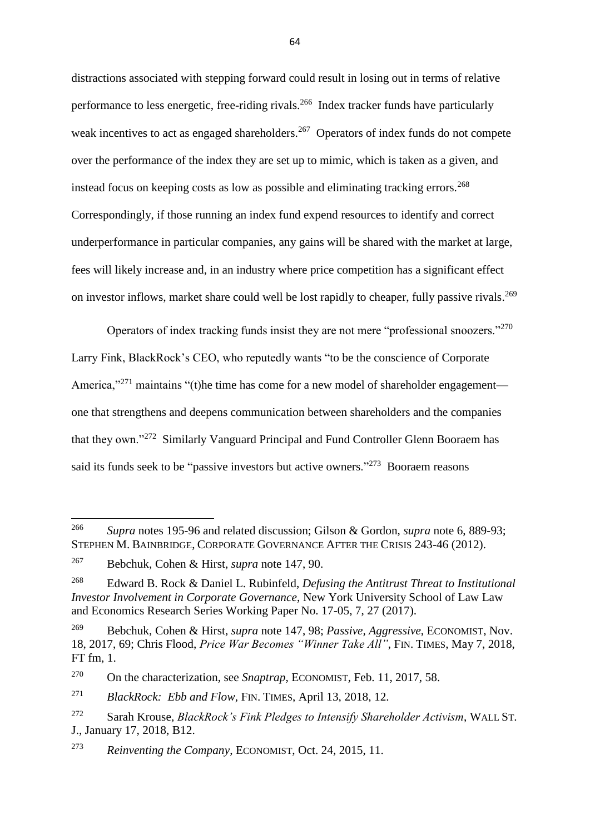distractions associated with stepping forward could result in losing out in terms of relative performance to less energetic, free-riding rivals.<sup>266</sup> Index tracker funds have particularly weak incentives to act as engaged shareholders.<sup>267</sup> Operators of index funds do not compete over the performance of the index they are set up to mimic, which is taken as a given, and instead focus on keeping costs as low as possible and eliminating tracking errors.<sup>268</sup> Correspondingly, if those running an index fund expend resources to identify and correct underperformance in particular companies, any gains will be shared with the market at large, fees will likely increase and, in an industry where price competition has a significant effect on investor inflows, market share could well be lost rapidly to cheaper, fully passive rivals.<sup>269</sup>

Operators of index tracking funds insist they are not mere "professional snoozers."<sup>270</sup> Larry Fink, BlackRock's CEO, who reputedly wants "to be the conscience of Corporate America," $271$  maintains "(t)he time has come for a new model of shareholder engagement one that strengthens and deepens communication between shareholders and the companies that they own."<sup>272</sup> Similarly Vanguard Principal and Fund Controller Glenn Booraem has said its funds seek to be "passive investors but active owners."<sup>273</sup> Booraem reasons

1

<sup>266</sup> *Supra* notes 195-96 and related discussion; Gilson & Gordon, *supra* note 6, 889-93; STEPHEN M. BAINBRIDGE, CORPORATE GOVERNANCE AFTER THE CRISIS 243-46 (2012).

<sup>267</sup> Bebchuk, Cohen & Hirst, *supra* note 147, 90.

<sup>268</sup> Edward B. Rock & Daniel L. Rubinfeld, *Defusing the Antitrust Threat to Institutional Investor Involvement in Corporate Governance*, New York University School of Law Law and Economics Research Series Working Paper No. 17-05, 7, 27 (2017).

<sup>269</sup> Bebchuk, Cohen & Hirst, *supra* note 147, 98; *Passive, Aggressive*, ECONOMIST, Nov. 18, 2017, 69; Chris Flood, *Price War Becomes "Winner Take All"*, FIN. TIMES, May 7, 2018, FT fm, 1.

<sup>270</sup> On the characterization, see *Snaptrap*, ECONOMIST, Feb. 11, 2017, 58.

<sup>271</sup> *BlackRock: Ebb and Flow*, FIN. TIMES, April 13, 2018, 12.

<sup>272</sup> Sarah Krouse, *BlackRock's Fink Pledges to Intensify Shareholder Activism*, WALL ST. J., January 17, 2018, B12.

<sup>273</sup> *Reinventing the Company*, ECONOMIST, Oct. 24, 2015, 11.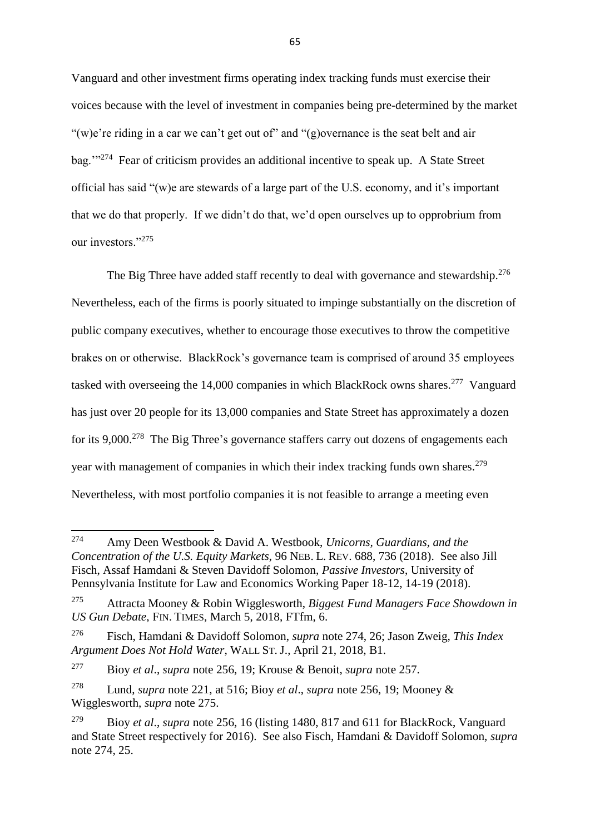Vanguard and other investment firms operating index tracking funds must exercise their voices because with the level of investment in companies being pre-determined by the market "(w)e're riding in a car we can't get out of" and " $(g)$ overnance is the seat belt and air bag."<sup>274</sup> Fear of criticism provides an additional incentive to speak up. A State Street official has said "(w)e are stewards of a large part of the U.S. economy, and it's important that we do that properly. If we didn't do that, we'd open ourselves up to opprobrium from our investors."<sup>275</sup>

The Big Three have added staff recently to deal with governance and stewardship.<sup>276</sup> Nevertheless, each of the firms is poorly situated to impinge substantially on the discretion of public company executives, whether to encourage those executives to throw the competitive brakes on or otherwise. BlackRock's governance team is comprised of around 35 employees tasked with overseeing the 14,000 companies in which BlackRock owns shares.<sup>277</sup> Vanguard has just over 20 people for its 13,000 companies and State Street has approximately a dozen for its  $9,000$ .<sup>278</sup> The Big Three's governance staffers carry out dozens of engagements each year with management of companies in which their index tracking funds own shares.<sup>279</sup> Nevertheless, with most portfolio companies it is not feasible to arrange a meeting even

<sup>274</sup> Amy Deen Westbook & David A. Westbook, *Unicorns, Guardians, and the Concentration of the U.S. Equity Markets*, 96 NEB. L. REV. 688, 736 (2018). See also Jill Fisch, Assaf Hamdani & Steven Davidoff Solomon, *Passive Investors*, University of Pennsylvania Institute for Law and Economics Working Paper 18-12, 14-19 (2018).

<sup>275</sup> Attracta Mooney & Robin Wigglesworth, *Biggest Fund Managers Face Showdown in US Gun Debate*, FIN. TIMES, March 5, 2018, FTfm, 6.

<sup>276</sup> Fisch, Hamdani & Davidoff Solomon, *supra* note 274, 26; Jason Zweig, *This Index Argument Does Not Hold Water*, WALL ST. J., April 21, 2018, B1.

<sup>277</sup> Bioy *et al*., *supra* note 256, 19; Krouse & Benoit, *supra* note 257.

<sup>278</sup> Lund, *supra* note 221, at 516; Bioy *et al*., *supra* note 256, 19; Mooney & Wigglesworth, *supra* note 275.

<sup>279</sup> Bioy *et al*., *supra* note 256, 16 (listing 1480, 817 and 611 for BlackRock, Vanguard and State Street respectively for 2016). See also Fisch, Hamdani & Davidoff Solomon, *supra*  note 274, 25.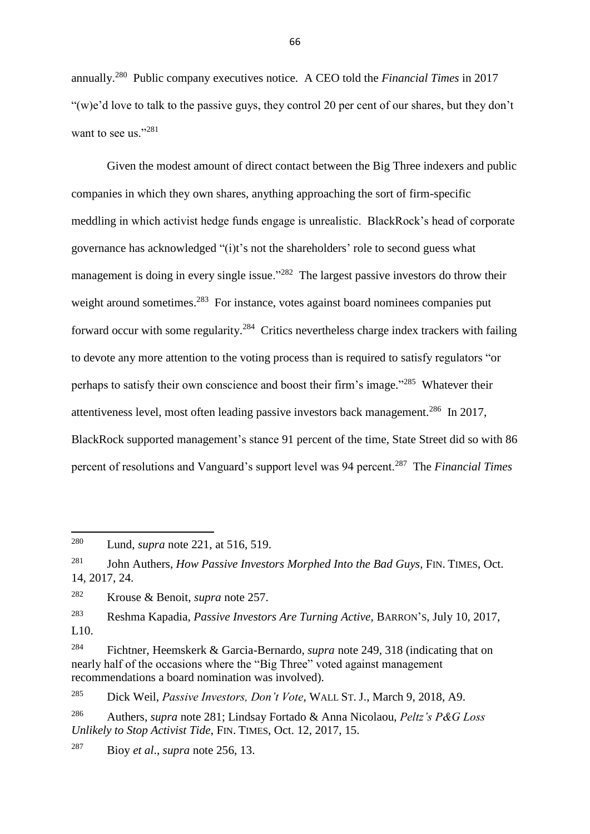annually.<sup>280</sup> Public company executives notice. A CEO told the *Financial Times* in 2017 "(w)e'd love to talk to the passive guys, they control 20 per cent of our shares, but they don't want to see us."281

Given the modest amount of direct contact between the Big Three indexers and public companies in which they own shares, anything approaching the sort of firm-specific meddling in which activist hedge funds engage is unrealistic. BlackRock's head of corporate governance has acknowledged "(i)t's not the shareholders' role to second guess what management is doing in every single issue."<sup>282</sup> The largest passive investors do throw their weight around sometimes.<sup>283</sup> For instance, votes against board nominees companies put forward occur with some regularity.<sup>284</sup> Critics nevertheless charge index trackers with failing to devote any more attention to the voting process than is required to satisfy regulators "or perhaps to satisfy their own conscience and boost their firm's image."<sup>285</sup> Whatever their attentiveness level, most often leading passive investors back management.<sup>286</sup> In 2017, BlackRock supported management's stance 91 percent of the time, State Street did so with 86 percent of resolutions and Vanguard's support level was 94 percent.<sup>287</sup> The *Financial Times* 

**.** 

<sup>283</sup> Reshma Kapadia, *Passive Investors Are Turning Active*, BARRON'S, July 10, 2017, L10.

<sup>285</sup> Dick Weil, *Passive Investors, Don't Vote*, WALL ST. J., March 9, 2018, A9.

<sup>287</sup> Bioy *et al*., *supra* note 256, 13.

<sup>280</sup> Lund, *supra* note 221, at 516, 519.

<sup>281</sup> John Authers, *How Passive Investors Morphed Into the Bad Guys*, FIN. TIMES, Oct. 14, 2017, 24.

<sup>282</sup> Krouse & Benoit, *supra* note 257.

<sup>284</sup> Fichtner, Heemskerk & Garcia-Bernardo, *supra* note 249, 318 (indicating that on nearly half of the occasions where the "Big Three" voted against management recommendations a board nomination was involved).

<sup>286</sup> Authers, *supra* note 281; Lindsay Fortado & Anna Nicolaou, *Peltz's P&G Loss Unlikely to Stop Activist Tide*, FIN. TIMES, Oct. 12, 2017, 15.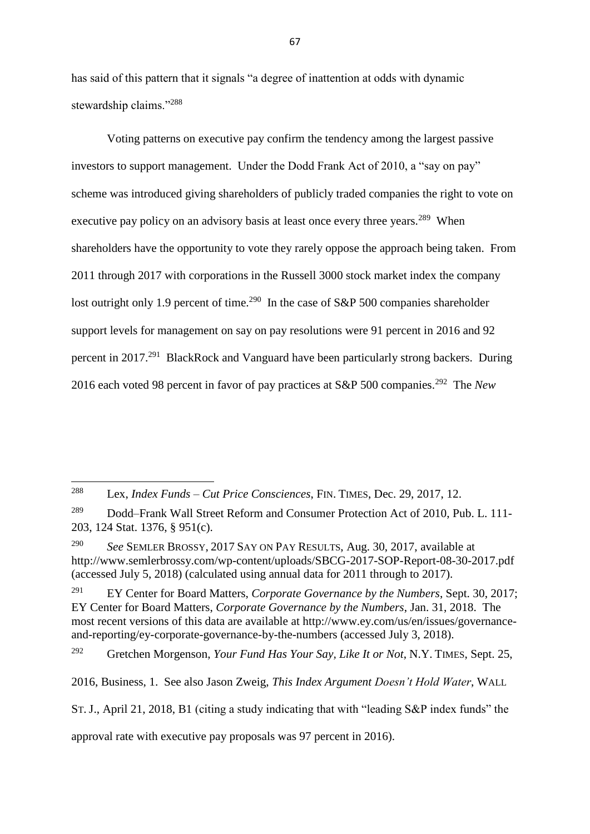has said of this pattern that it signals "a degree of inattention at odds with dynamic stewardship claims."<sup>288</sup>

Voting patterns on executive pay confirm the tendency among the largest passive investors to support management. Under the Dodd Frank Act of 2010, a "say on pay" scheme was introduced giving shareholders of publicly traded companies the right to vote on executive pay policy on an advisory basis at least once every three years.<sup>289</sup> When shareholders have the opportunity to vote they rarely oppose the approach being taken. From 2011 through 2017 with corporations in the Russell 3000 stock market index the company lost outright only 1.9 percent of time.<sup>290</sup> In the case of S&P 500 companies shareholder support levels for management on say on pay resolutions were 91 percent in 2016 and 92 percent in 2017.<sup>291</sup> BlackRock and Vanguard have been particularly strong backers. During 2016 each voted 98 percent in favor of pay practices at S&P 500 companies.<sup>292</sup> The *New* 

**.** 

<sup>290</sup> *See* SEMLER BROSSY, 2017 SAY ON PAY RESULTS, Aug. 30, 2017, available at <http://www.semlerbrossy.com/wp-content/uploads/SBCG-2017-SOP-Report-08-30-2017.pdf> (accessed July 5, 2018) (calculated using annual data for 2011 through to 2017).

<sup>291</sup> EY Center for Board Matters, *Corporate Governance by the Numbers*, Sept. 30, 2017; EY Center for Board Matters, *Corporate Governance by the Numbers*, Jan. 31, 2018. The most recent versions of this data are available at [http://www.ey.com/us/en/issues/governance](http://www.ey.com/us/en/issues/governance-and-reporting/ey-corporate-governance-by-the-numbers)[and-reporting/ey-corporate-governance-by-the-numbers](http://www.ey.com/us/en/issues/governance-and-reporting/ey-corporate-governance-by-the-numbers) (accessed July 3, 2018).

<sup>292</sup> Gretchen Morgenson, *Your Fund Has Your Say, Like It or Not*, N.Y. TIMES, Sept. 25,

2016, Business, 1. See also Jason Zweig, *This Index Argument Doesn't Hold Water*, WALL

ST. J., April 21, 2018, B1 (citing a study indicating that with "leading S&P index funds" the

approval rate with executive pay proposals was 97 percent in 2016).

<sup>288</sup> Lex, *Index Funds – Cut Price Consciences*, FIN. TIMES, Dec. 29, 2017, 12.

<sup>&</sup>lt;sup>289</sup> Dodd–Frank Wall Street Reform and Consumer Protection Act of 2010, Pub. L. 111-203, 124 Stat. 1376, § 951(c).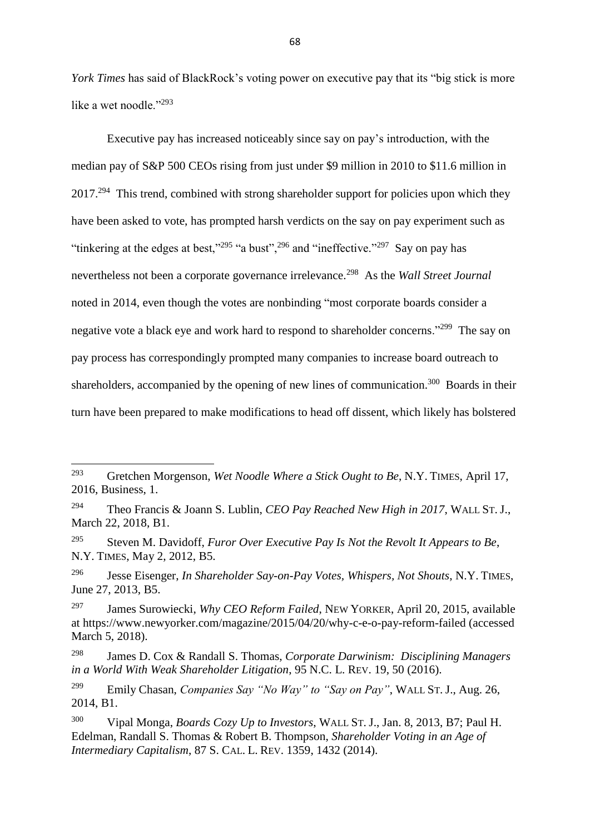*York Times* has said of BlackRock's voting power on executive pay that its "big stick is more like a wet noodle."<sup>293</sup>

Executive pay has increased noticeably since say on pay's introduction, with the median pay of S&P 500 CEOs rising from just under \$9 million in 2010 to \$11.6 million in 2017.<sup>294</sup> This trend, combined with strong shareholder support for policies upon which they have been asked to vote, has prompted harsh verdicts on the say on pay experiment such as "tinkering at the edges at best,"<sup>295</sup> "a bust",<sup>296</sup> and "ineffective."<sup>297</sup> Say on pay has nevertheless not been a corporate governance irrelevance.<sup>298</sup> As the *Wall Street Journal* noted in 2014, even though the votes are nonbinding "most corporate boards consider a negative vote a black eye and work hard to respond to shareholder concerns."<sup>299</sup> The say on pay process has correspondingly prompted many companies to increase board outreach to shareholders, accompanied by the opening of new lines of communication.<sup>300</sup> Boards in their turn have been prepared to make modifications to head off dissent, which likely has bolstered

- <sup>294</sup> Theo Francis & Joann S. Lublin, *CEO Pay Reached New High in 2017*, WALL ST. J., March 22, 2018, B1.
- <sup>295</sup> Steven M. Davidoff, *Furor Over Executive Pay Is Not the Revolt It Appears to Be*, N.Y. TIMES, May 2, 2012, B5.
- <sup>296</sup> Jesse Eisenger, *In Shareholder Say-on-Pay Votes, Whispers, Not Shouts*, N.Y. TIMES, June 27, 2013, B5.

<sup>293</sup> <sup>293</sup> Gretchen Morgenson, *Wet Noodle Where a Stick Ought to Be*, N.Y. TIMES, April 17, 2016, Business, 1.

<sup>297</sup> James Surowiecki, *Why CEO Reform Failed*, NEW YORKER, April 20, 2015, available at<https://www.newyorker.com/magazine/2015/04/20/why-c-e-o-pay-reform-failed> (accessed March 5, 2018).

<sup>298</sup> James D. Cox & Randall S. Thomas, *Corporate Darwinism: Disciplining Managers in a World With Weak Shareholder Litigation*, 95 N.C. L. REV. 19, 50 (2016).

<sup>299</sup> Emily Chasan, *Companies Say "No Way" to "Say on Pay"*, WALL ST. J., Aug. 26, 2014, B1.

<sup>300</sup> Vipal Monga, *Boards Cozy Up to Investors*, WALL ST. J., Jan. 8, 2013, B7; Paul H. Edelman, Randall S. Thomas & Robert B. Thompson, *Shareholder Voting in an Age of Intermediary Capitalism*, 87 S. CAL. L. REV. 1359, 1432 (2014).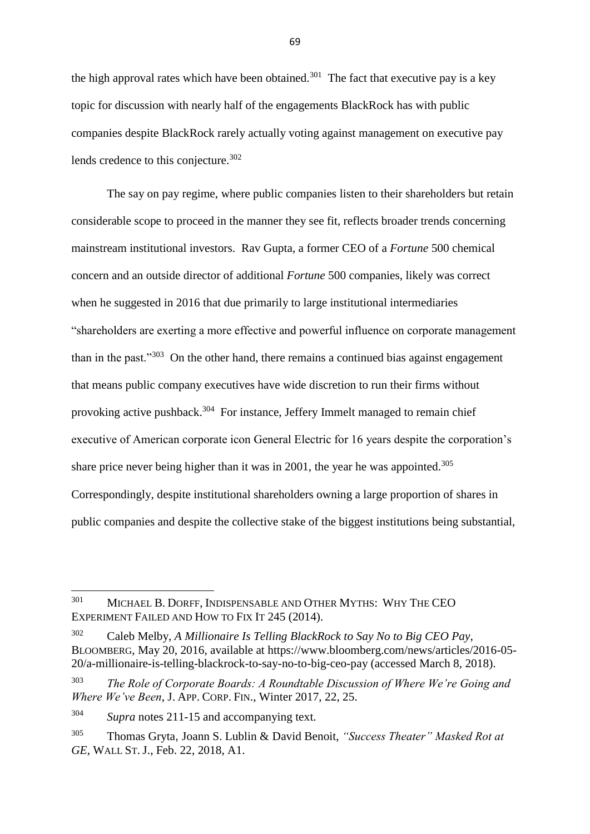the high approval rates which have been obtained.<sup>301</sup> The fact that executive pay is a key topic for discussion with nearly half of the engagements BlackRock has with public companies despite BlackRock rarely actually voting against management on executive pay lends credence to this conjecture.<sup>302</sup>

The say on pay regime, where public companies listen to their shareholders but retain considerable scope to proceed in the manner they see fit, reflects broader trends concerning mainstream institutional investors. Rav Gupta, a former CEO of a *Fortune* 500 chemical concern and an outside director of additional *Fortune* 500 companies, likely was correct when he suggested in 2016 that due primarily to large institutional intermediaries "shareholders are exerting a more effective and powerful influence on corporate management than in the past. $1303}$  On the other hand, there remains a continued bias against engagement that means public company executives have wide discretion to run their firms without provoking active pushback.<sup>304</sup> For instance, Jeffery Immelt managed to remain chief executive of American corporate icon General Electric for 16 years despite the corporation's share price never being higher than it was in 2001, the year he was appointed.<sup>305</sup> Correspondingly, despite institutional shareholders owning a large proportion of shares in public companies and despite the collective stake of the biggest institutions being substantial,

<sup>301</sup> <sup>301</sup> MICHAEL B. DORFF, INDISPENSABLE AND OTHER MYTHS: WHY THE CEO EXPERIMENT FAILED AND HOW TO FIX IT 245 (2014).

<sup>302</sup> Caleb Melby, *A Millionaire Is Telling BlackRock to Say No to Big CEO Pay*, BLOOMBERG, May 20, 2016, available at https://www.bloomberg.com/news/articles/2016-05- 20/a-millionaire-is-telling-blackrock-to-say-no-to-big-ceo-pay (accessed March 8, 2018).

<sup>303</sup> *The Role of Corporate Boards: A Roundtable Discussion of Where We're Going and Where We've Been*, J. APP. CORP. FIN., Winter 2017, 22, 25.

<sup>304</sup> *Supra* notes 211-15 and accompanying text.

<sup>305</sup> Thomas Gryta, Joann S. Lublin & David Benoit, *"Success Theater" Masked Rot at GE*, WALL ST. J., Feb. 22, 2018, A1.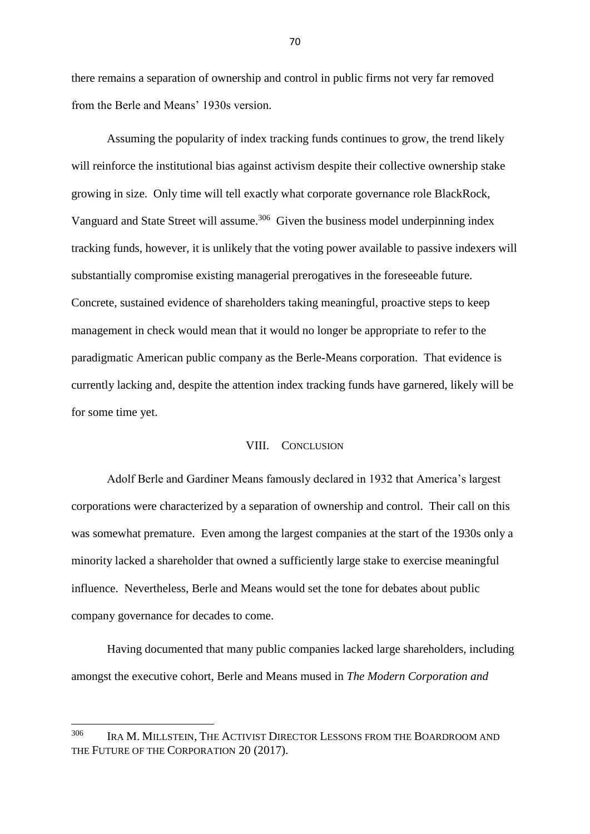there remains a separation of ownership and control in public firms not very far removed from the Berle and Means' 1930s version.

Assuming the popularity of index tracking funds continues to grow, the trend likely will reinforce the institutional bias against activism despite their collective ownership stake growing in size. Only time will tell exactly what corporate governance role BlackRock, Vanguard and State Street will assume.<sup>306</sup> Given the business model underpinning index tracking funds, however, it is unlikely that the voting power available to passive indexers will substantially compromise existing managerial prerogatives in the foreseeable future. Concrete, sustained evidence of shareholders taking meaningful, proactive steps to keep management in check would mean that it would no longer be appropriate to refer to the paradigmatic American public company as the Berle-Means corporation. That evidence is currently lacking and, despite the attention index tracking funds have garnered, likely will be for some time yet.

# VIII. CONCLUSION

Adolf Berle and Gardiner Means famously declared in 1932 that America's largest corporations were characterized by a separation of ownership and control. Their call on this was somewhat premature. Even among the largest companies at the start of the 1930s only a minority lacked a shareholder that owned a sufficiently large stake to exercise meaningful influence. Nevertheless, Berle and Means would set the tone for debates about public company governance for decades to come.

Having documented that many public companies lacked large shareholders, including amongst the executive cohort, Berle and Means mused in *The Modern Corporation and* 

**.** 

<sup>306</sup> IRA M. MILLSTEIN, THE ACTIVIST DIRECTOR LESSONS FROM THE BOARDROOM AND THE FUTURE OF THE CORPORATION 20 (2017).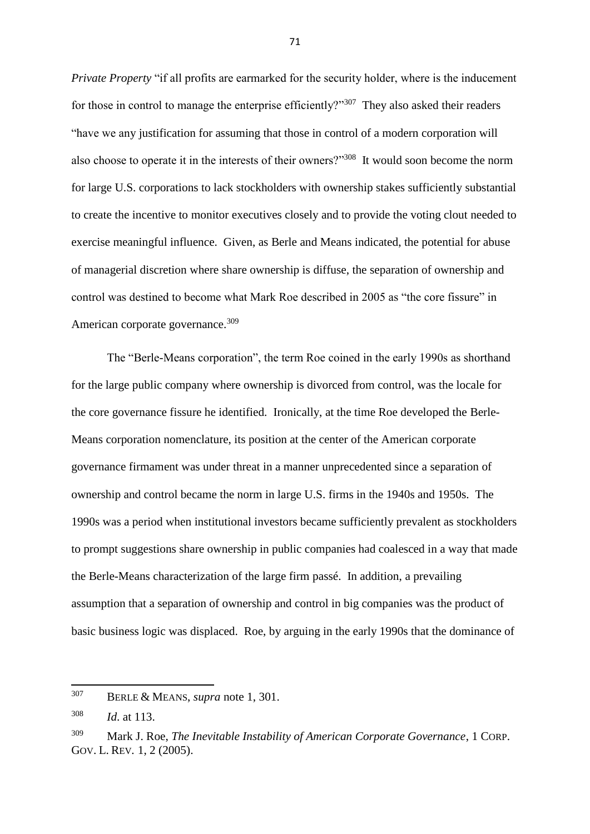*Private Property* "if all profits are earmarked for the security holder, where is the inducement for those in control to manage the enterprise efficiently?"<sup>307</sup> They also asked their readers "have we any justification for assuming that those in control of a modern corporation will also choose to operate it in the interests of their owners?"<sup>308</sup> It would soon become the norm for large U.S. corporations to lack stockholders with ownership stakes sufficiently substantial to create the incentive to monitor executives closely and to provide the voting clout needed to exercise meaningful influence. Given, as Berle and Means indicated, the potential for abuse of managerial discretion where share ownership is diffuse, the separation of ownership and control was destined to become what Mark Roe described in 2005 as "the core fissure" in American corporate governance.<sup>309</sup>

The "Berle-Means corporation", the term Roe coined in the early 1990s as shorthand for the large public company where ownership is divorced from control, was the locale for the core governance fissure he identified. Ironically, at the time Roe developed the Berle-Means corporation nomenclature, its position at the center of the American corporate governance firmament was under threat in a manner unprecedented since a separation of ownership and control became the norm in large U.S. firms in the 1940s and 1950s. The 1990s was a period when institutional investors became sufficiently prevalent as stockholders to prompt suggestions share ownership in public companies had coalesced in a way that made the Berle-Means characterization of the large firm passé. In addition, a prevailing assumption that a separation of ownership and control in big companies was the product of basic business logic was displaced. Roe, by arguing in the early 1990s that the dominance of

 $\overline{a}$ 

<sup>307</sup> BERLE & MEANS, *supra* note 1, 301.

<sup>308</sup> *Id*. at 113.

<sup>309</sup> Mark J. Roe, *The Inevitable Instability of American Corporate Governance*, 1 CORP. GOV. L. REV*.* 1, 2 (2005).